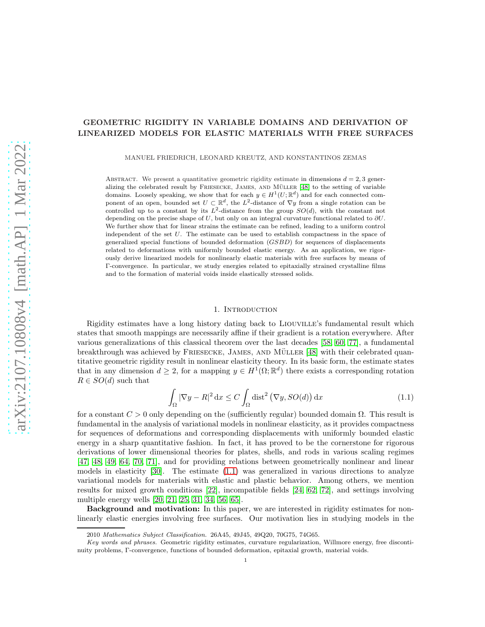# GEOMETRIC RIGIDITY IN VARIABLE DOMAINS AND DERIVATION OF LINEARIZED MODELS FOR ELASTIC MATERIALS WITH FREE SURFACES

MANUEL FRIEDRICH, LEONARD KREUTZ, AND KONSTANTINOS ZEMAS

ABSTRACT. We present a quantitative geometric rigidity estimate in dimensions  $d = 2, 3$  gener-alizing the celebrated result by FRIESECKE, JAMES, AND MÜLLER [\[48\]](#page-49-0) to the setting of variable domains. Loosely speaking, we show that for each  $y \in H^1(U;\mathbb{R}^d)$  and for each connected component of an open, bounded set  $U \subset \mathbb{R}^d$ , the L<sup>2</sup>-distance of  $\nabla y$  from a single rotation can be controlled up to a constant by its  $L^2$ -distance from the group  $SO(d)$ , with the constant not depending on the precise shape of U, but only on an integral curvature functional related to  $\partial U$ . We further show that for linear strains the estimate can be refined, leading to a uniform control independent of the set  $U$ . The estimate can be used to establish compactness in the space of generalized special functions of bounded deformation (GSBD) for sequences of displacements related to deformations with uniformly bounded elastic energy. As an application, we rigorously derive linearized models for nonlinearly elastic materials with free surfaces by means of Γ-convergence. In particular, we study energies related to epitaxially strained crystalline films and to the formation of material voids inside elastically stressed solids.

### <span id="page-0-0"></span>1. INTRODUCTION

Rigidity estimates have a long history dating back to Liouville's fundamental result which states that smooth mappings are necessarily affine if their gradient is a rotation everywhere. After various generalizations of this classical theorem over the last decades [\[58,](#page-49-1) [60,](#page-49-2) [77\]](#page-50-0), a fundamental breakthrough was achieved by FRIESECKE, JAMES, AND MÜLLER [\[48\]](#page-49-0) with their celebrated quantitative geometric rigidity result in nonlinear elasticity theory. In its basic form, the estimate states that in any dimension  $d \geq 2$ , for a mapping  $y \in H^1(\Omega;\mathbb{R}^d)$  there exists a corresponding rotation  $R \in SO(d)$  such that

$$
\int_{\Omega} |\nabla y - R|^2 \,dx \le C \int_{\Omega} \text{dist}^2 (\nabla y, SO(d)) \,dx \tag{1.1}
$$

for a constant  $C > 0$  only depending on the (sufficiently regular) bounded domain  $\Omega$ . This result is fundamental in the analysis of variational models in nonlinear elasticity, as it provides compactness for sequences of deformations and corresponding displacements with uniformly bounded elastic energy in a sharp quantitative fashion. In fact, it has proved to be the cornerstone for rigorous derivations of lower dimensional theories for plates, shells, and rods in various scaling regimes [\[47,](#page-49-3) [48,](#page-49-0) [49,](#page-49-4) [64,](#page-49-5) [70,](#page-49-6) [71\]](#page-49-7), and for providing relations between geometrically nonlinear and linear models in elasticity [\[30\]](#page-48-0). The estimate [\(1.1\)](#page-0-0) was generalized in various directions to analyze variational models for materials with elastic and plastic behavior. Among others, we mention results for mixed growth conditions [\[22\]](#page-48-1), incompatible fields [\[24,](#page-48-2) [62,](#page-49-8) [72\]](#page-49-9), and settings involving multiple energy wells [\[20,](#page-48-3) [21,](#page-48-4) [25,](#page-48-5) [31,](#page-48-6) 34, [56,](#page-49-10) [65\]](#page-49-11).

Background and motivation: In this paper, we are interested in rigidity estimates for nonlinearly elastic energies involving free surfaces. Our motivation lies in studying models in the

arXiv:2107.10808v4 [math.AP] 1 Mar 2022

<sup>2010</sup> Mathematics Subject Classification. 26A45, 49J45, 49Q20, 70G75, 74G65.

Key words and phrases. Geometric rigidity estimates, curvature regularization, Willmore energy, free discontinuity problems, Γ-convergence, functions of bounded deformation, epitaxial growth, material voids.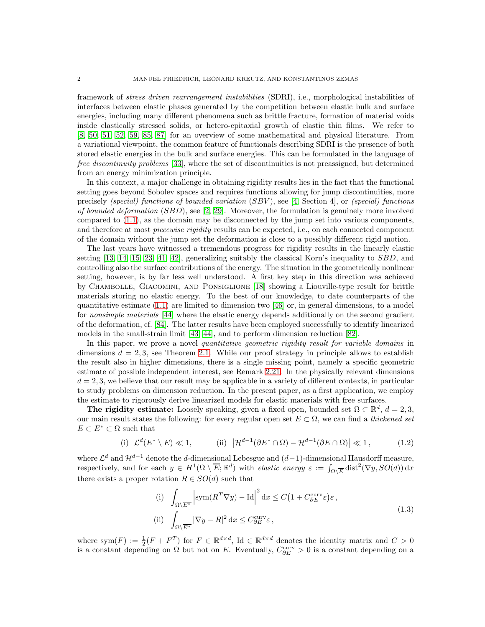framework of stress driven rearrangement instabilities (SDRI), i.e., morphological instabilities of interfaces between elastic phases generated by the competition between elastic bulk and surface energies, including many different phenomena such as brittle fracture, formation of material voids inside elastically stressed solids, or hetero-epitaxial growth of elastic thin films. We refer to [\[8,](#page-47-0) [50,](#page-49-12) [51,](#page-49-13) [52,](#page-49-14) [59,](#page-49-15) [85,](#page-50-1) [87\]](#page-50-2) for an overview of some mathematical and physical literature. From a variational viewpoint, the common feature of functionals describing SDRI is the presence of both stored elastic energies in the bulk and surface energies. This can be formulated in the language of free discontinuity problems [\[33\]](#page-48-7), where the set of discontinuities is not preassigned, but determined from an energy minimization principle.

In this context, a major challenge in obtaining rigidity results lies in the fact that the functional setting goes beyond Sobolev spaces and requires functions allowing for jump discontinuities, more precisely (special) functions of bounded variation  $(SBV)$ , see [\[4,](#page-47-1) Section 4], or (special) functions of bounded deformation (SBD), see [2, [29\]](#page-48-8). Moreover, the formulation is genuinely more involved compared to [\(1.1\)](#page-0-0), as the domain may be disconnected by the jump set into various components, and therefore at most *piecewise rigidity* results can be expected, i.e., on each connected component of the domain without the jump set the deformation is close to a possibly different rigid motion.

The last years have witnessed a tremendous progress for rigidity results in the linearly elastic setting [\[13,](#page-47-2) [14,](#page-47-3) [15,](#page-47-4) [23,](#page-48-9) [41,](#page-48-10) [42\]](#page-48-11), generalizing suitably the classical Korn's inequality to  $SBD$ , and controlling also the surface contributions of the energy. The situation in the geometrically nonlinear setting, however, is by far less well understood. A first key step in this direction was achieved by Chambolle, Giacomini, and Ponsiglione [\[18\]](#page-48-12) showing a Liouville-type result for brittle materials storing no elastic energy. To the best of our knowledge, to date counterparts of the quantitative estimate  $(1.1)$  are limited to dimension two [\[46\]](#page-48-13) or, in general dimensions, to a model for nonsimple materials [\[44\]](#page-48-14) where the elastic energy depends additionally on the second gradient of the deformation, cf. [\[84\]](#page-50-3). The latter results have been employed successfully to identify linearized models in the small-strain limit [\[43,](#page-48-15) [44\]](#page-48-14), and to perform dimension reduction [\[82\]](#page-50-4).

In this paper, we prove a novel quantitative geometric rigidity result for variable domains in dimensions  $d = 2, 3$ , see Theorem [2.1.](#page-6-0) While our proof strategy in principle allows to establish the result also in higher dimensions, there is a single missing point, namely a specific geometric estimate of possible independent interest, see Remark [2.21.](#page-26-0) In the physically relevant dimensions  $d = 2, 3$ , we believe that our result may be applicable in a variety of different contexts, in particular to study problems on dimension reduction. In the present paper, as a first application, we employ the estimate to rigorously derive linearized models for elastic materials with free surfaces.

The rigidity estimate: Loosely speaking, given a fixed open, bounded set  $\Omega \subset \mathbb{R}^d$ ,  $d = 2, 3$ , our main result states the following: for every regular open set  $E \subset \Omega$ , we can find a thickened set  $E \subset E^* \subset \Omega$  such that

(i) 
$$
\mathcal{L}^d(E^* \setminus E) \ll 1
$$
, (ii)  $|\mathcal{H}^{d-1}(\partial E^* \cap \Omega) - \mathcal{H}^{d-1}(\partial E \cap \Omega)| \ll 1$ , (1.2)

where  $\mathcal{L}^d$  and  $\mathcal{H}^{d-1}$  denote the d-dimensional Lebesgue and  $(d-1)$ -dimensional Hausdorff measure, respectively, and for each  $y \in H^1(\Omega \setminus \overline{E}; \mathbb{R}^d)$  with *elastic energy*  $\varepsilon := \int_{\Omega \setminus \overline{E}} \text{dist}^2(\nabla y, SO(d)) dx$ there exists a proper rotation  $R \in SO(d)$  such that

<span id="page-1-1"></span><span id="page-1-0"></span>(i) 
$$
\int_{\Omega \setminus \overline{E^*}} \left| \operatorname{sym}(R^T \nabla y) - \operatorname{Id} \right|^2 \mathrm{d}x \le C \left( 1 + C_{\partial E}^{\text{curv}} \varepsilon \right) \varepsilon,
$$
  
\n(ii) 
$$
\int_{\Omega \setminus \overline{E^*}} |\nabla y - R|^2 \mathrm{d}x \le C_{\partial E}^{\text{curv}} \varepsilon,
$$
\n(1.3)

where sym $(F) := \frac{1}{2}(F + F^T)$  for  $F \in \mathbb{R}^{d \times d}$ , Id  $\in \mathbb{R}^{d \times d}$  denotes the identity matrix and  $C > 0$ is a constant depending on  $\Omega$  but not on E. Eventually,  $C_{\partial E}^{\text{curv}} > 0$  is a constant depending on a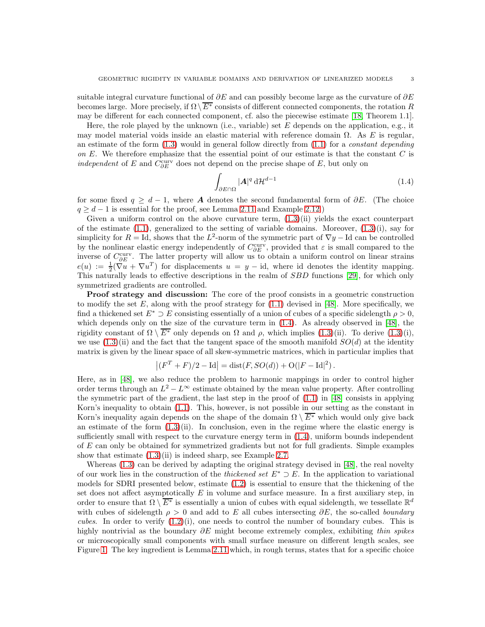suitable integral curvature functional of  $\partial E$  and can possibly become large as the curvature of  $\partial E$ becomes large. More precisely, if  $\Omega\setminus\overline{E^*}$  consists of different connected components, the rotation R may be different for each connected component, cf. also the piecewise estimate [\[18,](#page-48-12) Theorem 1.1].

Here, the role played by the unknown (i.e., variable) set  $E$  depends on the application, e.g., it may model material voids inside an elastic material with reference domain  $\Omega$ . As E is regular, an estimate of the form  $(1.3)$  would in general follow directly from  $(1.1)$  for a *constant depending* on E. We therefore emphasize that the essential point of our estimate is that the constant C is *independent* of E and  $C_{\partial E}^{\text{curv}}$  does not depend on the precise shape of E, but only on

<span id="page-2-0"></span>
$$
\int_{\partial E \cap \Omega} |\mathbf{A}|^q \, \mathrm{d} \mathcal{H}^{d-1} \tag{1.4}
$$

for some fixed  $q \geq d-1$ , where **A** denotes the second fundamental form of  $\partial E$ . (The choice  $q \geq d-1$  is essential for the proof, see Lemma [2.11](#page-14-0) and Example [2.12.](#page-14-1))

Given a uniform control on the above curvature term,  $(1.3)(ii)$  yields the exact counterpart of the estimate  $(1.1)$ , generalized to the setting of variable domains. Moreover,  $(1.3)(i)$ , say for simplicity for  $R = \text{Id}$ , shows that the  $L^2$ -norm of the symmetric part of  $\nabla y - \text{Id}$  can be controlled by the nonlinear elastic energy independently of  $C_{\partial E}^{\text{curv}}$ , provided that  $\varepsilon$  is small compared to the inverse of  $C_{\partial E}^{\text{curv}}$ . The latter property will allow us to obtain a uniform control on linear strains  $e(u) := \frac{1}{2}(\nabla u + \nabla u^T)$  for displacements  $u = y - id$ , where id denotes the identity mapping. This naturally leads to effective descriptions in the realm of SBD functions [\[29\]](#page-48-8), for which only symmetrized gradients are controlled.

Proof strategy and discussion: The core of the proof consists in a geometric construction to modify the set  $E$ , along with the proof strategy for  $(1.1)$  devised in [\[48\]](#page-49-0). More specifically, we find a thickened set  $E^* \supset E$  consisting essentially of a union of cubes of a specific sidelength  $\rho > 0$ , which depends only on the size of the curvature term in  $(1.4)$ . As already observed in [\[48\]](#page-49-0), the rigidity constant of  $\Omega \setminus \overline{E^*}$  only depends on  $\Omega$  and  $\rho$ , which implies [\(1.3\)](#page-1-0)(ii). To derive (1.3)(i), we use  $(1.3)(ii)$  and the fact that the tangent space of the smooth manifold  $SO(d)$  at the identity matrix is given by the linear space of all skew-symmetric matrices, which in particular implies that

$$
|(F^T + F)/2 - Id| = dist(F, SO(d)) + O(|F - Id|^2).
$$

Here, as in [\[48\]](#page-49-0), we also reduce the problem to harmonic mappings in order to control higher order terms through an  $L^2 - L^{\infty}$  estimate obtained by the mean value property. After controlling the symmetric part of the gradient, the last step in the proof of  $(1.1)$  in [\[48\]](#page-49-0) consists in applying Korn's inequality to obtain [\(1.1\)](#page-0-0). This, however, is not possible in our setting as the constant in Korn's inequality again depends on the shape of the domain  $\Omega \setminus \overline{E^*}$  which would only give back an estimate of the form  $(1.3)(ii)$ . In conclusion, even in the regime where the elastic energy is sufficiently small with respect to the curvature energy term in [\(1.4\)](#page-2-0), uniform bounds independent of E can only be obtained for symmetrized gradients but not for full gradients. Simple examples show that estimate  $(1.3)(ii)$  is indeed sharp, see Example [2.7.](#page-9-0)

Whereas [\(1.3\)](#page-1-0) can be derived by adapting the original strategy devised in [\[48\]](#page-49-0), the real novelty of our work lies in the construction of the *thickened set*  $E^* \supset E$ . In the application to variational models for SDRI presented below, estimate [\(1.2\)](#page-1-1) is essential to ensure that the thickening of the set does not affect asymptotically  $E$  in volume and surface measure. In a first auxiliary step, in order to ensure that  $\Omega \setminus \overline{E^*}$  is essentially a union of cubes with equal sidelength, we tessellate  $\mathbb{R}^d$ with cubes of sidelength  $\rho > 0$  and add to E all cubes intersecting  $\partial E$ , the so-called boundary cubes. In order to verify  $(1.2)(i)$ , one needs to control the number of boundary cubes. This is highly nontrivial as the boundary  $\partial E$  might become extremely complex, exhibiting thin spikes or microscopically small components with small surface measure on different length scales, see Figure [1.](#page-3-0) The key ingredient is Lemma [2.11](#page-14-0) which, in rough terms, states that for a specific choice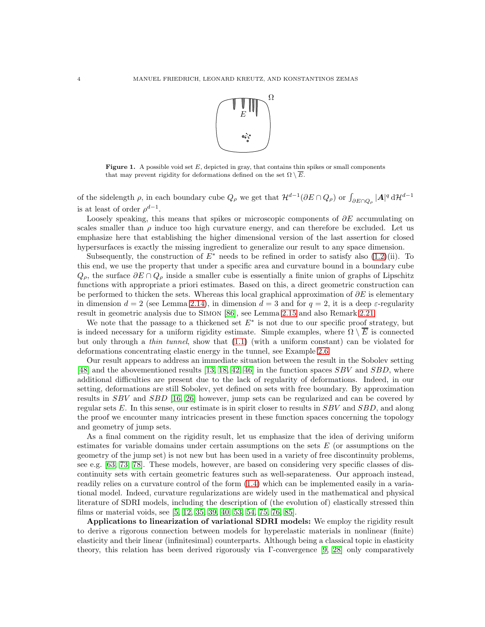

<span id="page-3-0"></span>**Figure 1.** A possible void set  $E$ , depicted in gray, that contains thin spikes or small components that may prevent rigidity for deformations defined on the set  $\Omega \setminus \overline{E}$ .

of the sidelength  $\rho$ , in each boundary cube  $Q_{\rho}$  we get that  $\mathcal{H}^{d-1}(\partial E \cap Q_{\rho})$  or  $\int_{\partial E \cap Q_{\rho}} |A|^q d\mathcal{H}^{d-1}$ is at least of order  $\rho^{d-1}$ .

Loosely speaking, this means that spikes or microscopic components of  $\partial E$  accumulating on scales smaller than  $\rho$  induce too high curvature energy, and can therefore be excluded. Let us emphasize here that establishing the higher dimensional version of the last assertion for closed hypersurfaces is exactly the missing ingredient to generalize our result to any space dimension.

Subsequently, the construction of  $E^*$  needs to be refined in order to satisfy also [\(1.2\)](#page-1-1)(ii). To this end, we use the property that under a specific area and curvature bound in a boundary cube  $Q_{\rho}$ , the surface  $\partial E \cap Q_{\rho}$  inside a smaller cube is essentially a finite union of graphs of Lipschitz functions with appropriate a priori estimates. Based on this, a direct geometric construction can be performed to thicken the sets. Whereas this local graphical approximation of  $\partial E$  is elementary in dimension  $d = 2$  (see Lemma [2.14\)](#page-20-0), in dimension  $d = 3$  and for  $q = 2$ , it is a deep  $\varepsilon$ -regularity result in geometric analysis due to Simon [\[86\]](#page-50-5), see Lemma [2.15](#page-20-1) and also Remark [2.21.](#page-26-0)

We note that the passage to a thickened set  $E^*$  is not due to our specific proof strategy, but is indeed necessary for a uniform rigidity estimate. Simple examples, where  $\Omega \setminus \overline{E}$  is connected but only through a thin tunnel, show that [\(1.1\)](#page-0-0) (with a uniform constant) can be violated for deformations concentrating elastic energy in the tunnel, see Example [2.6.](#page-8-0)

Our result appears to address an immediate situation between the result in the Sobolev setting [\[48\]](#page-49-0) and the abovementioned results [\[13,](#page-47-2) [18,](#page-48-12) [42,](#page-48-11) [46\]](#page-48-13) in the function spaces  $SBV$  and  $SBD$ , where additional difficulties are present due to the lack of regularity of deformations. Indeed, in our setting, deformations are still Sobolev, yet defined on sets with free boundary. By approximation results in SBV and SBD [\[16,](#page-48-16) [26\]](#page-48-17) however, jump sets can be regularized and can be covered by regular sets  $E$ . In this sense, our estimate is in spirit closer to results in  $SBV$  and  $SBD$ , and along the proof we encounter many intricacies present in these function spaces concerning the topology and geometry of jump sets.

As a final comment on the rigidity result, let us emphasize that the idea of deriving uniform estimates for variable domains under certain assumptions on the sets  $E$  (or assumptions on the geometry of the jump set) is not new but has been used in a variety of free discontinuity problems, see e.g. [\[63,](#page-49-16) [73,](#page-49-17) [78\]](#page-50-6). These models, however, are based on considering very specific classes of discontinuity sets with certain geometric features such as well-separateness. Our approach instead, readily relies on a curvature control of the form [\(1.4\)](#page-2-0) which can be implemented easily in a variational model. Indeed, curvature regularizations are widely used in the mathematical and physical literature of SDRI models, including the description of (the evolution of) elastically stressed thin films or material voids, see [\[5,](#page-47-5) [12,](#page-47-6) [35,](#page-48-18) [39,](#page-48-19) [40,](#page-48-20) [53,](#page-49-18) [54,](#page-49-19) [75,](#page-49-20) [76,](#page-49-21) [85\]](#page-50-1).

Applications to linearization of variational SDRI models: We employ the rigidity result to derive a rigorous connection between models for hyperelastic materials in nonlinear (finite) elasticity and their linear (infinitesimal) counterparts. Although being a classical topic in elasticity theory, this relation has been derived rigorously via Γ-convergence [\[9,](#page-47-7) [28\]](#page-48-21) only comparatively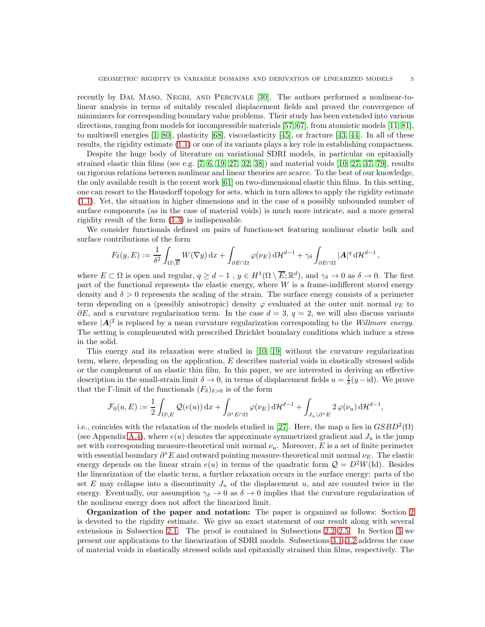recently by DAL MASO, NEGRI, AND PERCIVALE [\[30\]](#page-48-0). The authors performed a nonlinear-tolinear analysis in terms of suitably rescaled displacement fields and proved the convergence of minimizers for corresponding boundary value problems. Their study has been extended into various directions, ranging from models for incompressible materials [\[57,](#page-49-22) [67\]](#page-49-23), from atomistic models [\[11,](#page-47-8) [81\]](#page-50-7), to multiwell energies [\[1,](#page-47-9) [80\]](#page-50-8), plasticity [\[68\]](#page-49-24), viscoelasticity [\[45\]](#page-48-22), or fracture [\[43,](#page-48-15) [44\]](#page-48-14). In all of these results, the rigidity estimate [\(1.1\)](#page-0-0) or one of its variants plays a key role in establishing compactness.

Despite the huge body of literature on variational SDRI models, in particular on epitaxially strained elastic thin films (see e.g.  $[7, 6, 19, 27, 32, 38]$  $[7, 6, 19, 27, 32, 38]$  $[7, 6, 19, 27, 32, 38]$  $[7, 6, 19, 27, 32, 38]$  $[7, 6, 19, 27, 32, 38]$  $[7, 6, 19, 27, 32, 38]$ ) and material voids  $[10, 27, 37, 79]$  $[10, 27, 37, 79]$  $[10, 27, 37, 79]$ , results on rigorous relations between nonlinear and linear theories are scarce. To the best of our knowledge, the only available result is the recent work [\[61\]](#page-49-25) on two-dimensional elastic thin films. In this setting, one can resort to the Hausdorff topology for sets, which in turn allows to apply the rigidity estimate [\(1.1\)](#page-0-0). Yet, the situation in higher dimensions and in the case of a possibly unbounded number of surface components (as in the case of material voids) is much more intricate, and a more general rigidity result of the form [\(1.3\)](#page-1-0) is indispensable.

We consider functionals defined on pairs of function-set featuring nonlinear elastic bulk and surface contributions of the form

$$
F_{\delta}(y,E) := \frac{1}{\delta^2} \int_{\Omega \setminus \overline{E}} W(\nabla y) \,dx + \int_{\partial E \cap \Omega} \varphi(\nu_E) \,d\mathcal{H}^{d-1} + \gamma_{\delta} \int_{\partial E \cap \Omega} |\mathbf{A}|^q \,d\mathcal{H}^{d-1},
$$

where  $E \subset \Omega$  is open and regular,  $q \geq d-1$ ,  $y \in H^1(\Omega \setminus \overline{E}; \mathbb{R}^d)$ , and  $\gamma_\delta \to 0$  as  $\delta \to 0$ . The first part of the functional represents the elastic energy, where  $W$  is a frame-indifferent stored energy density and  $\delta > 0$  represents the scaling of the strain. The surface energy consists of a perimeter term depending on a (possibly anisotropic) density  $\varphi$  evaluated at the outer unit normal  $\nu_E$  to  $\partial E$ , and a curvature regularization term. In the case  $d = 3$ ,  $q = 2$ , we will also discuss variants where  $|\mathbf{A}|^2$  is replaced by a mean curvature regularization corresponding to the *Willmore energy*. The setting is complemented with prescribed Dirichlet boundary conditions which induce a stress in the solid.

This energy and its relaxation were studied in [\[10,](#page-47-12) [19\]](#page-48-23) without the curvature regularization term, where, depending on the application, E describes material voids in elastically stressed solids or the complement of an elastic thin film. In this paper, we are interested in deriving an effective description in the small-strain limit  $\delta \to 0$ , in terms of displacement fields  $u = \frac{1}{\delta}(y - id)$ . We prove that the Γ-limit of the functionals  $(F_\delta)_{\delta>0}$  is of the form

$$
\mathcal{F}_0(u,E) := \frac{1}{2} \int_{\Omega \setminus E} \mathcal{Q}(e(u)) \, dx + \int_{\partial^* E \cap \Omega} \varphi(\nu_E) \, d\mathcal{H}^{d-1} + \int_{J_u \setminus \partial^* E} 2 \, \varphi(\nu_u) \, d\mathcal{H}^{d-1},
$$

i.e., coincides with the relaxation of the models studied in [\[27\]](#page-48-24). Here, the map u lies in  $GSBD^2(\Omega)$ (see Appendix [A.4\)](#page-46-0), where  $e(u)$  denotes the approximate symmetrized gradient and  $J_u$  is the jump set with corresponding measure-theoretical unit normal  $\nu_u$ . Moreover, E is a set of finite perimeter with essential boundary  $\partial^* E$  and outward pointing measure-theoretical unit normal  $\nu_E$ . The elastic energy depends on the linear strain  $e(u)$  in terms of the quadratic form  $\mathcal{Q} = D^2W(\mathrm{Id})$ . Besides the linearization of the elastic term, a further relaxation occurs in the surface energy: parts of the set E may collapse into a discontinuity  $J_u$  of the displacement u, and are counted twice in the energy. Eventually, our assumption  $\gamma_{\delta} \to 0$  as  $\delta \to 0$  implies that the curvature regularization of the nonlinear energy does not affect the linearized limit.

Organization of the paper and notation: The paper is organized as follows: Section [2](#page-5-0) is devoted to the rigidity estimate. We give an exact statement of our result along with several extensions in Subsection [2.1.](#page-5-1) The proof is contained in Subsections [2.2–](#page-9-1)[2.5.](#page-20-2) In Section [3](#page-27-0) we present our applications to the linearization of SDRI models. Subsections [3.1–](#page-28-0)[3.2](#page-30-0) address the case of material voids in elastically stressed solids and epitaxially strained thin films, respectively. The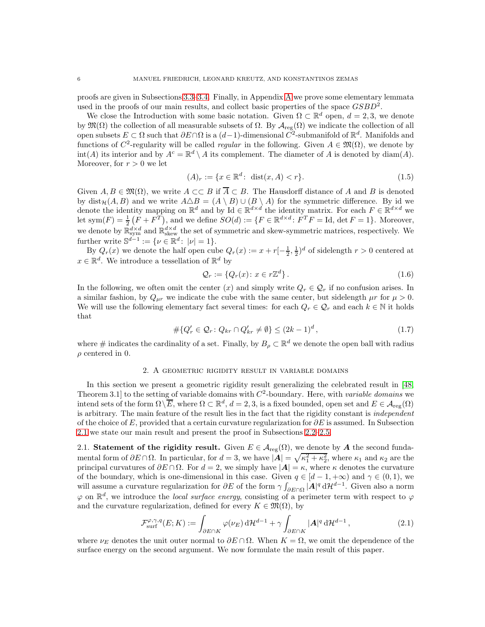proofs are given in Subsections [3.3–](#page-32-0)[3.4.](#page-36-0) Finally, in Appendix [A](#page-40-0) we prove some elementary lemmata used in the proofs of our main results, and collect basic properties of the space  $GSBD^2$ .

We close the Introduction with some basic notation. Given  $\Omega \subset \mathbb{R}^d$  open,  $d = 2, 3$ , we denote by  $\mathfrak{M}(\Omega)$  the collection of all measurable subsets of  $\Omega$ . By  $\mathcal{A}_{reg}(\Omega)$  we indicate the collection of all open subsets  $E \subset \Omega$  such that  $\partial E \cap \Omega$  is a  $(d-1)$ -dimensional  $C^2$ -submanifold of  $\mathbb{R}^d$ . Manifolds and functions of  $C^2$ -regularity will be called *regular* in the following. Given  $A \in \mathfrak{M}(\Omega)$ , we denote by int(A) its interior and by  $A^c = \mathbb{R}^d \setminus A$  its complement. The diameter of A is denoted by diam(A). Moreover, for  $r > 0$  we let

<span id="page-5-5"></span>
$$
(A)_r := \{ x \in \mathbb{R}^d \colon \text{ dist}(x, A) < r \}. \tag{1.5}
$$

Given  $A, B \in \mathfrak{M}(\Omega)$ , we write  $A \subset\subset B$  if  $\overline{A} \subset B$ . The Hausdorff distance of A and B is denoted by dist $\mathcal{H}(A, B)$  and we write  $A \triangle B = (A \setminus B) \cup (B \setminus A)$  for the symmetric difference. By id we denote the identity mapping on  $\mathbb{R}^d$  and by Id  $\in \mathbb{R}^{d \times d}$  the identity matrix. For each  $F \in \mathbb{R}^{d \times d}$  we let sym $(F) = \frac{1}{2} (F + F^{T})$ , and we define  $SO(d) := \{ F \in \mathbb{R}^{d \times d} : F^{T}F = \text{Id}, \det F = 1 \}$ . Moreover, we denote by  $\mathbb{R}^{d\times d}_{\rm skew}$  and  $\mathbb{R}^{d\times d}_{\rm skew}$  the set of symmetric and skew-symmetric matrices, respectively. We further write  $\mathbb{S}^{d-1} := \{ \nu \in \mathbb{R}^d : |\nu| = 1 \}.$ 

By  $Q_r(x)$  we denote the half open cube  $Q_r(x) := x + r\left[-\frac{1}{2}, \frac{1}{2}\right]^d$  of sidelength  $r > 0$  centered at  $x \in \mathbb{R}^d$ . We introduce a tessellation of  $\mathbb{R}^d$  by

<span id="page-5-4"></span><span id="page-5-3"></span>
$$
\mathcal{Q}_r := \{Q_r(x) \colon x \in r\mathbb{Z}^d\} \,. \tag{1.6}
$$

In the following, we often omit the center (x) and simply write  $Q_r \in \mathcal{Q}_r$  if no confusion arises. In a similar fashion, by  $Q_{\mu r}$  we indicate the cube with the same center, but sidelength  $\mu r$  for  $\mu > 0$ . We will use the following elementary fact several times: for each  $Q_r \in \mathcal{Q}_r$  and each  $k \in \mathbb{N}$  it holds that

$$
\#\{Q'_r \in \mathcal{Q}_r \colon Q_{kr} \cap Q'_{kr} \neq \emptyset\} \leq (2k-1)^d,\tag{1.7}
$$

<span id="page-5-0"></span>where  $\#$  indicates the cardinality of a set. Finally, by  $B_\rho \subset \mathbb{R}^d$  we denote the open ball with radius  $\rho$  centered in 0.

### 2. A geometric rigidity result in variable domains

In this section we present a geometric rigidity result generalizing the celebrated result in [\[48,](#page-49-0)] Theorem 3.1 to the setting of variable domains with  $C^2$ -boundary. Here, with variable domains we intend sets of the form  $\Omega \setminus \overline{E}$ , where  $\Omega \subset \mathbb{R}^d$ ,  $d = 2, 3$ , is a fixed bounded, open set and  $E \in \mathcal{A}_{reg}(\Omega)$ is arbitrary. The main feature of the result lies in the fact that the rigidity constant is *independent* of the choice of E, provided that a certain curvature regularization for  $\partial E$  is assumed. In Subsection [2.1](#page-5-1) we state our main result and present the proof in Subsections [2.2](#page-9-1)[–2.5.](#page-20-2)

<span id="page-5-1"></span>2.1. Statement of the rigidity result. Given  $E \in \mathcal{A}_{reg}(\Omega)$ , we denote by A the second fundamental form of  $\partial E \cap \Omega$ . In particular, for  $d = 3$ , we have  $|\mathbf{A}| = \sqrt{\kappa_1^2 + \kappa_2^2}$ , where  $\kappa_1$  and  $\kappa_2$  are the principal curvatures of  $\partial E \cap \Omega$ . For  $d = 2$ , we simply have  $|\mathbf{A}| = \kappa$ , where  $\kappa$  denotes the curvature of the boundary, which is one-dimensional in this case. Given  $q \in [d-1, +\infty)$  and  $\gamma \in (0, 1)$ , we will assume a curvature regularization for  $\partial E$  of the form  $\gamma \int_{\partial E \cap \Omega} |A|^q d\mathcal{H}^{d-1}$ . Given also a norm  $\varphi$  on  $\mathbb{R}^d$ , we introduce the *local surface energy*, consisting of a perimeter term with respect to  $\varphi$ and the curvature regularization, defined for every  $K \in \mathfrak{M}(\Omega)$ , by

<span id="page-5-2"></span>
$$
\mathcal{F}_{\text{surf}}^{\varphi,\gamma,q}(E;K) := \int_{\partial E \cap K} \varphi(\nu_E) \, \mathrm{d} \mathcal{H}^{d-1} + \gamma \int_{\partial E \cap K} |\mathbf{A}|^q \, \mathrm{d} \mathcal{H}^{d-1} \,, \tag{2.1}
$$

where  $\nu_E$  denotes the unit outer normal to  $\partial E \cap \Omega$ . When  $K = \Omega$ , we omit the dependence of the surface energy on the second argument. We now formulate the main result of this paper.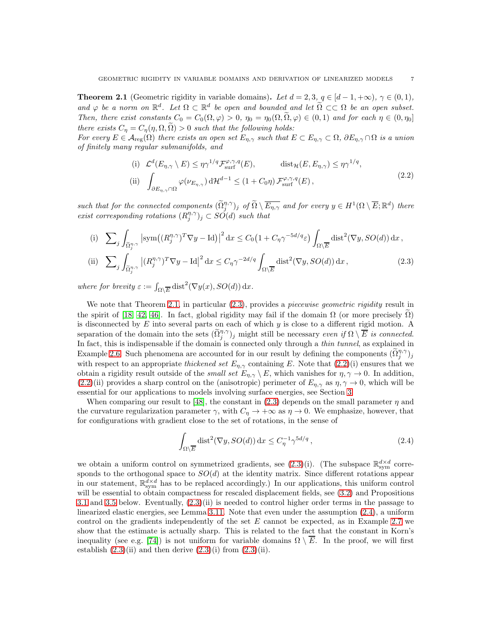<span id="page-6-0"></span>**Theorem 2.1** (Geometric rigidity in variable domains). Let  $d = 2, 3, q \in [d-1, +\infty), \gamma \in (0, 1),$ and  $\varphi$  be a norm on  $\mathbb{R}^d$ . Let  $\Omega \subset \mathbb{R}^d$  be open and bounded and let  $\widetilde{\Omega} \subset \subset \Omega$  be an open subset. Then, there exist constants  $C_0 = C_0(\Omega, \varphi) > 0$ ,  $\eta_0 = \eta_0(\Omega, \widetilde{\Omega}, \varphi) \in (0, 1)$  and for each  $\eta \in (0, \eta_0]$ there exists  $C_{\eta} = C_{\eta}(\eta, \Omega, \tilde{\Omega}) > 0$  such that the following holds:

For every  $E \in \mathcal{A}_{reg}(\Omega)$  there exists an open set  $E_{\eta,\gamma}$  such that  $E \subset E_{\eta,\gamma} \subset \Omega$ ,  $\partial E_{\eta,\gamma} \cap \Omega$  is a union of finitely many regular submanifolds, and

<span id="page-6-2"></span>(i) 
$$
\mathcal{L}^d(E_{\eta,\gamma} \setminus E) \le \eta \gamma^{1/q} \mathcal{F}_{\text{surf}}^{\varphi,\gamma,q}(E),
$$
 dist $\mathcal{H}(E, E_{\eta,\gamma}) \le \eta \gamma^{1/q},$   
\n(ii)  $\int_{\partial E_{\eta,\gamma} \cap \Omega} \varphi(\nu_{E_{\eta,\gamma}}) d\mathcal{H}^{d-1} \le (1 + C_0 \eta) \mathcal{F}_{\text{surf}}^{\varphi,\gamma,q}(E),$  (2.2)

such that for the connected components  $(\widetilde{\Omega}_j^{\eta,\gamma})_j$  of  $\widetilde{\Omega} \setminus \overline{E_{\eta,\gamma}}$  and for every  $y \in H^1(\Omega \setminus \overline{E}; \mathbb{R}^d)$  there exist corresponding rotations  $(R_j^{\eta,\gamma})_j \subset SO(d)$  such that

(i) 
$$
\sum_{j} \int_{\tilde{\Omega}_{j}^{n,\gamma}} \left| \operatorname{sym}((R_{j}^{n,\gamma})^{T} \nabla y - \operatorname{Id}) \right|^{2} \mathrm{d}x \leq C_{0} \left( 1 + C_{\eta} \gamma^{-5d/q} \varepsilon \right) \int_{\Omega \setminus \overline{E}} \operatorname{dist}^{2}(\nabla y, SO(d)) \mathrm{d}x,
$$
  
\n(ii) 
$$
\sum_{j} \int_{\tilde{\Omega}_{j}^{n,\gamma}} |(R_{j}^{n,\gamma})^{T} \nabla y - \operatorname{Id}|^{2} \mathrm{d}x \leq C_{\eta} \gamma^{-2d/q} \int_{\Omega \setminus \overline{E}} \operatorname{dist}^{2}(\nabla y, SO(d)) \mathrm{d}x,
$$
\n(2.3)

where for brevity  $\varepsilon := \int_{\Omega \setminus \overline{E}} \text{dist}^2(\nabla y(x), SO(d)) \, dx.$ 

We note that Theorem [2.1,](#page-6-0) in particular  $(2.3)$ , provides a *piecewise geometric rigidity* result in the spirit of [\[18,](#page-48-12) [42,](#page-48-11) [46\]](#page-48-13). In fact, global rigidity may fail if the domain  $\Omega$  (or more precisely  $\Omega$ ) is disconnected by  $E$  into several parts on each of which  $y$  is close to a different rigid motion. A separation of the domain into the sets  $(\widetilde{\Omega}_j^{\eta,\gamma})_j$  might still be necessary even if  $\Omega \setminus \overline{E}$  is connected. In fact, this is indispensable if the domain is connected only through a *thin tunnel*, as explained in Example [2.6.](#page-8-0) Such phenomena are accounted for in our result by defining the components  $(\tilde{\Omega}_{j}^{\eta,\gamma})_{j}$ with respect to an appropriate thickened set  $E_{\eta,\gamma}$  containing E. Note that [\(2.2\)](#page-6-2)(i) ensures that we obtain a rigidity result outside of the *small set*  $E_{\eta,\gamma} \setminus E$ , which vanishes for  $\eta, \gamma \to 0$ . In addition, [\(2.2\)](#page-6-2)(ii) provides a sharp control on the (anisotropic) perimeter of  $E_{\eta,\gamma}$  as  $\eta,\gamma \to 0$ , which will be essential for our applications to models involving surface energies, see Section [3.](#page-27-0)

When comparing our result to [\[48\]](#page-49-0), the constant in [\(2.3\)](#page-6-1) depends on the small parameter  $\eta$  and the curvature regularization parameter  $\gamma$ , with  $C_{\eta} \to +\infty$  as  $\eta \to 0$ . We emphasize, however, that for configurations with gradient close to the set of rotations, in the sense of

<span id="page-6-3"></span><span id="page-6-1"></span>
$$
\int_{\Omega \setminus \overline{E}} \text{dist}^2(\nabla y, SO(d)) \, dx \le C_{\eta}^{-1} \gamma^{5d/q} \,, \tag{2.4}
$$

we obtain a uniform control on symmetrized gradients, see  $(2.3)(i)$ . (The subspace  $\mathbb{R}^{d \times d}_{sym}$  corresponds to the orthogonal space to  $SO(d)$  at the identity matrix. Since different rotations appear in our statement,  $\mathbb{R}^{d \times d}_{sym}$  has to be replaced accordingly.) In our applications, this uniform control will be essential to obtain compactness for rescaled displacement fields, see  $(3.2)$  and Propositions [3.1](#page-28-1) and [3.5](#page-31-0) below. Eventually, [\(2.3\)](#page-6-1)(ii) is needed to control higher order terms in the passage to linearized elastic energies, see Lemma [3.11.](#page-36-1) Note that even under the assumption [\(2.4\)](#page-6-3), a uniform control on the gradients independently of the set  $E$  cannot be expected, as in Example [2.7](#page-9-0) we show that the estimate is actually sharp. This is related to the fact that the constant in Korn's inequality (see e.g. [\[74\]](#page-49-26)) is not uniform for variable domains  $\Omega \setminus \overline{E}$ . In the proof, we will first establish  $(2.3)(ii)$  and then derive  $(2.3)(i)$  from  $(2.3)(ii)$ .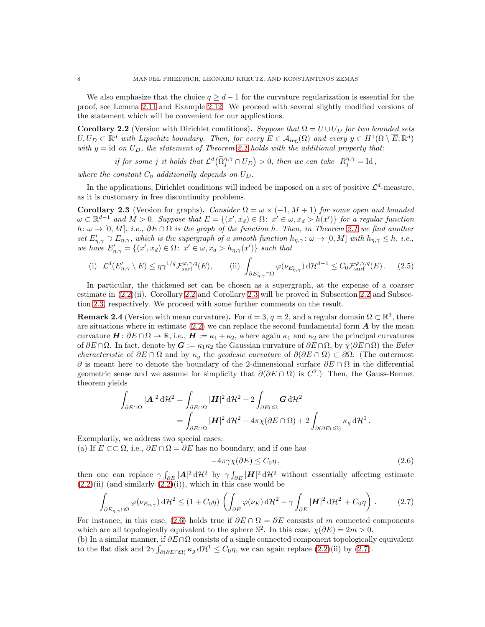We also emphasize that the choice  $q \geq d-1$  for the curvature regularization is essential for the proof, see Lemma [2.11](#page-14-0) and Example [2.12.](#page-14-1) We proceed with several slightly modified versions of the statement which will be convenient for our applications.

<span id="page-7-0"></span>Corollary 2.2 (Version with Dirichlet conditions). Suppose that  $\Omega = U \cup U_D$  for two bounded sets  $U, U_D \subset \mathbb{R}^d$  with Lipschitz boundary. Then, for every  $E \in \mathcal{A}_{reg}(\Omega)$  and every  $y \in H^1(\Omega \setminus \overline{E}; \mathbb{R}^d)$ with  $y = id$  on  $U_D$ , the statement of Theorem [2.1](#page-6-0) holds with the additional property that:

if for some j it holds that  $\mathcal{L}^d(\tilde{\Omega}_j^{\eta,\gamma} \cap U_D) > 0$ , then we can take  $R_j^{\eta,\gamma} = \text{Id}$ ,

where the constant  $C_n$  additionally depends on  $U_D$ .

In the applications, Dirichlet conditions will indeed be imposed on a set of positive  $\mathcal{L}^d$ -measure, as it is customary in free discontinuity problems.

<span id="page-7-1"></span>Corollary 2.3 (Version for graphs). Consider  $\Omega = \omega \times (-1, M + 1)$  for some open and bounded  $\omega \subset \mathbb{R}^{d-1}$  and  $M > 0$ . Suppose that  $E = \{(x', x_d) \in \Omega : x' \in \omega, x_d > h(x')\}$  for a regular function  $h: \omega \to [0, M], i.e., \partial E \cap \Omega$  is the graph of the function h. Then, in Theorem [2.1](#page-6-0) we find another set  $E'_{\eta,\gamma} \supset E_{\eta,\gamma}$ , which is the supergraph of a smooth function  $h_{\eta,\gamma}$ :  $\omega \to [0,M]$  with  $h_{\eta,\gamma} \leq h$ , i.e., we have  $E'_{\eta,\gamma} = \{(x',x_d) \in \Omega: x' \in \omega, x_d > h_{\eta,\gamma}(x')\}$  such that

<span id="page-7-4"></span>(i) 
$$
\mathcal{L}^d(E'_{\eta,\gamma} \setminus E) \le \eta \gamma^{1/q} \mathcal{F}^{\varphi,\gamma,q}_{\text{surf}}(E),
$$
 (ii)  $\int_{\partial E'_{\eta,\gamma} \cap \Omega} \varphi(\nu_{E'_{\eta,\gamma}}) \, d\mathcal{H}^{d-1} \le C_0 \mathcal{F}^{\varphi,\gamma,q}_{\text{surf}}(E).$  (2.5)

In particular, the thickened set can be chosen as a supergraph, at the expense of a coarser estimate in  $(2.2)(ii)$ . Corollary [2.2](#page-9-1) and Corollary [2.3](#page-7-1) will be proved in Subsection 2.2 and Subsection [2.3,](#page-13-0) respectively. We proceed with some further comments on the result.

<span id="page-7-5"></span>**Remark 2.4** (Version with mean curvature). For  $d = 3$ ,  $q = 2$ , and a regular domain  $\Omega \subset \mathbb{R}^3$ , there are situations where in estimate  $(2.2)$  we can replace the second fundamental form  $\boldsymbol{A}$  by the mean curvature  $\mathbf{H}$ :  $\partial E \cap \Omega \to \mathbb{R}$ , i.e.,  $\mathbf{H} := \kappa_1 + \kappa_2$ , where again  $\kappa_1$  and  $\kappa_2$  are the principal curvatures of  $\partial E \cap \Omega$ . In fact, denote by  $G := \kappa_1 \kappa_2$  the Gaussian curvature of  $\partial E \cap \Omega$ , by  $\chi(\partial E \cap \Omega)$  the Euler *characteristic* of  $\partial E \cap \Omega$  and by  $\kappa_g$  the *geodesic curvature* of  $\partial(\partial E \cap \Omega) \subset \partial \Omega$ . (The outermost  $\partial$  is meant here to denote the boundary of the 2-dimensional surface  $\partial E \cap \Omega$  in the differential geometric sense and we assume for simplicity that  $\partial(\partial E \cap \Omega)$  is  $C^2$ .) Then, the Gauss-Bonnet theorem yields

$$
\int_{\partial E \cap \Omega} |\mathbf{A}|^2 d\mathcal{H}^2 = \int_{\partial E \cap \Omega} |\mathbf{H}|^2 d\mathcal{H}^2 - 2 \int_{\partial E \cap \Omega} \mathbf{G} d\mathcal{H}^2
$$
  
= 
$$
\int_{\partial E \cap \Omega} |\mathbf{H}|^2 d\mathcal{H}^2 - 4\pi \chi(\partial E \cap \Omega) + 2 \int_{\partial(\partial E \cap \Omega)} \kappa_g d\mathcal{H}^1.
$$

Exemplarily, we address two special cases:

(a) If  $E \subset\subset \Omega$ , i.e.,  $\partial E \cap \Omega = \partial E$  has no boundary, and if one has

<span id="page-7-2"></span>
$$
-4\pi\gamma\chi(\partial E) \le C_0\eta\,,\tag{2.6}
$$

then one can replace  $\gamma \int_{\partial E} |A|^2 d\mathcal{H}^2$  by  $\gamma \int_{\partial E} |H|^2 d\mathcal{H}^2$  without essentially affecting estimate  $(2.2)$ (ii) (and similarly  $(2.2)$ (i)), which in this case would be

<span id="page-7-3"></span>
$$
\int_{\partial E_{\eta,\gamma}\cap\Omega} \varphi(\nu_{E_{\eta,\gamma}}) \,d\mathcal{H}^2 \le (1+C_0\eta) \left( \int_{\partial E} \varphi(\nu_E) \,d\mathcal{H}^2 + \gamma \int_{\partial E} |\mathbf{H}|^2 \,d\mathcal{H}^2 + C_0\eta \right). \tag{2.7}
$$

For instance, in this case, [\(2.6\)](#page-7-2) holds true if  $\partial E \cap \Omega = \partial E$  consists of m connected components which are all topologically equivalent to the sphere  $\mathbb{S}^2$ . In this case,  $\chi(\partial E) = 2m > 0$ .

(b) In a similar manner, if  $\partial E \cap \Omega$  consists of a single connected component topologically equivalent to the flat disk and  $2\gamma \int_{\partial(\partial E \cap \Omega)} \kappa_g d\mathcal{H}^1 \leq C_0 \eta$ , we can again replace  $(2.2)(ii)$  by  $(2.7)$ .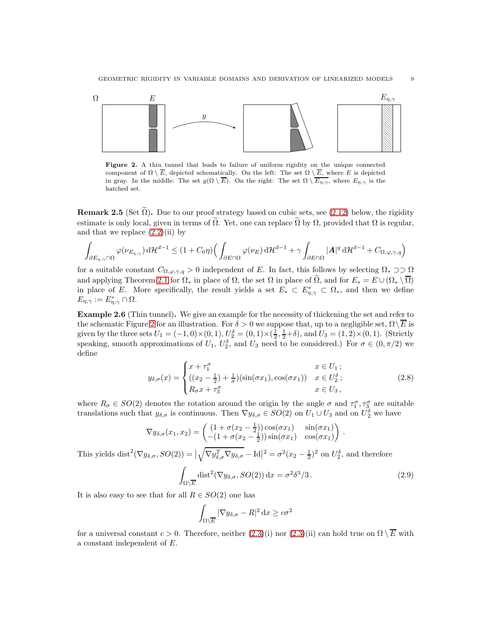<span id="page-8-1"></span>

Figure 2. A thin tunnel that leads to failure of uniform rigidity on the unique connected component of  $\Omega \setminus \overline{E}$ , depicted schematically. On the left: The set  $\Omega \setminus \overline{E}$ , where E is depicted in gray. In the middle: The set  $y(\Omega \setminus \overline{E})$ . On the right: The set  $\Omega \setminus \overline{E_{\eta,\gamma}}$ , where  $E_{\eta,\gamma}$  is the hatched set.

**Remark 2.5** (Set  $\Omega$ ). Due to our proof strategy based on cubic sets, see [\(2.12\)](#page-10-0) below, the rigidity estimate is only local, given in terms of  $\tilde{\Omega}$ . Yet, one can replace  $\tilde{\Omega}$  by  $\Omega$ , provided that  $\Omega$  is regular, and that we replace  $(2.2)(ii)$  by

$$
\int_{\partial E_{\eta,\gamma}\cap\Omega} \varphi(\nu_{E_{\eta,\gamma}}) \,d\mathcal{H}^{d-1} \leq (1+C_0\eta) \Big( \int_{\partial E\cap\Omega} \varphi(\nu_E) \,d\mathcal{H}^{d-1} + \gamma \int_{\partial E\cap\Omega} |A|^q \,d\mathcal{H}^{d-1} + C_{\Omega,\varphi,\gamma,q} \Big)
$$

for a suitable constant  $C_{\Omega,\varphi,\gamma,q} > 0$  independent of E. In fact, this follows by selecting  $\Omega_* \supset \Omega$ and applying Theorem [2.1](#page-6-0) for  $\Omega_*$  in place of  $\Omega$ , the set  $\Omega$  in place of  $\Omega$ , and for  $E_* = E \cup (\Omega_* \setminus \overline{\Omega})$ in place of E. More specifically, the result yields a set  $E_* \subset E^*_{\eta,\gamma} \subset \Omega_*$ , and then we define  $E_{\eta,\gamma} := E_{\eta,\gamma}^* \cap \Omega.$ 

<span id="page-8-0"></span>Example 2.6 (Thin tunnel). We give an example for the necessity of thickening the set and refer to the schematic Figure [2](#page-8-1) for an illustration. For  $\delta > 0$  we suppose that, up to a negligible set,  $\Omega \backslash \overline{E}$  is given by the three sets  $U_1 = (-1,0) \times (0,1)$ ,  $U_2^{\delta} = (0,1) \times (\frac{1}{2}, \frac{1}{2} + \delta)$ , and  $U_3 = (1,2) \times (0,1)$ . (Strictly speaking, smooth approximations of  $U_1$ ,  $U_2^{\delta}$ , and  $U_3$  need to be considered.) For  $\sigma \in (0, \pi/2)$  we define

$$
y_{\delta,\sigma}(x) = \begin{cases} x + \tau_1^{\sigma} & x \in U_1 ;\\ ((x_2 - \frac{1}{2}) + \frac{1}{\sigma})(\sin(\sigma x_1), \cos(\sigma x_1)) & x \in U_2^{\delta} ;\\ R_{\sigma}x + \tau_3^{\sigma} & x \in U_3 , \end{cases}
$$
(2.8)

where  $R_{\sigma} \in SO(2)$  denotes the rotation around the origin by the angle  $\sigma$  and  $\tau_1^{\sigma}, \tau_3^{\sigma}$  are suitable translations such that  $y_{\delta,\sigma}$  is continuous. Then  $\nabla y_{\delta,\sigma} \in SO(2)$  on  $U_1 \cup U_3$  and on  $U_2^{\delta}$  we have

$$
\nabla y_{\delta,\sigma}(x_1, x_2) = \begin{pmatrix} (1 + \sigma(x_2 - \frac{1}{2})) \cos(\sigma x_1) & \sin(\sigma x_1) \\ -(1 + \sigma(x_2 - \frac{1}{2})) \sin(\sigma x_1) & \cos(\sigma x_1) \end{pmatrix}
$$

This yields  $dist^2(\nabla y_{\delta,\sigma}, SO(2)) = |$  $\sqrt{\nabla y_{\delta,\sigma}^T \nabla y_{\delta,\sigma}} - \text{Id}\big|^2 = \sigma^2 (x_2 - \frac{1}{2})^2$  on  $U_2^{\delta}$ , and therefore

$$
\int_{\Omega \setminus \overline{E}} \text{dist}^2(\nabla y_{\delta,\sigma}, SO(2)) \, \mathrm{d}x = \sigma^2 \delta^3 / 3 \,. \tag{2.9}
$$

<span id="page-8-3"></span><span id="page-8-2"></span>.

It is also easy to see that for all  $R \in SO(2)$  one has

$$
\int_{\Omega\setminus\overline{E}}|\nabla y_{\delta,\sigma}-R|^2\,\mathrm{d}x\geq c\sigma^2
$$

for a universal constant  $c > 0$ . Therefore, neither  $(2.3)(i)$  nor  $(2.3)(ii)$  can hold true on  $\Omega \setminus \overline{E}$  with a constant independent of E.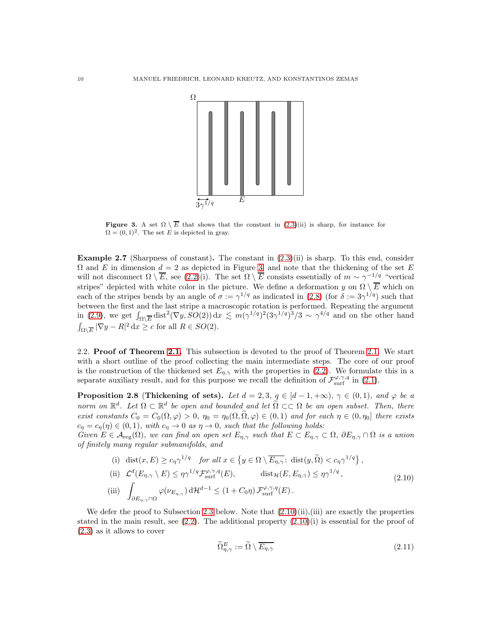<span id="page-9-2"></span>

Figure 3. A set  $\Omega \setminus \overline{E}$  that shows that the constant in  $(2.3)(ii)$  is sharp, for instance for  $\Omega = (0, 1)^2$ . The set E is depicted in gray.

<span id="page-9-0"></span>**Example 2.7** (Sharpness of constant). The constant in  $(2.3)(ii)$  is sharp. To this end, consider  $\Omega$  and E in dimension  $d = 2$  as depicted in Figure [3,](#page-9-2) and note that the thickening of the set E will not disconnect  $\Omega \setminus \overline{E}$ , see  $(2.2)(i)$ . The set  $\Omega \setminus \overline{E}$  consists essentially of  $m \sim \gamma^{-1/q}$  "vertical stripes" depicted with white color in the picture. We define a deformation y on  $\Omega \setminus \overline{E}$  which on each of the stripes bends by an angle of  $\sigma := \gamma^{1/q}$  as indicated in [\(2.8\)](#page-8-2) (for  $\delta := 3\gamma^{1/q}$ ) such that between the first and the last stripe a macroscopic rotation is performed. Repeating the argument in [\(2.9\)](#page-8-3), we get  $\int_{\Omega \setminus \overline{E}} \text{dist}^2(\nabla y, SO(2)) dx \lesssim m(\gamma^{1/q})^2 (3\gamma^{1/q})^3/3 \sim \gamma^{4/q}$  and on the other hand  $\int_{\Omega \setminus \overline{E}} |\nabla y - R|^2 \,dx \ge c$  for all  $R \in SO(2)$ .

<span id="page-9-1"></span>2.2. Proof of Theorem [2.1.](#page-6-0) This subsection is devoted to the proof of Theorem 2.1. We start with a short outline of the proof collecting the main intermediate steps. The core of our proof is the construction of the thickened set  $E_{\eta,\gamma}$  with the properties in [\(2.2\)](#page-6-2). We formulate this in a separate auxiliary result, and for this purpose we recall the definition of  $\mathcal{F}^{\varphi,\gamma,q}_{\text{surf}}$  in [\(2.1\)](#page-5-2).

<span id="page-9-4"></span>**Proposition 2.8 (Thickening of sets).** Let  $d = 2, 3, q \in [d-1, +\infty)$ ,  $\gamma \in (0, 1)$ , and  $\varphi$  be a norm on  $\mathbb{R}^d$ . Let  $\Omega \subset \mathbb{R}^d$  be open and bounded and let  $\widetilde{\Omega} \subset\subset \Omega$  be an open subset. Then, there exist constants  $C_0 = C_0(\Omega, \varphi) > 0$ ,  $\eta_0 = \eta_0(\Omega, \widetilde{\Omega}, \varphi) \in (0, 1)$  and for each  $\eta \in (0, \eta_0]$  there exists  $c_{\eta} = c_{\eta}(\eta) \in (0,1)$ , with  $c_{\eta} \to 0$  as  $\eta \to 0$ , such that the following holds:

Given  $E \in \mathcal{A}_{reg}(\Omega)$ , we can find an open set  $E_{\eta,\gamma}$  such that  $E \subset E_{\eta,\gamma} \subset \Omega$ ,  $\partial E_{\eta,\gamma} \cap \Omega$  is a union of finitely many regular submanifolds, and

(i) 
$$
\operatorname{dist}(x, E) \ge c_{\eta} \gamma^{1/q}
$$
 for all  $x \in \{y \in \Omega \setminus \overline{E_{\eta,\gamma}}:\operatorname{dist}(y, \widetilde{\Omega}) < c_{\eta} \gamma^{1/q}\},$   
\n(ii)  $\mathcal{L}^d(E_{\eta,\gamma} \setminus E) \le \eta \gamma^{1/q} \mathcal{F}_{\text{surf}}^{\varphi,\gamma,q}(E),$   $\operatorname{dist}_{\mathcal{H}}(E, E_{\eta,\gamma}) \le \eta \gamma^{1/q},$   
\n(iii)  $\int_{\partial E_{\eta,\gamma} \cap \Omega} \varphi(\nu_{E_{\eta,\gamma}}) \, d\mathcal{H}^{d-1} \le (1 + C_0 \eta) \mathcal{F}_{\text{surf}}^{\varphi,\gamma,q}(E).$  (2.10)

We defer the proof to Subsection [2.3](#page-13-0) below. Note that  $(2.10)(ii),iii)$  are exactly the properties stated in the main result, see  $(2.2)$ . The additional property  $(2.10)(i)$  is essential for the proof of [\(2.3\)](#page-6-1) as it allows to cover

<span id="page-9-5"></span><span id="page-9-3"></span>
$$
\widetilde{\Omega}_{\eta,\gamma}^E := \widetilde{\Omega} \setminus \overline{E_{\eta,\gamma}} \tag{2.11}
$$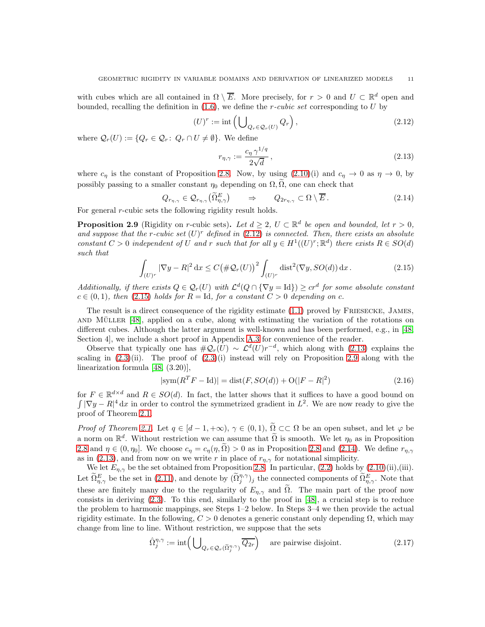with cubes which are all contained in  $\Omega \setminus \overline{E}$ . More precisely, for  $r > 0$  and  $U \subset \mathbb{R}^d$  open and bounded, recalling the definition in  $(1.6)$ , we define the *r*-cubic set corresponding to U by

$$
(U)^r := \operatorname{int} \left( \bigcup_{Q_r \in \mathcal{Q}_r(U)} Q_r \right),\tag{2.12}
$$

where  $\mathcal{Q}_r(U) := \{Q_r \in \mathcal{Q}_r : Q_r \cap U \neq \emptyset\}$ . We define

<span id="page-10-4"></span><span id="page-10-2"></span><span id="page-10-1"></span><span id="page-10-0"></span>
$$
r_{\eta,\gamma} := \frac{c_{\eta} \gamma^{1/q}}{2\sqrt{d}},\tag{2.13}
$$

where  $c_{\eta}$  is the constant of Proposition [2.8.](#page-9-4) Now, by using  $(2.10)(i)$  and  $c_{\eta} \to 0$  as  $\eta \to 0$ , by possibly passing to a smaller constant  $\eta_0$  depending on  $\Omega$ ,  $\overline{\Omega}$ , one can check that

$$
Q_{r_{\eta,\gamma}} \in \mathcal{Q}_{r_{\eta,\gamma}}(\widetilde{\Omega}_{\eta,\gamma}^{E}) \qquad \Rightarrow \qquad Q_{2r_{\eta,\gamma}} \subset \Omega \setminus \overline{E} \,.
$$

For general *r*-cubic sets the following rigidity result holds.

<span id="page-10-3"></span>**Proposition 2.9** (Rigidity on r-cubic sets). Let  $d \geq 2$ ,  $U \subset \mathbb{R}^d$  be open and bounded, let  $r > 0$ , and suppose that the r-cubic set  $(U)^r$  defined in [\(2.12\)](#page-10-0) is connected. Then, there exists an absolute constant  $C > 0$  independent of U and r such that for all  $y \in H^1((U)^r; \mathbb{R}^d)$  there exists  $R \in SO(d)$ such that

$$
\int_{(U)^r} |\nabla y - R|^2 \, \mathrm{d}x \le C \big(\# \mathcal{Q}_r(U)\big)^2 \int_{(U)^r} \text{dist}^2(\nabla y, SO(d)) \, \mathrm{d}x \,. \tag{2.15}
$$

Additionally, if there exists  $Q \in \mathcal{Q}_r(U)$  with  $\mathcal{L}^d(Q \cap {\nabla y = \text{Id}}) \geq cr^d$  for some absolute constant  $c \in (0,1)$ , then [\(2.15\)](#page-10-1) holds for  $R = \text{Id}$ , for a constant  $C > 0$  depending on c.

The result is a direct consequence of the rigidity estimate [\(1.1\)](#page-0-0) proved by FRIESECKE, JAMES, AND MÜLLER  $[48]$ , applied on a cube, along with estimating the variation of the rotations on different cubes. Although the latter argument is well-known and has been performed, e.g., in [\[48,](#page-49-0) Section 4], we include a short proof in Appendix [A.3](#page-45-0) for convenience of the reader.

Observe that typically one has  $\#\mathcal{Q}_r(U) \sim \mathcal{L}^d(U)r^{-d}$ , which along with [\(2.13\)](#page-10-2) explains the scaling in  $(2.3)(ii)$ . The proof of  $(2.3)(i)$  instead will rely on Proposition [2.9](#page-10-3) along with the linearization formula [\[48,](#page-49-0) (3.20)],

<span id="page-10-6"></span>
$$
|\text{sym}(R^T F - \text{Id})| = \text{dist}(F, SO(d)) + \text{O}(|F - R|^2)
$$
\n(2.16)

for  $F \in \mathbb{R}^{d \times d}$  and  $R \in SO(d)$ . In fact, the latter shows that it suffices to have a good bound on  $\int |\nabla y - R|^4 dx$  in order to control the symmetrized gradient in  $L^2$ . We are now ready to give the proof of Theorem [2.1.](#page-6-0)

*Proof of Theorem [2.1.](#page-6-0)* Let  $q \in [d-1, +\infty)$ ,  $\gamma \in (0, 1)$ ,  $\widetilde{\Omega} \subset\subset \Omega$  be an open subset, and let  $\varphi$  be a norm on  $\mathbb{R}^d$ . Without restriction we can assume that  $\tilde{\Omega}$  is smooth. We let  $\eta_0$  as in Proposition [2.8](#page-9-4) and  $\eta \in (0, \eta_0]$ . We choose  $c_{\eta} = c_{\eta}(\eta, \tilde{\Omega}) > 0$  as in Proposition [2.8](#page-9-4) and [\(2.14\)](#page-10-4). We define  $r_{\eta, \gamma}$ as in [\(2.13\)](#page-10-2), and from now on we write r in place of  $r_{\eta,\gamma}$  for notational simplicity.

We let  $E_{\eta,\gamma}$  be the set obtained from Proposition [2.8.](#page-9-4) In particular, [\(2.2\)](#page-6-2) holds by [\(2.10\)](#page-9-3)(ii),(iii). Let  $\widetilde{\Omega}_{\eta,\gamma}^E$  be the set in [\(2.11\)](#page-9-5), and denote by  $(\widetilde{\Omega}_{j}^{\eta,\gamma})_j$  the connected components of  $\widetilde{\Omega}_{\eta,\gamma}^E$ . Note that these are finitely many due to the regularity of  $E_{\eta,\gamma}$  and  $\tilde{\Omega}$ . The main part of the proof now consists in deriving  $(2.3)$ . To this end, similarly to the proof in [\[48\]](#page-49-0), a crucial step is to reduce the problem to harmonic mappings, see Steps 1–2 below. In Steps 3–4 we then provide the actual rigidity estimate. In the following,  $C > 0$  denotes a generic constant only depending  $\Omega$ , which may change from line to line. Without restriction, we suppose that the sets

<span id="page-10-5"></span>
$$
\hat{\Omega}_{j}^{\eta,\gamma} := \text{int}\left(\bigcup_{Q_{r} \in \mathcal{Q}_{r}(\tilde{\Omega}_{j}^{\eta,\gamma})} \overline{Q_{2r}}\right) \quad \text{are pairwise disjoint.} \tag{2.17}
$$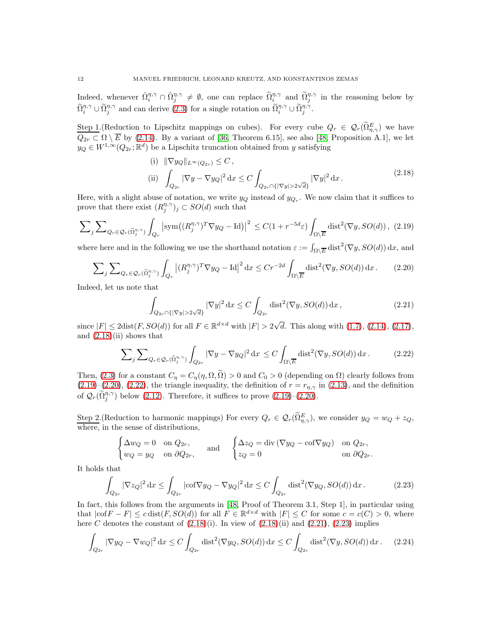Indeed, whenever  $\hat{\Omega}_i^{\eta,\gamma} \cap \hat{\Omega}_j^{\eta,\gamma} \neq \emptyset$ , one can replace  $\tilde{\Omega}_i^{\eta,\gamma}$  and  $\tilde{\Omega}_j^{\eta,\gamma}$  in the reasoning below by  $\widetilde{\Omega}_{i}^{\eta,\gamma} \cup \widetilde{\Omega}_{j}^{\eta,\gamma}$  and can derive  $(2.3)$  for a single rotation on  $\widetilde{\Omega}_{i}^{\eta,\gamma} \cup \widetilde{\Omega}_{j}^{\eta,\gamma}$ .

Step 1. (Reduction to Lipschitz mappings on cubes). For every cube  $Q_r \in \mathcal{Q}_r(\tilde{\Omega}_{\eta,\gamma}^E)$  we have  $Q_{2r} \subset \Omega \setminus \overline{E}$  by [\(2.14\)](#page-10-4). By a variant of [\[36,](#page-48-28) Theorem 6.15], see also [\[48,](#page-49-0) Proposition A.1], we let  $y_Q \in W^{1,\infty}(Q_{2r};\mathbb{R}^d)$  be a Lipschitz truncation obtained from y satisfying

<span id="page-11-1"></span><span id="page-11-0"></span>(i) 
$$
\|\nabla y_Q\|_{L^{\infty}(Q_{2r})} \le C
$$
,  
\n(ii)  $\int_{Q_{2r}} |\nabla y - \nabla y_Q|^2 dx \le C \int_{Q_{2r} \cap \{|\nabla y| > 2\sqrt{d}\}} |\nabla y|^2 dx$ . (2.18)

Here, with a slight abuse of notation, we write  $y_Q$  instead of  $y_{Q_r}$ . We now claim that it suffices to prove that there exist  $(R_j^{\eta,\gamma})_j \subset SO(d)$  such that

$$
\sum_{j} \sum_{Q_r \in \mathcal{Q}_r(\tilde{\Omega}_j^{n,\gamma})} \int_{Q_r} \left| \text{sym}\big((R_j^{\eta,\gamma})^T \nabla y_Q - \text{Id}\big) \right|^2 \le C(1 + r^{-5d}\varepsilon) \int_{\Omega \setminus \overline{E}} \text{dist}^2(\nabla y, SO(d)), \tag{2.19}
$$

where here and in the following we use the shorthand notation  $\varepsilon := \int_{\Omega \setminus \overline{E}} \text{dist}^2(\nabla y, SO(d)) \,dx$ , and

$$
\sum_{j} \sum_{Q_r \in \mathcal{Q}_r(\tilde{\Omega}_j^{n,\gamma})} \int_{Q_r} \left| (R_j^{\eta,\gamma})^T \nabla y_Q - \text{Id} \right|^2 \, \text{d}x \le Cr^{-2d} \int_{\Omega \setminus \overline{E}} \text{dist}^2(\nabla y, SO(d)) \, \text{d}x \,. \tag{2.20}
$$

Indeed, let us note that

<span id="page-11-4"></span><span id="page-11-3"></span><span id="page-11-2"></span>
$$
\int_{Q_{2r} \cap \{|\nabla y| > 2\sqrt{d}\}} |\nabla y|^2 \, \mathrm{d}x \le C \int_{Q_{2r}} \text{dist}^2(\nabla y, SO(d)) \, \mathrm{d}x \,,\tag{2.21}
$$

since  $|F| \leq 2$ dist $(F, SO(d))$  for all  $F \in \mathbb{R}^{d \times d}$  with  $|F| > 2\sqrt{d}$ . This along with  $(1.7)$ ,  $(2.14)$ ,  $(2.17)$ , and  $(2.18)(ii)$  shows that

$$
\sum_{j} \sum_{Q_r \in \mathcal{Q}_r(\widetilde{\Omega}_j^{n,\gamma})} \int_{Q_{2r}} |\nabla y - \nabla y_Q|^2 \, \mathrm{d}x \le C \int_{\Omega \setminus \overline{E}} \text{dist}^2(\nabla y, SO(d)) \, \mathrm{d}x. \tag{2.22}
$$

Then, [\(2.3\)](#page-6-1) for a constant  $C_{\eta} = C_{\eta}(\eta, \Omega, \tilde{\Omega}) > 0$  and  $C_0 > 0$  (depending on  $\Omega$ ) clearly follows from [\(2.19\)](#page-11-1)–[\(2.20\)](#page-11-2), [\(2.22\)](#page-11-3), the triangle inequality, the definition of  $r = r_{\eta,\gamma}$  in [\(2.13\)](#page-10-2), and the definition of  $\mathcal{Q}_r(\tilde{\Omega}_j^{\eta,\gamma})$  below [\(2.12\)](#page-10-0). Therefore, it suffices to prove [\(2.19\)](#page-11-1)–[\(2.20\)](#page-11-2).

Step 2. (Reduction to harmonic mappings) For every  $Q_r \in \mathcal{Q}_r(\Omega_{\eta,\gamma}^E)$ , we consider  $y_Q = w_Q + z_Q$ , where, in the sense of distributions,

<span id="page-11-6"></span><span id="page-11-5"></span>
$$
\begin{cases} \Delta w_Q = 0 & \text{on } Q_{2r}, \\ w_Q = y_Q & \text{on } \partial Q_{2r}, \end{cases} \quad \text{and} \quad \begin{cases} \Delta z_Q = \text{div} (\nabla y_Q - \text{cof} \nabla y_Q) & \text{on } Q_{2r}, \\ z_Q = 0 & \text{on } \partial Q_{2r}. \end{cases}
$$

It holds that

$$
\int_{Q_{2r}} |\nabla z_Q|^2 \, \mathrm{d}x \le \int_{Q_{2r}} |\mathrm{cof} \nabla y_Q - \nabla y_Q|^2 \, \mathrm{d}x \le C \int_{Q_{2r}} \mathrm{dist}^2(\nabla y_Q, SO(d)) \, \mathrm{d}x \,. \tag{2.23}
$$

In fact, this follows from the arguments in [\[48,](#page-49-0) Proof of Theorem 3.1, Step 1], in particular using that  $|coF - F| \leq c \text{ dist}(F, SO(d))$  for all  $F \in \mathbb{R}^{d \times d}$  with  $|F| \leq C$  for some  $c = c(C) > 0$ , where here C denotes the constant of  $(2.18)(i)$ . In view of  $(2.18)(ii)$  and  $(2.21)$ ,  $(2.23)$  implies

$$
\int_{Q_{2r}} |\nabla y_Q - \nabla w_Q|^2 \, \mathrm{d}x \le C \int_{Q_{2r}} \text{dist}^2(\nabla y_Q, SO(d)) \, \mathrm{d}x \le C \int_{Q_{2r}} \text{dist}^2(\nabla y, SO(d)) \, \mathrm{d}x. \tag{2.24}
$$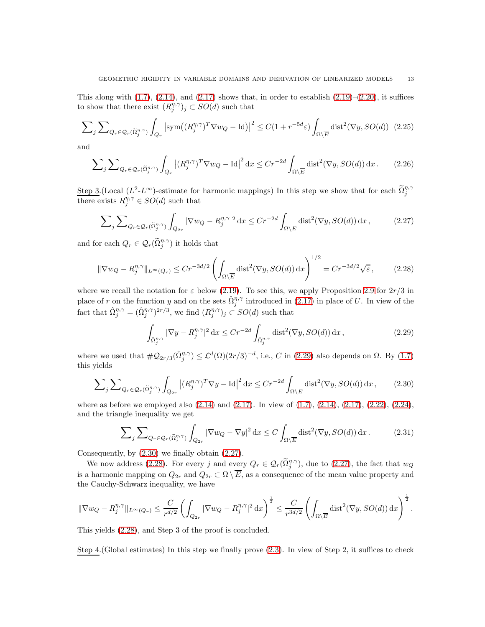This along with  $(1.7)$ ,  $(2.14)$ , and  $(2.17)$  shows that, in order to establish  $(2.19)$ – $(2.20)$ , it suffices to show that there exist  $(R_j^{\eta,\gamma})_j \subset SO(d)$  such that

$$
\sum_{j} \sum_{Q_r \in \mathcal{Q}_r(\tilde{\Omega}_j^{n,\gamma})} \int_{Q_r} \left| \text{sym}\left( (R_j^{\eta,\gamma})^T \nabla w_Q - \text{Id} \right) \right|^2 \le C(1 + r^{-5d}\varepsilon) \int_{\Omega \setminus \overline{E}} \text{dist}^2(\nabla y, SO(d)) \tag{2.25}
$$

and

<span id="page-12-4"></span>
$$
\sum_{j} \sum_{Q_r \in \mathcal{Q}_r(\tilde{\Omega}_j^{\eta,\gamma})} \int_{Q_r} \left| (R_j^{\eta,\gamma})^T \nabla w_Q - \text{Id} \right|^2 \, \text{d}x \le Cr^{-2d} \int_{\Omega \setminus \overline{E}} \text{dist}^2(\nabla y, SO(d)) \, \text{d}x \,. \tag{2.26}
$$

Step 3. (Local  $(L^2-L^{\infty})$ -estimate for harmonic mappings) In this step we show that for each  $\tilde{\Omega}^{\eta,\gamma}_{j}$ there exists  $R_j^{\eta,\gamma} \in SO(d)$  such that

$$
\sum_{j} \sum_{Q_r \in \mathcal{Q}_r(\tilde{\Omega}_j^{\eta,\gamma})} \int_{Q_{2r}} |\nabla w_Q - R_j^{\eta,\gamma}|^2 dx \le Cr^{-2d} \int_{\Omega \setminus \overline{E}} \text{dist}^2(\nabla y, SO(d)) dx, \tag{2.27}
$$

and for each  $Q_r \in \mathcal{Q}_r(\tilde{\Omega}_j^{\eta,\gamma})$  it holds that

$$
\|\nabla w_Q - R_j^{\eta,\gamma}\|_{L^\infty(Q_r)} \le Cr^{-3d/2} \left(\int_{\Omega\setminus\overline{E}} \text{dist}^2(\nabla y, SO(d)) \,dx\right)^{1/2} = Cr^{-3d/2}\sqrt{\varepsilon}\,,\tag{2.28}
$$

where we recall the notation for  $\varepsilon$  below [\(2.19\)](#page-11-1). To see this, we apply Proposition [2.9](#page-10-3) for  $2r/3$  in place of r on the function y and on the sets  $\hat{\Omega}_{j}^{\eta,\gamma}$  introduced in [\(2.17\)](#page-10-5) in place of U. In view of the fact that  $\hat{\Omega}_j^{\eta,\gamma} = (\hat{\Omega}_j^{\eta,\gamma})^{2r/3}$ , we find  $(R_j^{\eta,\gamma})_j \subset SO(d)$  such that

<span id="page-12-6"></span><span id="page-12-5"></span><span id="page-12-3"></span><span id="page-12-2"></span><span id="page-12-1"></span><span id="page-12-0"></span>
$$
\int_{\hat{\Omega}_j^{\eta,\gamma}} |\nabla y - R_j^{\eta,\gamma}|^2 dx \le Cr^{-2d} \int_{\hat{\Omega}_j^{\eta,\gamma}} \text{dist}^2(\nabla y, SO(d)) dx,
$$
\n(2.29)

where we used that  $\#\mathcal{Q}_{2r/3}(\hat{\Omega}_j^{\eta,\gamma}) \leq \mathcal{L}^d(\Omega)(2r/3)^{-d}$ , i.e., C in [\(2.29\)](#page-12-0) also depends on  $\Omega$ . By [\(1.7\)](#page-5-4) this yields

$$
\sum_{j} \sum_{Q_r \in \mathcal{Q}_r(\tilde{\Omega}_j^{n,\gamma})} \int_{Q_{2r}} \left| (R_j^{\eta,\gamma})^T \nabla y - \text{Id} \right|^2 \text{d}x \le Cr^{-2d} \int_{\Omega \setminus \overline{E}} \text{dist}^2(\nabla y, SO(d)) \,\text{d}x \,,\tag{2.30}
$$

where as before we employed also  $(2.14)$  and  $(2.17)$ . In view of  $(1.7)$ ,  $(2.14)$ ,  $(2.17)$ ,  $(2.22)$ ,  $(2.24)$ , and the triangle inequality we get

$$
\sum_{j} \sum_{Q_r \in \mathcal{Q}_r(\tilde{\Omega}_j^{n,\gamma})} \int_{Q_{2r}} |\nabla w_Q - \nabla y|^2 \, \mathrm{d}x \le C \int_{\Omega \setminus \overline{E}} \text{dist}^2(\nabla y, SO(d)) \, \mathrm{d}x \,. \tag{2.31}
$$

Consequently, by [\(2.30\)](#page-12-1) we finally obtain [\(2.27\)](#page-12-2).

We now address [\(2.28\)](#page-12-3). For every j and every  $Q_r \in \mathcal{Q}_r(\tilde{\Omega}_j^{\eta,\gamma})$ , due to [\(2.27\)](#page-12-2), the fact that  $w_Q$ is a harmonic mapping on  $Q_{2r}$  and  $Q_{2r} \subset \Omega \setminus \overline{E}$ , as a consequence of the mean value property and the Cauchy-Schwarz inequality, we have

$$
\|\nabla w_Q - R_j^{\eta,\gamma}\|_{L^\infty(Q_r)} \leq \frac{C}{r^{d/2}} \left( \int_{Q_{2r}} |\nabla w_Q - R_j^{\eta,\gamma}|^2 \,\mathrm{d}x \right)^{\frac{1}{2}} \leq \frac{C}{r^{3d/2}} \left( \int_{\Omega \setminus \overline{E}} \text{dist}^2(\nabla y, SO(d)) \,\mathrm{d}x \right)^{\frac{1}{2}}.
$$

This yields [\(2.28\)](#page-12-3), and Step 3 of the proof is concluded.

Step 4.(Global estimates) In this step we finally prove [\(2.3\)](#page-6-1). In view of Step 2, it suffices to check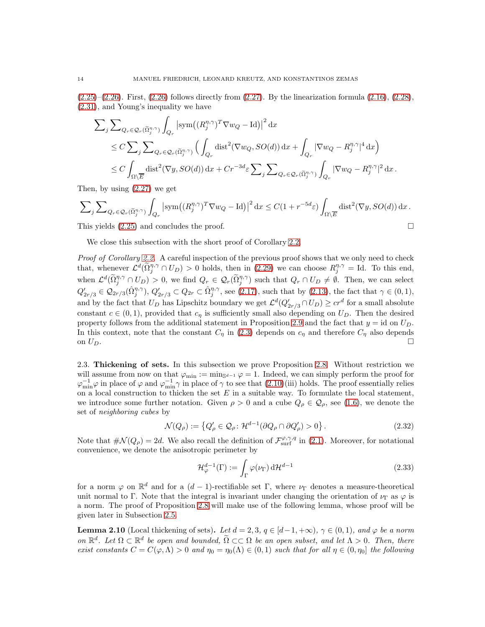$(2.25)$ – $(2.26)$ . First,  $(2.26)$  follows directly from  $(2.27)$ . By the linearization formula  $(2.16)$ ,  $(2.28)$ , [\(2.31\)](#page-12-6), and Young's inequality we have

$$
\begin{split} \sum_{j} \sum_{Q_r \in \mathcal{Q}_r(\tilde{\Omega}_j^{n,\gamma})} &\int_{Q_r} \left| \text{sym}\big((R_j^{\eta,\gamma})^T \nabla w_Q - \text{Id}\big) \right|^2 \text{d}x \\ &\leq C \sum_{j} \sum_{Q_r \in \mathcal{Q}_r(\tilde{\Omega}_j^{n,\gamma})} \Big( \int_{Q_r} \text{dist}^2(\nabla w_Q, SO(d)) \, \text{d}x + \int_{Q_r} |\nabla w_Q - R_j^{\eta,\gamma}|^4 \, \text{d}x \Big) \\ &\leq C \int_{\Omega \backslash \overline{E}} \text{dist}^2(\nabla y, SO(d)) \, \text{d}x + Cr^{-3d}\varepsilon \sum_{j} \sum_{Q_r \in \mathcal{Q}_r(\tilde{\Omega}_j^{n,\gamma})} \int_{Q_r} |\nabla w_Q - R_j^{\eta,\gamma}|^2 \, \text{d}x \,. \end{split}
$$

Then, by using [\(2.27\)](#page-12-2) we get

$$
\sum_{j} \sum_{Q_r \in \mathcal{Q}_r(\tilde{\Omega}_j^{n,\gamma})} \int_{Q_r} \left| \text{sym}\left( (R_j^{\eta,\gamma})^T \nabla w_Q - \text{Id} \right) \right|^2 \, \mathrm{d}x \le C(1 + r^{-5d} \varepsilon) \int_{\Omega \setminus \overline{E}} \text{dist}^2(\nabla y, SO(d)) \, \mathrm{d}x \, .
$$

This yields  $(2.25)$  and concludes the proof.

We close this subsection with the short proof of Corollary [2.2.](#page-7-0)

Proof of Corollary [2.2.](#page-7-0) A careful inspection of the previous proof shows that we only need to check that, whenever  $\mathcal{L}^d(\tilde{\Omega}_j^{\eta,\gamma} \cap U_D) > 0$  holds, then in [\(2.29\)](#page-12-0) we can choose  $R_j^{\eta,\gamma} = \text{Id}$ . To this end, when  $\mathcal{L}^d(\tilde{\Omega}_j^{\eta,\gamma} \cap U_D) > 0$ , we find  $Q_r \in \mathcal{Q}_r(\tilde{\Omega}_j^{\eta,\gamma})$  such that  $Q_r \cap U_D \neq \emptyset$ . Then, we can select  $Q'_{2r/3} \in \mathcal{Q}_{2r/3}(\hat{\Omega}_{j}^{\eta,\gamma}), Q'_{2r/3} \subset Q_{2r} \subset \hat{\Omega}_{j}^{\eta,\gamma}$ , see [\(2.17\)](#page-10-5), such that by [\(2.13\)](#page-10-2), the fact that  $\gamma \in (0,1)$ , and by the fact that  $U_D$  has Lipschitz boundary we get  $\mathcal{L}^d(Q'_{2r/3} \cap U_D) \geq cr^d$  for a small absolute constant  $c \in (0, 1)$ , provided that  $c<sub>n</sub>$  is sufficiently small also depending on  $U<sub>D</sub>$ . Then the desired property follows from the additional statement in Proposition [2.9](#page-10-3) and the fact that  $y = id$  on  $U_D$ . In this context, note that the constant  $C_{\eta}$  in [\(2.3\)](#page-6-1) depends on  $c_{\eta}$  and therefore  $C_{\eta}$  also depends on  $U_D$ .

<span id="page-13-0"></span>2.3. Thickening of sets. In this subsection we prove Proposition [2.8.](#page-9-4) Without restriction we will assume from now on that  $\varphi_{\min} := \min_{\mathbb{S}^{d-1}} \varphi = 1$ . Indeed, we can simply perform the proof for  $\varphi_{\min}^{-1}\varphi$  in place of  $\varphi$  and  $\varphi_{\min}^{-1}\gamma$  in place of  $\gamma$  to see that  $(2.10)(iii)$  holds. The proof essentially relies on a local construction to thicken the set  $E$  in a suitable way. To formulate the local statement, we introduce some further notation. Given  $\rho > 0$  and a cube  $Q_{\rho} \in \mathcal{Q}_{\rho}$ , see [\(1.6\)](#page-5-3), we denote the set of neighboring cubes by

$$
\mathcal{N}(Q_{\rho}) := \left\{ Q_{\rho}' \in \mathcal{Q}_{\rho} \colon \mathcal{H}^{d-1}(\partial Q_{\rho} \cap \partial Q_{\rho}') > 0 \right\}.
$$
\n(2.32)

Note that  $\#\mathcal{N}(Q_\rho) = 2d$ . We also recall the definition of  $\mathcal{F}_{\text{surf}}^{\varphi,\gamma,q}$  in [\(2.1\)](#page-5-2). Moreover, for notational convenience, we denote the anisotropic perimeter by

<span id="page-13-3"></span><span id="page-13-2"></span>
$$
\mathcal{H}_{\varphi}^{d-1}(\Gamma) := \int_{\Gamma} \varphi(\nu_{\Gamma}) \, d\mathcal{H}^{d-1}
$$
\n(2.33)

for a norm  $\varphi$  on  $\mathbb{R}^d$  and for a  $(d-1)$ -rectifiable set Γ, where  $\nu_{\Gamma}$  denotes a measure-theoretical unit normal to Γ. Note that the integral is invariant under changing the orientation of  $\nu_{\Gamma}$  as  $\varphi$  is a norm. The proof of Proposition [2.8](#page-9-4) will make use of the following lemma, whose proof will be given later in Subsection [2.5.](#page-20-2)

<span id="page-13-1"></span>**Lemma 2.10** (Local thickening of sets). Let  $d = 2, 3, q \in [d-1, +\infty)$ ,  $\gamma \in (0, 1)$ , and  $\varphi$  be a norm on  $\mathbb{R}^d$ . Let  $\Omega \subset \mathbb{R}^d$  be open and bounded,  $\widetilde{\Omega} \subset \subset \Omega$  be an open subset, and let  $\Lambda > 0$ . Then, there exist constants  $C = C(\varphi, \Lambda) > 0$  and  $\eta_0 = \eta_0(\Lambda) \in (0, 1)$  such that for all  $\eta \in (0, \eta_0]$  the following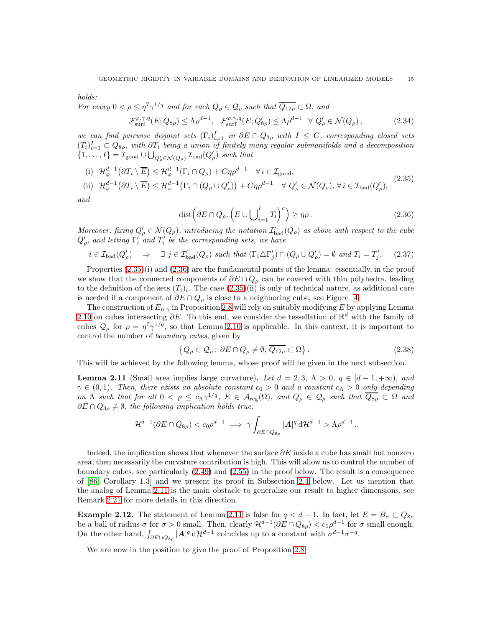holds:

For every 
$$
0 < \rho \leq \eta^7 \gamma^{1/q}
$$
 and for each  $Q_{\rho} \in Q_{\rho}$  such that  $\overline{Q_{12\rho}} \subset \Omega$ , and  
\n
$$
\mathcal{F}_{\text{surf}}^{\varphi,\gamma,q}(E;Q_{8\rho}) \leq \Lambda \rho^{d-1}, \quad \mathcal{F}_{\text{surf}}^{\varphi,\gamma,q}(E;Q'_{8\rho}) \leq \Lambda \rho^{d-1} \quad \forall Q'_{\rho} \in \mathcal{N}(Q_{\rho}), \tag{2.34}
$$

we can find pairwise disjoint sets  $(\Gamma_i)_{i=1}^I$  in  $\partial E \cap Q_{3\rho}$  with  $I \leq C$ , corresponding closed sets  $(T_i)_{i=1}^I \subset Q_{8\rho}$ , with  $\partial T_i$  being a union of finitely many regular submanifolds and a decomposition  $\{1,\ldots,I\}=\mathcal{I}_{\text{good}}\cup\bigcup_{Q_{\rho}'\in\mathcal{N}(Q_{\rho})}\mathcal{I}_{\text{bad}}(Q_{\rho}')$  such that

(i) 
$$
\mathcal{H}_{\varphi}^{d-1}(\partial T_i \setminus \overline{E}) \leq \mathcal{H}_{\varphi}^{d-1}(\Gamma_i \cap Q_{\rho}) + C\eta \rho^{d-1} \quad \forall i \in \mathcal{I}_{\text{good}},
$$
  
\n(ii)  $\mathcal{H}_{\varphi}^{d-1}(\partial T_i \setminus \overline{E}) = \mathcal{H}_{\varphi}^{d-1}(\Gamma_i \cap Q_{\rho}) + C\eta \rho^{d-1} \quad \forall i \in \mathcal{I}_{\text{good}},$  (2.35)

(ii) 
$$
\mathcal{H}_{\varphi}^{d-1}(\partial T_i \setminus \overline{E}) \leq \mathcal{H}_{\varphi}^{d-1}(\Gamma_i \cap (Q_{\rho} \cup Q_{\rho}')) + C\eta\rho^{d-1} \quad \forall Q_{\rho}' \in \mathcal{N}(Q_{\rho}), \ \forall i \in \mathcal{I}_{bad}(Q_{\rho}'),
$$

and

<span id="page-14-6"></span><span id="page-14-5"></span><span id="page-14-3"></span><span id="page-14-2"></span>
$$
\text{dist}\left(\partial E \cap Q_{\rho}, \left(E \cup \bigcup_{i=1}^{I} T_i\right)^c\right) \ge \eta \rho. \tag{2.36}
$$

Moreover, fixing  $Q'_{\rho} \in \mathcal{N}(Q_{\rho})$ , introducing the notation  $\mathcal{I}'_{bad}(Q_{\rho})$  as above with respect to the cube  $Q^{\prime}_{\rho}$ , and letting  $\Gamma^{\prime}_i$  and  $T^{\prime}_i$  be the corresponding sets, we have

$$
i \in \mathcal{I}_{bad}(Q'_{\rho}) \quad \Rightarrow \quad \exists \ j \in \mathcal{I}'_{bad}(Q_{\rho}) \ \text{such that} \ (\Gamma_i \triangle \Gamma'_j) \cap (Q_{\rho} \cup Q'_{\rho}) = \emptyset \ \text{and} \ T_i = T'_j. \tag{2.37}
$$

Properties [\(2.35\)](#page-14-2)(i) and [\(2.36\)](#page-14-3) are the fundamental points of the lemma: essentially, in the proof we show that the connected components of  $\partial E \cap Q_{\rho}$  can be covered with thin polyhedra, leading to the definition of the sets  $(T_i)_i$ . The case  $(2.35)(ii)$  is only of technical nature, as additional care is needed if a component of  $\partial E \cap Q_{\rho}$  is close to a neighboring cube, see Figure [4.](#page-22-0)

The construction of  $E_{\eta,\gamma}$  in Proposition [2.8](#page-9-4) will rely on suitably modifying E by applying Lemma [2.10](#page-13-1) on cubes intersecting  $\partial E$ . To this end, we consider the tessellation of  $\mathbb{R}^d$  with the family of cubes  $\mathcal{Q}_{\rho}$  for  $\rho = \eta^7 \gamma^{1/q}$ , so that Lemma [2.10](#page-13-1) is applicable. In this context, it is important to control the number of boundary cubes, given by

<span id="page-14-4"></span>
$$
\left\{Q_{\rho} \in \mathcal{Q}_{\rho}: \ \partial E \cap Q_{\rho} \neq \emptyset, \ \overline{Q_{12\rho}} \subset \Omega\right\}.
$$
 (2.38)

This will be achieved by the following lemma, whose proof will be given in the next subsection.

<span id="page-14-0"></span>**Lemma 2.11** (Small area implies large curvature). Let  $d = 2, 3, \Lambda > 0, q \in [d-1, +\infty)$ , and  $\gamma \in (0,1)$ . Then, there exists an absolute constant  $c_0 > 0$  and a constant  $c_\Lambda > 0$  only depending on  $\Lambda$  such that for all  $0 < \rho \leq c_{\Lambda} \gamma^{1/q}$ ,  $E \in \mathcal{A}_{reg}(\Omega)$ , and  $Q_{\rho} \in \mathcal{Q}_{\rho}$  such that  $\overline{Q_{8\rho}} \subset \Omega$  and  $\partial E \cap Q_{3\rho} \neq \emptyset$ , the following implication holds true:

$$
\mathcal{H}^{d-1}(\partial E \cap Q_{8\rho}) < c_0 \rho^{d-1} \implies \gamma \int_{\partial E \cap Q_{8\rho}} |A|^q \, d\mathcal{H}^{d-1} > \Lambda \rho^{d-1}.
$$

Indeed, the implication shows that whenever the surface  $\partial E$  inside a cube has small but nonzero area, then necessarily the curvature contribution is high. This will allow us to control the number of boundary cubes, see particularly [\(2.49\)](#page-16-0) and [\(2.55\)](#page-17-0) in the proof below. The result is a consequence of [\[86,](#page-50-5) Corollary 1.3] and we present its proof in Subsection [2.4](#page-18-0) below. Let us mention that the analog of Lemma [2.11](#page-14-0) is the main obstacle to generalize our result to higher dimensions, see Remark [2.21](#page-26-0) for more details in this direction.

<span id="page-14-1"></span>**Example 2.12.** The statement of Lemma [2.11](#page-14-0) is false for  $q < d-1$ . In fact, let  $E = B_{\sigma} \subset Q_{8\rho}$ be a ball of radius  $\sigma$  for  $\sigma > 0$  small. Then, clearly  $\mathcal{H}^{d-1}(\partial E \cap Q_{8\rho}) < c_0 \rho^{d-1}$  for  $\sigma$  small enough. On the other hand,  $\int_{\partial E \cap Q_{8\rho}} |A|^q d\mathcal{H}^{d-1}$  coincides up to a constant with  $\sigma^{d-1}\sigma^{-q}$ .

We are now in the position to give the proof of Proposition [2.8.](#page-9-4)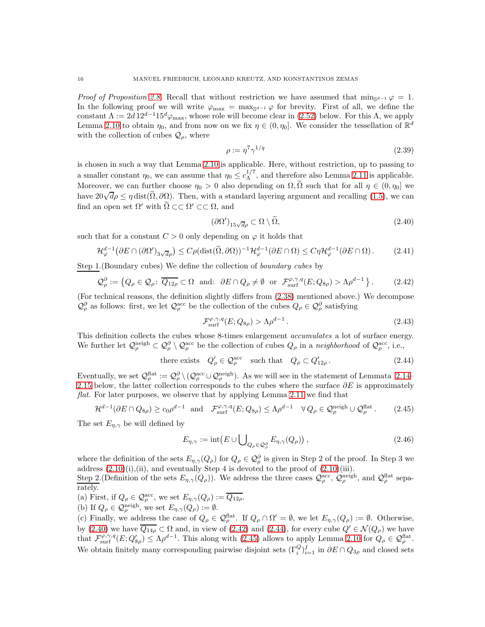*Proof of Proposition [2.8.](#page-9-4)* Recall that without restriction we have assumed that  $\min_{\mathbb{S}^{d-1}} \varphi = 1$ . In the following proof we will write  $\varphi_{\max} = \max_{\mathcal{S}^{d-1}} \varphi$  for brevity. First of all, we define the constant  $\Lambda := 2d \, 12^{d-1} 15^d \varphi_{\text{max}}$ , whose role will become clear in [\(2.52\)](#page-17-1) below. For this  $\Lambda$ , we apply Lemma [2.10](#page-13-1) to obtain  $\eta_0$ , and from now on we fix  $\eta \in (0, \eta_0]$ . We consider the tessellation of  $\mathbb{R}^d$ with the collection of cubes  $\mathcal{Q}_{\rho}$ , where

<span id="page-15-4"></span><span id="page-15-0"></span>
$$
\rho := \eta^7 \gamma^{1/q} \tag{2.39}
$$

is chosen in such a way that Lemma [2.10](#page-13-1) is applicable. Here, without restriction, up to passing to a smaller constant  $\eta_0$ , we can assume that  $\eta_0 \leq c_{\Lambda}^{1/7}$  $\Lambda^{1/7}$ , and therefore also Lemma [2.11](#page-14-0) is applicable. Moreover, we can further choose  $\eta_0 > 0$  also depending on  $\Omega$ ,  $\widetilde{\Omega}$  such that for all  $\eta \in (0, \eta_0]$  we have  $20\sqrt{d}\rho \leq \eta \text{ dist}(\tilde{\Omega}, \partial \Omega)$ . Then, with a standard layering argument and recalling [\(1.5\)](#page-5-5), we can find an open set  $\Omega'$  with  $\Omega \subset\subset \Omega' \subset\subset \Omega$ , and

<span id="page-15-7"></span>
$$
(\partial \Omega')_{15\sqrt{d}\rho} \subset \Omega \setminus \Omega,\tag{2.40}
$$

such that for a constant  $C > 0$  only depending on  $\varphi$  it holds that

$$
\mathcal{H}_{\varphi}^{d-1}(\partial E \cap (\partial \Omega')_{3\sqrt{d}\rho}) \le C\rho(\text{dist}(\widetilde{\Omega}, \partial \Omega))^{-1}\mathcal{H}_{\varphi}^{d-1}(\partial E \cap \Omega) \le C\eta \mathcal{H}_{\varphi}^{d-1}(\partial E \cap \Omega). \tag{2.41}
$$

Step 1.(Boundary cubes) We define the collection of boundary cubes by

<span id="page-15-1"></span>
$$
\mathcal{Q}_{\rho}^{\partial} := \left\{ Q_{\rho} \in \mathcal{Q}_{\rho} \colon \overline{Q_{12\rho}} \subset \Omega \quad \text{and:} \quad \partial E \cap Q_{\rho} \neq \emptyset \quad \text{or} \quad \mathcal{F}_{\text{surf}}^{\varphi, \gamma, q}(E; Q_{8\rho}) > \Lambda \rho^{d-1} \right\}. \tag{2.42}
$$

(For technical reasons, the definition slightly differs from [\(2.38\)](#page-14-4) mentioned above.) We decompose  $\mathcal{Q}_{\rho}^{\partial}$  as follows: first, we let  $\mathcal{Q}_{\rho}^{\text{acc}}$  be the collection of the cubes  $Q_{\rho} \in \mathcal{Q}_{\rho}^{\partial}$  satisfying

<span id="page-15-6"></span><span id="page-15-3"></span><span id="page-15-2"></span>
$$
\mathcal{F}_{\text{surf}}^{\varphi,\gamma,q}(E;Q_{8\rho}) > \Lambda \rho^{d-1} \,. \tag{2.43}
$$

This definition collects the cubes whose 8-times enlargement *accumulates* a lot of surface energy. We further let  $\mathcal{Q}_{\rho}^{\text{neigh}} \subset \mathcal{Q}_{\rho}^{\partial} \setminus \mathcal{Q}_{\rho}^{\text{acc}}$  be the collection of cubes  $Q_{\rho}$  in a neighborhood of  $\mathcal{Q}_{\rho}^{\text{acc}}$ , i.e.,

there exists 
$$
Q'_{\rho} \in \mathcal{Q}_{\rho}^{\text{acc}}
$$
 such that  $Q_{\rho} \subset Q'_{12\rho}$ . 
$$
(2.44)
$$

Eventually, we set  $\mathcal{Q}_{\rho}^{\text{flat}} := \mathcal{Q}_{\rho}^{\partial} \setminus (\mathcal{Q}_{\rho}^{\text{acc}} \cup \mathcal{Q}_{\rho}^{\text{neigh}})$ . As we will see in the statement of Lemmata [2.14–](#page-20-0) [2.15](#page-20-1) below, the latter collection corresponds to the cubes where the surface  $\partial E$  is approximately flat. For later purposes, we observe that by applying Lemma [2.11](#page-14-0) we find that

$$
\mathcal{H}^{d-1}(\partial E \cap Q_{8\rho}) \ge c_0 \rho^{d-1} \quad \text{and} \quad \mathcal{F}_{\text{surf}}^{\varphi,\gamma,q}(E;Q_{8\rho}) \le \Lambda \rho^{d-1} \quad \forall Q_{\rho} \in \mathcal{Q}_{\rho}^{\text{neigh}} \cup \mathcal{Q}_{\rho}^{\text{flat}}. \tag{2.45}
$$

The set  $E_{n,\gamma}$  be will defined by

<span id="page-15-5"></span>
$$
E_{\eta,\gamma} := \mathrm{int} \big( E \cup \bigcup_{Q_{\rho} \in \mathcal{Q}_{\rho}^{\partial}} E_{\eta,\gamma}(Q_{\rho}) \big) , \qquad (2.46)
$$

where the definition of the sets  $E_{\eta,\gamma}(Q_\rho)$  for  $Q_\rho \in \mathcal{Q}_\rho^\partial$  is given in Step 2 of the proof. In Step 3 we address  $(2.10)(i)$ ,  $(ii)$ , and eventually Step 4 is devoted to the proof of  $(2.10)(iii)$ .

Step 2. (Definition of the sets  $E_{\eta,\gamma}(Q_{\rho})$ ). We address the three cases  $\mathcal{Q}_{\rho}^{\text{acc}}, \mathcal{Q}_{\rho}^{\text{neigh}},$  and  $\mathcal{Q}_{\rho}^{\text{flat}}$  separately.

(a) First, if  $Q_{\rho} \in \mathcal{Q}_{\rho}^{\text{acc}}$ , we set  $E_{\eta,\gamma}(Q_{\rho}) := \overline{Q_{12\rho}}$ .

(b) If 
$$
Q_{\rho} \in \mathcal{Q}_{\rho}^{\text{neigh}}
$$
, we set  $E_{\eta,\gamma}(Q_{\rho}) := \emptyset$ .

(c) Finally, we address the case of  $Q_{\rho} \in \mathcal{Q}_{\rho}^{\text{flat}}$ . If  $Q_{\rho} \cap \Omega' = \emptyset$ , we let  $E_{\eta,\gamma}(Q_{\rho}) := \emptyset$ . Otherwise, by [\(2.40\)](#page-15-0) we have  $\overline{Q_{14\rho}} \subset \Omega$  and, in view of [\(2.42\)](#page-15-1) and [\(2.44\)](#page-15-2), for every cube  $Q' \in \mathcal{N}(Q_\rho)$  we have that  $\mathcal{F}_{\text{surf}}^{\varphi,\gamma,q}(E;Q'_{8\rho}) \leq \Lambda \rho^{d-1}$ . This along with [\(2.45\)](#page-15-3) allows to apply Lemma [2.10](#page-13-1) for  $Q_{\rho} \in \mathcal{Q}_{\rho}^{\text{flat}}$ . We obtain finitely many corresponding pairwise disjoint sets  $(\Gamma_i^Q)_{i=1}^I$  in  $\partial E \cap Q_{3\rho}$  and closed sets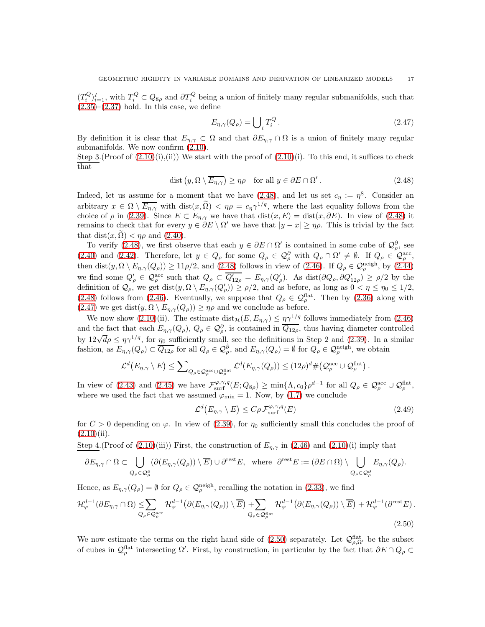$(T_i^Q)_{i=1}^I$ , with  $T_i^Q \subset Q_{8\rho}$  and  $\partial T_i^Q$  being a union of finitely many regular submanifolds, such that  $(2.35)$ – $(2.37)$  hold. In this case, we define

<span id="page-16-2"></span>
$$
E_{\eta,\gamma}(Q_{\rho}) = \bigcup_{i} T_i^Q.
$$
\n(2.47)

By definition it is clear that  $E_{\eta,\gamma} \subset \Omega$  and that  $\partial E_{\eta,\gamma} \cap \Omega$  is a union of finitely many regular submanifolds. We now confirm [\(2.10\)](#page-9-3).

Step 3.(Proof of  $(2.10)(i)$ ,(ii)) We start with the proof of  $(2.10)(i)$ . To this end, it suffices to check that

$$
\text{dist}\left(y,\Omega\setminus\overline{E_{\eta,\gamma}}\right) \ge \eta\rho \quad \text{for all } y \in \partial E \cap \Omega'.\tag{2.48}
$$

Indeed, let us assume for a moment that we have  $(2.48)$ , and let us set  $c<sub>\eta</sub> := \eta<sup>8</sup>$ . Consider an arbitrary  $x \in \Omega \setminus \overline{E_{\eta,\gamma}}$  with  $dist(x,\tilde{\Omega}) < \eta \rho = c_{\eta} \gamma^{1/q}$ , where the last equality follows from the choice of  $\rho$  in [\(2.39\)](#page-15-4). Since  $E \subset E_{\eta,\gamma}$  we have that  $dist(x, E) = dist(x, \partial E)$ . In view of [\(2.48\)](#page-16-1) it remains to check that for every  $y \in \partial E \setminus \Omega'$  we have that  $|y - x| \ge \eta \rho$ . This is trivial by the fact that  $dist(x, \Omega) < \eta \rho$  and  $(2.40)$ .

To verify [\(2.48\)](#page-16-1), we first observe that each  $y \in \partial E \cap \Omega'$  is contained in some cube of  $\mathcal{Q}_{\rho}^{\partial}$ , see [\(2.40\)](#page-15-0) and [\(2.42\)](#page-15-1). Therefore, let  $y \in Q_\rho$  for some  $Q_\rho \in \mathcal{Q}_\rho^{\partial}$  with  $Q_\rho \cap \Omega' \neq \emptyset$ . If  $Q_\rho \in \mathcal{Q}_\rho^{\text{acc}}$ , then dist $(y, \Omega \setminus E_{\eta, \gamma}(Q_{\rho})) \ge 11\rho/2$ , and  $(2.48)$  follows in view of  $(2.46)$ . If  $Q_{\rho} \in \mathcal{Q}_{\rho}^{\text{neigh}},$  by  $(2.44)$ we find some  $Q'_{\rho} \in \mathcal{Q}_{\rho}^{\text{acc}}$  such that  $Q_{\rho} \subset \overline{Q'_{12\rho}} = E_{\eta,\gamma}(Q'_{\rho})$ . As  $\text{dist}(\partial Q_{\rho}, \partial Q'_{12\rho}) \ge \rho/2$  by the definition of  $\mathcal{Q}_{\rho}$ , we get  $dist(y, \Omega \setminus E_{\eta, \gamma}(Q'_{\rho})) \ge \rho/2$ , and as before, as long as  $0 < \eta \le \eta_0 \le 1/2$ , [\(2.48\)](#page-16-1) follows from [\(2.46\)](#page-15-5). Eventually, we suppose that  $Q_{\rho} \in \mathcal{Q}_{\rho}^{\text{flat}}$ . Then by [\(2.36\)](#page-14-3) along with [\(2.47\)](#page-16-2) we get  $dist(y, \Omega \setminus E_{\eta, \gamma}(Q_{\rho})) \ge \eta \rho$  and we conclude as before.

We now show [\(2.10\)](#page-9-3)(ii). The estimate  $dist_{\mathcal{H}}(E, E_{\eta,\gamma}) \leq \eta \gamma^{1/q}$  follows immediately from [\(2.46\)](#page-15-5) and the fact that each  $E_{\eta,\gamma}(Q_{\rho}), Q_{\rho} \in \mathcal{Q}_{\rho}^{\partial}$ , is contained in  $\overline{Q_{12\rho}}$ , thus having diameter controlled by  $12\sqrt{d\rho} \leq \eta \gamma^{1/q}$ , for  $\eta_0$  sufficiently small, see the definitions in Step 2 and [\(2.39\)](#page-15-4). In a similar fashion, as  $E_{\eta,\gamma}(Q_{\rho}) \subset \overline{Q_{12\rho}}$  for all  $Q_{\rho} \in \mathcal{Q}_{\rho}^{\partial}$ , and  $E_{\eta,\gamma}(Q_{\rho}) = \emptyset$  for  $Q_{\rho} \in \mathcal{Q}_{\rho}^{\text{neigh}}$ , we obtain

$$
\mathcal{L}^d\big(E_{\eta,\gamma}\setminus E\big)\leq \sum\nolimits_{Q_\rho\in \mathcal{Q}^{\mathrm{acc}}_\rho\cup \mathcal{Q}^{\mathrm{flat}}_\rho}\mathcal{L}^d(E_{\eta,\gamma}(Q_\rho))\leq (12\rho)^d\#\big(\mathcal{Q}^{\mathrm{acc}}_\rho\cup \mathcal{Q}^{\mathrm{flat}}_\rho\big)
$$

In view of [\(2.43\)](#page-15-6) and [\(2.45\)](#page-15-3) we have  $\mathcal{F}^{\varphi,\gamma,q}_{\text{surf}}(E;Q_{8\rho}) \ge \min\{\Lambda,c_0\}\rho^{d-1}$  for all  $Q_{\rho} \in \mathcal{Q}_{\rho}^{\text{acc}} \cup \mathcal{Q}_{\rho}^{\text{flat}}$ , where we used the fact that we assumed  $\varphi_{\min} = 1$ . Now, by [\(1.7\)](#page-5-4) we conclude

$$
\mathcal{L}^d(E_{\eta,\gamma} \setminus E) \le C\rho \mathcal{F}_{\text{surf}}^{\varphi,\gamma,q}(E) \tag{2.49}
$$

<span id="page-16-3"></span><span id="page-16-1"></span><span id="page-16-0"></span>.

for  $C > 0$  depending on  $\varphi$ . In view of [\(2.39\)](#page-15-4), for  $\eta_0$  sufficiently small this concludes the proof of  $(2.10)(ii)$  $(2.10)(ii)$ .

Step 4.(Proof of [\(2.10\)](#page-9-3)(iii)) First, the construction of  $E_{\eta,\gamma}$  in [\(2.46\)](#page-15-5) and (2.10)(i) imply that

$$
\partial E_{\eta,\gamma} \cap \Omega \subset \bigcup_{Q_{\rho} \in \mathcal{Q}_{\rho}^{\partial}} (\partial (E_{\eta,\gamma}(Q_{\rho})) \setminus \overline{E}) \cup \partial^{\text{rest}} E, \text{ where } \partial^{\text{rest}} E := (\partial E \cap \Omega) \setminus \bigcup_{Q_{\rho} \in \mathcal{Q}_{\rho}^{\partial}} E_{\eta,\gamma}(Q_{\rho}).
$$

Hence, as  $E_{\eta,\gamma}(Q_{\rho}) = \emptyset$  for  $Q_{\rho} \in \mathcal{Q}_{\rho}^{\text{neigh}}$ , recalling the notation in [\(2.33\)](#page-13-2), we find

$$
\mathcal{H}_{\varphi}^{d-1}(\partial E_{\eta,\gamma} \cap \Omega) \leq \sum_{Q_{\rho} \in \mathcal{Q}_{\rho}^{\mathrm{acc}}} \mathcal{H}_{\varphi}^{d-1}(\partial (E_{\eta,\gamma}(Q_{\rho})) \setminus \overline{E}) + \sum_{Q_{\rho} \in \mathcal{Q}_{\rho}^{\mathrm{flat}}} \mathcal{H}_{\varphi}^{d-1}(\partial (E_{\eta,\gamma}(Q_{\rho})) \setminus \overline{E}) + \mathcal{H}_{\varphi}^{d-1}(\partial^{\mathrm{rest}} E).
$$
\n(2.50)

We now estimate the terms on the right hand side of  $(2.50)$  separately. Let  $\mathcal{Q}_{\rho,\Omega'}^{\text{flat}}$  be the subset of cubes in  $\mathcal{Q}_{\rho}^{\text{flat}}$  intersecting  $\Omega'$ . First, by construction, in particular by the fact that  $\partial E \cap Q_{\rho} \subset$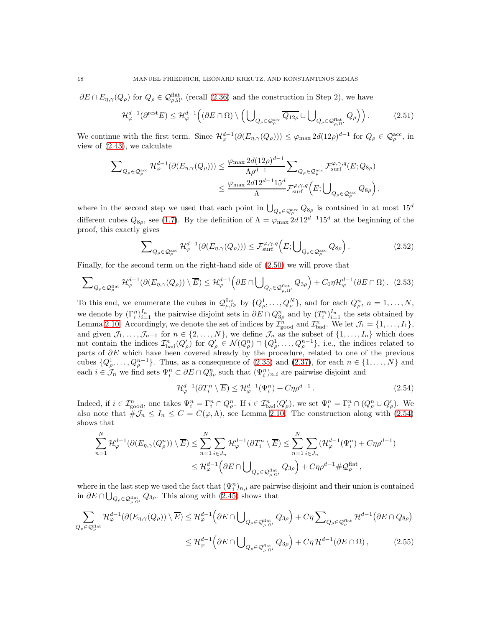$\partial E \cap E_{\eta,\gamma}(Q_{\rho})$  for  $Q_{\rho} \in \mathcal{Q}_{\rho,\Omega'}^{\text{flat}}$  (recall [\(2.36\)](#page-14-3) and the construction in Step 2), we have

<span id="page-17-4"></span>
$$
\mathcal{H}_{\varphi}^{d-1}(\partial^{\text{rest}} E) \leq \mathcal{H}_{\varphi}^{d-1}\Big( (\partial E \cap \Omega) \setminus \Big( \bigcup_{Q_{\rho} \in \mathcal{Q}_{\rho}^{\text{acc}}} \overline{Q_{12\rho}} \cup \bigcup_{Q_{\rho} \in \mathcal{Q}_{\rho,\Omega'}^{\text{flat}}} Q_{\rho} \Big) \Big).
$$
 (2.51)

We continue with the first term. Since  $\mathcal{H}_{\varphi}^{d-1}(\partial(E_{\eta,\gamma}(Q_{\rho}))) \leq \varphi_{\max} 2d(12\rho)^{d-1}$  for  $Q_{\rho} \in \mathcal{Q}_{\rho}^{\text{acc}}$ , in view of [\(2.43\)](#page-15-6), we calculate

$$
\begin{split} \sum\nolimits_{Q_{\rho}\in\mathcal{Q}_{\rho}^{\rm acc}}&\mathcal{H}_{\varphi}^{d-1}(\partial(E_{\eta,\gamma}(Q_{\rho})))\leq\frac{\varphi_{\rm max}\,2d(12\rho)^{d-1}}{\Lambda\rho^{d-1}}\sum\nolimits_{Q_{\rho}\in\mathcal{Q}_{\rho}^{\rm acc}}\mathcal{F}_{\rm surf}^{\varphi,\gamma,q}(E;Q_{8\rho})\\ &\leq\frac{\varphi_{\rm max}\,2d12^{d-1}15^{d}}{\Lambda}\mathcal{F}_{\rm surf}^{\varphi,\gamma,q}\Big(E;{\bigcup}_{Q_{\rho}\in\mathcal{Q}_{\rho}^{\rm acc}}Q_{8\rho}\Big)\,, \end{split}
$$

where in the second step we used that each point in  $\bigcup_{Q_\rho \in \mathcal{Q}^{\text{acc}}_{\rho}} Q_{8\rho}$  is contained in at most  $15^d$ different cubes  $Q_{8\rho}$ , see [\(1.7\)](#page-5-4). By the definition of  $\Lambda = \varphi_{\rm max} 2d 12^{d-1} 15^d$  at the beginning of the proof, this exactly gives

<span id="page-17-1"></span>
$$
\sum_{Q_{\rho} \in \mathcal{Q}_{\rho}^{\text{acc}}} \mathcal{H}_{\varphi}^{d-1}(\partial(E_{\eta,\gamma}(Q_{\rho}))) \leq \mathcal{F}_{\text{surf}}^{\varphi,\gamma,q}\Big(E; \bigcup_{Q_{\rho} \in \mathcal{Q}_{\rho}^{\text{acc}}} Q_{8\rho}\Big).
$$
 (2.52)

Finally, for the second term on the right-hand side of [\(2.50\)](#page-16-3) we will prove that

$$
\sum\nolimits_{Q_{\rho}\in \mathcal{Q}_{\rho}^{\text{flat}}}\mathcal{H}_{\varphi}^{d-1}(\partial(E_{\eta,\gamma}(Q_{\rho}))\setminus \overline{E})\leq \mathcal{H}_{\varphi}^{d-1}\left(\partial E\cap \bigcup\nolimits_{Q_{\rho}\in \mathcal{Q}_{\rho,\Omega'}^{\text{flat}}}Q_{3\rho}\right)+C_0\eta\mathcal{H}_{\varphi}^{d-1}(\partial E\cap\Omega). \tag{2.53}
$$

To this end, we enumerate the cubes in  $\mathcal{Q}_{\rho,\Omega'}^{\text{flat}}$  by  $\{Q_{\rho}^1,\ldots,Q_{\rho}^N\}$ , and for each  $Q_{\rho}^n$ ,  $n=1,\ldots,N$ , we denote by  $(\Gamma_i^n)_{i=1}^{I_n}$  the pairwise disjoint sets in  $\partial E \cap Q_{3\rho}^n$  and by  $(T_i^n)_{i=1}^{I_n}$  the sets obtained by Lemma [2.10.](#page-13-1) Accordingly, we denote the set of indices by  $\mathcal{I}_{\text{good}}^n$  and  $\mathcal{I}_{\text{bad}}^n$ . We let  $\mathcal{J}_1 = \{1, \ldots, I_1\}$ , and given  $\mathcal{J}_1, \ldots, \mathcal{J}_{n-1}$  for  $n \in \{2, \ldots, N\}$ , we define  $\mathcal{J}_n$  as the subset of  $\{1, \ldots, I_n\}$  which does not contain the indices  $\mathcal{I}_{bad}^n(Q'_\rho)$  for  $Q'_\rho \in \mathcal{N}(Q_\rho^n) \cap \{Q_\rho^1, \ldots, Q_\rho^{n-1}\}\)$ , i.e., the indices related to parts of  $\partial E$  which have been covered already by the procedure, related to one of the previous cubes  $\{Q^1_{\rho}, \ldots, Q^{n-1}_{\rho}\}$ . Thus, as a consequence of [\(2.35\)](#page-14-2) and [\(2.37\)](#page-14-5), for each  $n \in \{1, \ldots, N\}$  and each  $i \in \mathcal{J}_n$  we find sets  $\Psi_i^n \subset \partial E \cap Q_{3\rho}^n$  such that  $(\Psi_i^n)_{n,i}$  are pairwise disjoint and

<span id="page-17-3"></span><span id="page-17-2"></span><span id="page-17-0"></span>
$$
\mathcal{H}_{\varphi}^{d-1}(\partial T_i^n \setminus \overline{E}) \le \mathcal{H}_{\varphi}^{d-1}(\Psi_i^n) + C\eta \rho^{d-1}.
$$
\n(2.54)

Indeed, if  $i \in \mathcal{I}_{\text{good}}^n$ , one takes  $\Psi_i^n = \Gamma_i^n \cap Q_\rho^n$ . If  $i \in \mathcal{I}_{\text{bad}}^n(Q_\rho')$ , we set  $\Psi_i^n = \Gamma_i^n \cap (Q_\rho^n \cup Q_\rho')$ . We also note that  $\#\mathcal{J}_n \leq I_n \leq C = C(\varphi,\Lambda)$ , see Lemma [2.10.](#page-13-1) The construction along with [\(2.54\)](#page-17-2) shows that

$$
\sum_{n=1}^{N} \mathcal{H}_{\varphi}^{d-1}(\partial(E_{\eta,\gamma}(Q_{\rho}^{n})) \setminus \overline{E}) \leq \sum_{n=1}^{N} \sum_{i \in J_{n}} \mathcal{H}_{\varphi}^{d-1}(\partial T_{i}^{n} \setminus \overline{E}) \leq \sum_{n=1}^{N} \sum_{i \in J_{n}} (\mathcal{H}_{\varphi}^{d-1}(\Psi_{i}^{n}) + C\eta \rho^{d-1})
$$
  

$$
\leq \mathcal{H}_{\varphi}^{d-1}(\partial E \cap \bigcup_{Q_{\rho} \in \mathcal{Q}_{\rho,\Omega'}^{\text{flat}}} Q_{3\rho}) + C\eta \rho^{d-1} \# \mathcal{Q}_{\rho}^{\text{flat}},
$$

where in the last step we used the fact that  $(\Psi_i^n)_{n,i}$  are pairwise disjoint and their union is contained in  $\partial E \cap \bigcup_{Q_{\rho} \in \mathcal{Q}_{\rho,\Omega'}^{\text{flat}}} Q_{3\rho}$ . This along with  $(2.45)$  shows that

$$
\sum_{Q_{\rho}\in\mathcal{Q}_{\rho}^{\text{flat}}} \mathcal{H}_{\varphi}^{d-1}(\partial(E_{\eta,\gamma}(Q_{\rho}))\setminus\overline{E}) \leq \mathcal{H}_{\varphi}^{d-1}\left(\partial E\cap\bigcup_{Q_{\rho}\in\mathcal{Q}_{\rho,\Omega'}^{\text{flat}}} Q_{3\rho}\right) + C\eta \sum_{Q_{\rho}\in\mathcal{Q}_{\rho}^{\text{flat}}} \mathcal{H}^{d-1}(\partial E\cap Q_{8\rho})
$$
\n
$$
\leq \mathcal{H}_{\varphi}^{d-1}\left(\partial E\cap\bigcup_{Q_{\rho}\in\mathcal{Q}_{\rho,\Omega'}^{\text{flat}}} Q_{3\rho}\right) + C\eta \mathcal{H}^{d-1}(\partial E\cap\Omega), \tag{2.55}
$$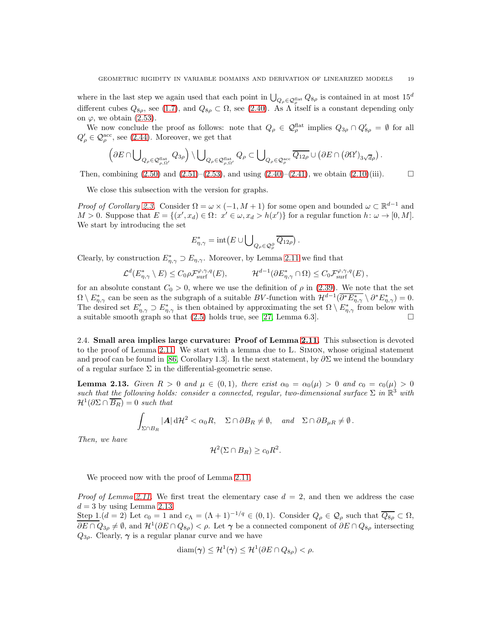where in the last step we again used that each point in  $\bigcup_{Q_\rho \in \mathcal{Q}_\rho^{\text{flat}}} Q_{8\rho}$  is contained in at most  $15^d$ different cubes  $Q_{8\rho}$ , see [\(1.7\)](#page-5-4), and  $Q_{8\rho} \subset \Omega$ , see [\(2.40\)](#page-15-0). As  $\Lambda$  itself is a constant depending only on  $\varphi$ , we obtain [\(2.53\)](#page-17-3).

We now conclude the proof as follows: note that  $Q_{\rho} \in \mathcal{Q}_{\rho}^{\text{flat}}$  implies  $Q_{3\rho} \cap Q'_{8\rho} = \emptyset$  for all  $Q'_{\rho} \in \mathcal{Q}_{\rho}^{\text{acc}}$ , see [\(2.44\)](#page-15-2). Moreover, we get that

$$
\left(\partial E\cap \bigcup\nolimits_{Q_{\rho}\in \mathcal{Q}_{\rho,\Omega'}^{\mathrm{flat}} } Q_{3\rho}\right)\backslash \bigcup\nolimits_{Q_{\rho}\in \mathcal{Q}_{\rho,\Omega'}^{\mathrm{flat}} } Q_{\rho}\subset \bigcup\nolimits_{Q_{\rho}\in \mathcal{Q}_{\rho}^{\mathrm{acc}} } \overline{Q_{12\rho}}\cup \left(\partial E\cap\left(\partial\Omega'\right)_{3\sqrt{d}\rho}\right).
$$

Then, combining  $(2.50)$  and  $(2.51)$ – $(2.53)$ , and using  $(2.40)$ – $(2.41)$ , we obtain  $(2.10)(iii)$ .

We close this subsection with the version for graphs.

*Proof of Corollary [2.3.](#page-7-1)* Consider  $\Omega = \omega \times (-1, M + 1)$  for some open and bounded  $\omega \subset \mathbb{R}^{d-1}$  and  $M > 0$ . Suppose that  $E = \{(x', x_d) \in \Omega: x' \in \omega, x_d > h(x')\}$  for a regular function  $h: \omega \to [0, M]$ . We start by introducing the set

$$
E_{\eta,\gamma}^* = \mathrm{int} (E \cup \bigcup_{Q_\rho \in \mathcal{Q}_\rho^\partial} \overline{Q_{12\rho}}) .
$$

Clearly, by construction  $E^*_{\eta,\gamma} \supset E_{\eta,\gamma}$ . Moreover, by Lemma [2.11](#page-14-0) we find that

$$
\mathcal{L}^d(E_{\eta,\gamma}^* \setminus E) \leq C_0 \rho \mathcal{F}_{\text{surf}}^{\varphi,\gamma,q}(E), \qquad \mathcal{H}^{d-1}(\partial E_{\eta,\gamma}^* \cap \Omega) \leq C_0 \mathcal{F}_{\text{surf}}^{\varphi,\gamma,q}(E),
$$

for an absolute constant  $C_0 > 0$ , where we use the definition of  $\rho$  in [\(2.39\)](#page-15-4). We note that the set  $\Omega \setminus E^*_{\eta,\gamma}$  can be seen as the subgraph of a suitable BV-function with  $\mathcal{H}^{d-1}(\overline{\partial^* E^*_{\eta,\gamma}} \setminus \partial^* E^*_{\eta,\gamma}) = 0$ . The desired set  $E'_{\eta,\gamma} \supset E^*_{\eta,\gamma}$  is then obtained by approximating the set  $\Omega \setminus E^*_{\eta,\gamma}$  from below with a suitable smooth graph so that  $(2.5)$  holds true, see [\[27,](#page-48-24) Lemma 6.3].

<span id="page-18-0"></span>2.4. Small area implies large curvature: Proof of Lemma [2.11.](#page-14-0) This subsection is devoted to the proof of Lemma [2.11.](#page-14-0) We start with a lemma due to L. Simon, whose original statement and proof can be found in [\[86,](#page-50-5) Corollary 1.3]. In the next statement, by  $\partial \Sigma$  we intend the boundary of a regular surface  $\Sigma$  in the differential-geometric sense.

<span id="page-18-1"></span>**Lemma 2.13.** Given  $R > 0$  and  $\mu \in (0,1)$ , there exist  $\alpha_0 = \alpha_0(\mu) > 0$  and  $c_0 = c_0(\mu) > 0$ such that the following holds: consider a connected, regular, two-dimensional surface  $\Sigma$  in  $\mathbb{R}^3$  with  $\mathcal{H}^1(\partial \Sigma \cap \overline{B_R}) = 0$  such that

$$
\int_{\Sigma \cap B_R} |A| \, \mathrm{d}\mathcal{H}^2 < \alpha_0 R, \quad \Sigma \cap \partial B_R \neq \emptyset, \quad \text{and} \quad \Sigma \cap \partial B_{\mu R} \neq \emptyset.
$$

Then, we have

$$
\mathcal{H}^2(\Sigma \cap B_R) \ge c_0 R^2.
$$

We proceed now with the proof of Lemma [2.11.](#page-14-0)

*Proof of Lemma [2.11.](#page-14-0)* We first treat the elementary case  $d = 2$ , and then we address the case  $d = 3$  by using Lemma [2.13.](#page-18-1)

Step 1. $(d = 2)$  Let  $c_0 = 1$  and  $c_\Lambda = (\Lambda + 1)^{-1/q} \in (0, 1)$ . Consider  $Q_\rho \in \mathcal{Q}_\rho$  such that  $\overline{Q_{8\rho}} \subset \Omega$ ,  $\partial E \cap Q_{3\rho} \neq \emptyset$ , and  $\mathcal{H}^1(\partial E \cap Q_{8\rho}) < \rho$ . Let  $\gamma$  be a connected component of  $\partial E \cap Q_{8\rho}$  intersecting  $Q_{3\rho}$ . Clearly,  $\gamma$  is a regular planar curve and we have

$$
\text{diam}(\gamma) \leq \mathcal{H}^1(\gamma) \leq \mathcal{H}^1(\partial E \cap Q_{8\rho}) < \rho.
$$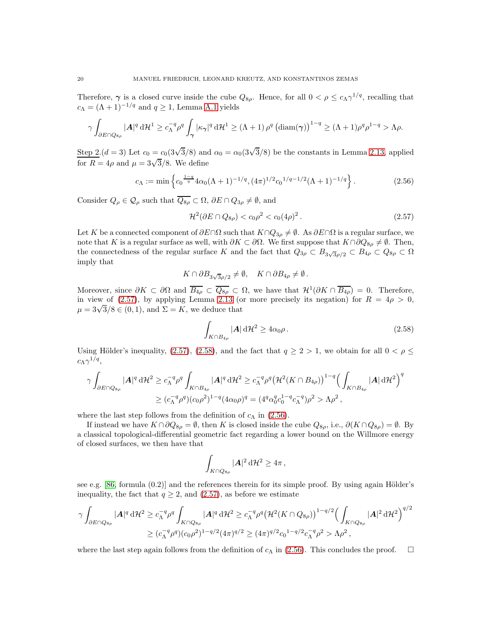Therefore,  $\gamma$  is a closed curve inside the cube  $Q_{8\rho}$ . Hence, for all  $0 < \rho \leq c_{\Lambda} \gamma^{1/q}$ , recalling that  $c_{\Lambda} = (\Lambda + 1)^{-1/q}$  and  $q \ge 1$ , Lemma [A.1](#page-40-1) yields

$$
\gamma \int_{\partial E \cap Q_{8\rho}} |\mathbf{A}|^q \, d\mathcal{H}^1 \ge c_{\Lambda}^{-q} \rho^q \int_{\gamma} |\kappa_{\gamma}|^q \, d\mathcal{H}^1 \ge (\Lambda + 1) \, \rho^q \left(\text{diam}(\gamma)\right)^{1-q} \ge (\Lambda + 1) \rho^q \rho^{1-q} > \Lambda \rho.
$$

Step 2. $(d = 3)$  Let  $c_0 = c_0(3\sqrt{3}/8)$  and  $\alpha_0 = \alpha_0(3\sqrt{3}/8)$  be the constants in Lemma [2.13,](#page-18-1) applied for  $R = 4\rho$  and  $\mu = 3\sqrt{3}/8$ . We define

$$
c_{\Lambda} := \min \left\{ c_0^{\frac{1-q}{q}} 4\alpha_0 (\Lambda + 1)^{-1/q}, (4\pi)^{1/2} c_0^{1/q - 1/2} (\Lambda + 1)^{-1/q} \right\}.
$$
 (2.56)

Consider  $Q_{\rho} \in \mathcal{Q}_{\rho}$  such that  $\overline{Q_{8\rho}} \subset \Omega$ ,  $\partial E \cap Q_{3\rho} \neq \emptyset$ , and

<span id="page-19-2"></span><span id="page-19-0"></span>
$$
\mathcal{H}^2(\partial E \cap Q_{8\rho}) < c_0 \rho^2 < c_0 (4\rho)^2. \tag{2.57}
$$

Let K be a connected component of  $\partial E \cap \Omega$  such that  $K \cap Q_{3\rho} \neq \emptyset$ . As  $\partial E \cap \Omega$  is a regular surface, we note that K is a regular surface as well, with  $\partial K \subset \partial \Omega$ . We first suppose that  $K \cap \partial Q_{8\rho} \neq \emptyset$ . Then, the connectedness of the regular surface K and the fact that  $Q_{3\rho} \subset B_{3\sqrt{3}\rho/2} \subset B_{4\rho} \subset Q_{8\rho} \subset \Omega$ imply that

$$
K \cap \partial B_{3\sqrt{3}\rho/2} \neq \emptyset, \quad K \cap \partial B_{4\rho} \neq \emptyset.
$$

Moreover, since  $\partial K \subset \partial \Omega$  and  $\overline{B_{4\rho}} \subset \overline{Q_{8\rho}} \subset \Omega$ , we have that  $\mathcal{H}^1(\partial K \cap \overline{B_{4\rho}}) = 0$ . Therefore, in view of [\(2.57\)](#page-19-0), by applying Lemma [2.13](#page-18-1) (or more precisely its negation) for  $R = 4\rho > 0$ ,  $\mu = 3\sqrt{3}/8 \in (0, 1)$ , and  $\Sigma = K$ , we deduce that

<span id="page-19-1"></span>
$$
\int_{K \cap B_{4\rho}} |A| \, d\mathcal{H}^2 \ge 4\alpha_0 \rho \,. \tag{2.58}
$$

Using Hölder's inequality, [\(2.57\)](#page-19-0), [\(2.58\)](#page-19-1), and the fact that  $q \ge 2 > 1$ , we obtain for all  $0 < \rho \le$  $c_\Lambda \gamma^{1/q},$ 

$$
\gamma \int_{\partial E \cap Q_{8\rho}} |A|^q \, d\mathcal{H}^2 \ge c_{\Lambda}^{-q} \rho^q \int_{K \cap B_{4\rho}} |A|^q \, d\mathcal{H}^2 \ge c_{\Lambda}^{-q} \rho^q \big(\mathcal{H}^2(K \cap B_{4\rho})\big)^{1-q} \Big(\int_{K \cap B_{4\rho}} |A| \, d\mathcal{H}^2\Big)^q
$$
  
 
$$
\ge (c_{\Lambda}^{-q} \rho^q)(c_0 \rho^2)^{1-q} (4\alpha_0 \rho)^q = (4^q \alpha_0^q c_0^{1-q} c_{\Lambda}^{-q}) \rho^2 > \Lambda \rho^2,
$$

where the last step follows from the definition of  $c_{\Lambda}$  in [\(2.56\)](#page-19-2).

If instead we have  $K \cap \partial Q_{8\rho} = \emptyset$ , then K is closed inside the cube  $Q_{8\rho}$ , i.e.,  $\partial (K \cap Q_{8\rho}) = \emptyset$ . By a classical topological-differential geometric fact regarding a lower bound on the Willmore energy of closed surfaces, we then have that

$$
\int_{K\cap Q_{8\rho}} |A|^2 \, \mathrm{d} \mathcal{H}^2 \geq 4\pi \,,
$$

see e.g.  $[86,$  formula  $(0.2)$  and the references therein for its simple proof. By using again Hölder's inequality, the fact that  $q \geq 2$ , and  $(2.57)$ , as before we estimate

$$
\gamma \int_{\partial E \cap Q_{8\rho}} |A|^q \, d\mathcal{H}^2 \ge c_{\Lambda}^{-q} \rho^q \int_{K \cap Q_{8\rho}} |A|^q \, d\mathcal{H}^2 \ge c_{\Lambda}^{-q} \rho^q \big(\mathcal{H}^2(K \cap Q_{8\rho})\big)^{1-q/2} \Big(\int_{K \cap Q_{8\rho}} |A|^2 \, d\mathcal{H}^2\Big)^{q/2}
$$
  
 
$$
\ge (c_{\Lambda}^{-q} \rho^q)(c_0 \rho^2)^{1-q/2} (4\pi)^{q/2} \ge (4\pi)^{q/2} c_0^{1-q/2} c_{\Lambda}^{-q} \rho^2 > \Lambda \rho^2,
$$

where the last step again follows from the definition of  $c_\Lambda$  in [\(2.56\)](#page-19-2). This concludes the proof.  $\square$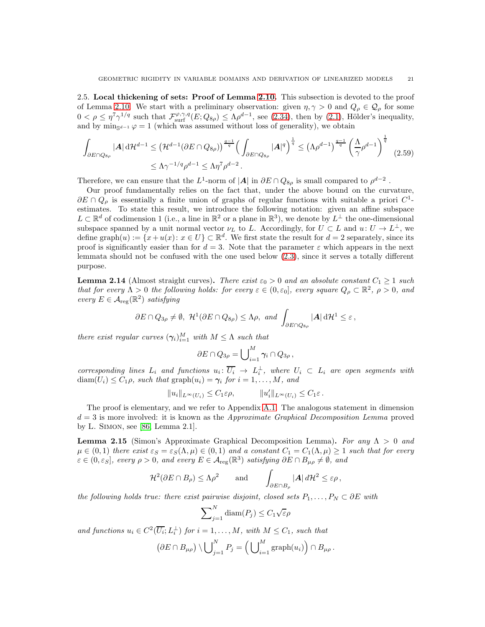<span id="page-20-2"></span>2.5. Local thickening of sets: Proof of Lemma [2.10.](#page-13-1) This subsection is devoted to the proof of Lemma [2.10.](#page-13-1) We start with a preliminary observation: given  $\eta, \gamma > 0$  and  $Q_{\rho} \in \mathcal{Q}_{\rho}$  for some  $0 < \rho \leq \eta^{7} \gamma^{1/q}$  such that  $\mathcal{F}^{\varphi,\gamma,q}_{\text{surf}}(E;Q_{8\rho}) \leq \Lambda \rho^{d-1}$ , see [\(2.34\)](#page-14-6), then by [\(2.1\)](#page-5-2), Hölder's inequality, and by  $\min_{\mathbb{S}^{d-1}} \varphi = 1$  (which was assumed without loss of generality), we obtain

$$
\int_{\partial E \cap Q_{8\rho}} |A| d\mathcal{H}^{d-1} \leq \left(\mathcal{H}^{d-1}(\partial E \cap Q_{8\rho})\right)^{\frac{q-1}{q}} \left(\int_{\partial E \cap Q_{8\rho}} |A|^q\right)^{\frac{1}{q}} \leq \left(\Lambda \rho^{d-1}\right)^{\frac{q-1}{q}} \left(\frac{\Lambda}{\gamma} \rho^{d-1}\right)^{\frac{1}{q}} \tag{2.59}
$$
\n
$$
\leq \Lambda \gamma^{-1/q} \rho^{d-1} \leq \Lambda \eta^7 \rho^{d-2}.
$$

Therefore, we can ensure that the  $L^1$ -norm of  $|A|$  in  $\partial E \cap Q_{8\rho}$  is small compared to  $\rho^{d-2}$ .

Our proof fundamentally relies on the fact that, under the above bound on the curvature,  $\partial E \cap Q_{\rho}$  is essentially a finite union of graphs of regular functions with suitable a priori  $C^1$ estimates. To state this result, we introduce the following notation: given an affine subspace  $L \subset \mathbb{R}^d$  of codimension 1 (i.e., a line in  $\mathbb{R}^2$  or a plane in  $\mathbb{R}^3$ ), we denote by  $L^{\perp}$  the one-dimensional subspace spanned by a unit normal vector  $\nu_L$  to L. Accordingly, for  $U \subset L$  and  $u: U \to L^{\perp}$ , we define graph $(u) := \{x + u(x) : x \in U\} \subset \mathbb{R}^d$ . We first state the result for  $d = 2$  separately, since its proof is significantly easier than for  $d = 3$ . Note that the parameter  $\varepsilon$  which appears in the next lemmata should not be confused with the one used below [\(2.3\)](#page-6-1), since it serves a totally different purpose.

<span id="page-20-0"></span>**Lemma 2.14** (Almost straight curves). There exist  $\varepsilon_0 > 0$  and an absolute constant  $C_1 \geq 1$  such that for every  $\Lambda > 0$  the following holds: for every  $\varepsilon \in (0, \varepsilon_0]$ , every square  $Q_\rho \subset \mathbb{R}^2$ ,  $\rho > 0$ , and every  $E \in \mathcal{A}_{reg}(\mathbb{R}^2)$  satisfying

$$
\partial E \cap Q_{3\rho} \neq \emptyset, \ \mathcal{H}^1(\partial E \cap Q_{8\rho}) \leq \Lambda \rho, \ \text{and} \ \int_{\partial E \cap Q_{8\rho}} |A| \, d\mathcal{H}^1 \leq \varepsilon,
$$

there exist regular curves  $(\gamma_i)_{i=1}^M$  with  $M \leq \Lambda$  such that

<span id="page-20-3"></span>
$$
\partial E \cap Q_{3\rho} = \bigcup_{i=1}^M \gamma_i \cap Q_{3\rho} ,
$$

corresponding lines  $L_i$  and functions  $u_i: U_i \to L_i^{\perp}$ , where  $U_i \subset L_i$  are open segments with  $\text{diam}(U_i) \leq C_1 \rho$ , such that  $\text{graph}(u_i) = \gamma_i$  for  $i = 1, ..., M$ , and

$$
||u_i||_{L^{\infty}(U_i)} \leq C_1 \varepsilon \rho, \qquad ||u'_i||_{L^{\infty}(U_i)} \leq C_1 \varepsilon.
$$

The proof is elementary, and we refer to Appendix [A.1.](#page-40-2) The analogous statement in dimension  $d = 3$  is more involved: it is known as the *Approximate Graphical Decomposition Lemma* proved by L. Simon, see [\[86,](#page-50-5) Lemma 2.1].

<span id="page-20-1"></span>**Lemma 2.15** (Simon's Approximate Graphical Decomposition Lemma). For any  $\Lambda > 0$  and  $\mu \in (0,1)$  there exist  $\varepsilon_S = \varepsilon_S(\Lambda, \mu) \in (0,1)$  and a constant  $C_1 = C_1(\Lambda, \mu) \ge 1$  such that for every  $\varepsilon \in (0, \varepsilon_S]$ , every  $\rho > 0$ , and every  $E \in \mathcal{A}_{reg}(\mathbb{R}^3)$  satisfying  $\partial E \cap B_{\mu\rho} \neq \emptyset$ , and

$$
\mathcal{H}^2(\partial E \cap B_{\rho}) \leq \Lambda \rho^2 \quad \text{and} \quad \int_{\partial E \cap B_{\rho}} |A| \, d\mathcal{H}^2 \leq \varepsilon \rho \,,
$$

the following holds true: there exist pairwise disjoint, closed sets  $P_1, \ldots, P_N \subset \partial E$  with

$$
\sum_{j=1}^{N} \text{diam}(P_j) \leq C_1 \sqrt{\varepsilon} \rho
$$

and functions  $u_i \in C^2(\overline{U_i}; L_i^{\perp})$  for  $i = 1, ..., M$ , with  $M \leq C_1$ , such that

$$
(\partial E \cap B_{\mu\rho}) \setminus \bigcup_{j=1}^N P_j = \left(\bigcup_{i=1}^M \mathrm{graph}(u_i)\right) \cap B_{\mu\rho}.
$$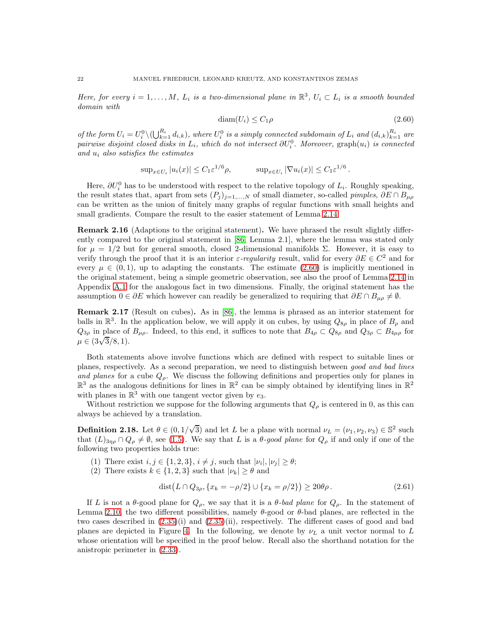Here, for every  $i = 1, ..., M$ ,  $L_i$  is a two-dimensional plane in  $\mathbb{R}^3$ ,  $U_i \subset L_i$  is a smooth bounded domain with

<span id="page-21-0"></span>
$$
diam(U_i) \le C_1 \rho \tag{2.60}
$$

of the form  $U_i = U_i^0 \setminus (\bigcup_{k=1}^{R_i} d_{i,k})$ , where  $U_i^0$  is a simply connected subdomain of  $L_i$  and  $(d_{i,k})_{k=1}^{R_i}$  are pairwise disjoint closed disks in  $L_i$ , which do not intersect  $\partial U_i^0$ . Moreover, graph $(u_i)$  is connected and  $u_i$  also satisfies the estimates

$$
\sup_{x \in U_i} |u_i(x)| \le C_1 \varepsilon^{1/6} \rho, \qquad \sup_{x \in U_i} |\nabla u_i(x)| \le C_1 \varepsilon^{1/6}.
$$

Here,  $\partial U_i^0$  has to be understood with respect to the relative topology of  $L_i$ . Roughly speaking, the result states that, apart from sets  $(P_j)_{j=1,\ldots,N}$  of small diameter, so-called *pimples*,  $\partial E \cap B_{\mu\rho}$ can be written as the union of finitely many graphs of regular functions with small heights and small gradients. Compare the result to the easier statement of Lemma [2.14.](#page-20-0)

Remark 2.16 (Adaptions to the original statement). We have phrased the result slightly differently compared to the original statement in [\[86,](#page-50-5) Lemma 2.1], where the lemma was stated only for  $\mu = 1/2$  but for general smooth, closed 2-dimensional manifolds Σ. However, it is easy to verify through the proof that it is an interior  $\varepsilon$ -regularity result, valid for every  $\partial E \in C^2$  and for every  $\mu \in (0,1)$ , up to adapting the constants. The estimate [\(2.60\)](#page-21-0) is implicitly mentioned in the original statement, being a simple geometric observation, see also the proof of Lemma [2.14](#page-20-0) in Appendix [A.1](#page-40-2) for the analogous fact in two dimensions. Finally, the original statement has the assumption  $0 \in \partial E$  which however can readily be generalized to requiring that  $\partial E \cap B_{\mu\rho} \neq \emptyset$ .

<span id="page-21-1"></span>Remark 2.17 (Result on cubes). As in [\[86\]](#page-50-5), the lemma is phrased as an interior statement for balls in  $\mathbb{R}^3$ . In the application below, we will apply it on cubes, by using  $Q_{8\rho}$  in place of  $B_\rho$  and  $Q_{3\rho}$  in place of  $B_{\mu\rho}$ . Indeed, to this end, it suffices to note that  $B_{4\rho} \subset Q_{8\rho}$  and  $Q_{3\rho} \subset B_{4\mu\rho}$  for  $\mu \in (3\sqrt{3}/8, 1).$ 

Both statements above involve functions which are defined with respect to suitable lines or planes, respectively. As a second preparation, we need to distinguish between good and bad lines and planes for a cube  $Q_{\rho}$ . We discuss the following definitions and properties only for planes in  $\mathbb{R}^3$  as the analogous definitions for lines in  $\mathbb{R}^2$  can be simply obtained by identifying lines in  $\mathbb{R}^2$ with planes in  $\mathbb{R}^3$  with one tangent vector given by  $e_3$ .

Without restriction we suppose for the following arguments that  $Q_{\rho}$  is centered in 0, as this can always be achieved by a translation.

<span id="page-21-2"></span>**Definition 2.18.** Let  $\theta \in (0, 1/\sqrt{3})$  and let L be a plane with normal  $\nu_L = (\nu_1, \nu_2, \nu_3) \in \mathbb{S}^2$  such that  $(L)_{3\eta\rho} \cap Q_{\rho} \neq \emptyset$ , see [\(1.5\)](#page-5-5). We say that L is a  $\theta$ -good plane for  $Q_{\rho}$  if and only if one of the following two properties holds true:

- (1) There exist  $i, j \in \{1, 2, 3\}, i \neq j$ , such that  $|\nu_i|, |\nu_j| \geq \theta$ ;
- (2) There exists  $k \in \{1, 2, 3\}$  such that  $|\nu_k| \ge \theta$  and

<span id="page-21-3"></span>
$$
dist(L \cap Q_{3\rho}, \{x_k = -\rho/2\} \cup \{x_k = \rho/2\}) \ge 20\theta\rho. \tag{2.61}
$$

If L is not a  $\theta$ -good plane for  $Q_{\rho}$ , we say that it is a  $\theta$ -bad plane for  $Q_{\rho}$ . In the statement of Lemma [2.10,](#page-13-1) the two different possibilities, namely  $\theta$ -good or  $\theta$ -bad planes, are reflected in the two cases described in [\(2.35\)](#page-14-2)(i) and [\(2.35\)](#page-14-2)(ii), respectively. The different cases of good and bad planes are depicted in Figure [4.](#page-22-0) In the following, we denote by  $\nu_L$  a unit vector normal to L whose orientation will be specified in the proof below. Recall also the shorthand notation for the anistropic perimeter in [\(2.33\)](#page-13-2).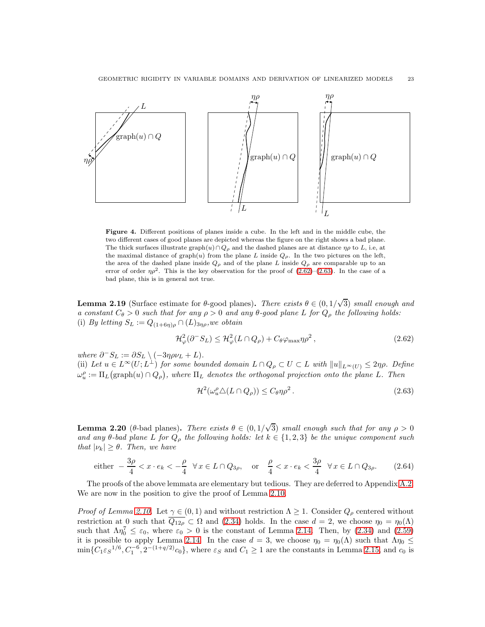<span id="page-22-0"></span>

Figure 4. Different positions of planes inside a cube. In the left and in the middle cube, the two different cases of good planes are depicted whereas the figure on the right shows a bad plane. The thick surfaces illustrate graph $(u) \cap Q_{\rho}$  and the dashed planes are at distance  $\eta \rho$  to L, i.e, at the maximal distance of graph(u) from the plane L inside  $Q_{\rho}$ . In the two pictures on the left, the area of the dashed plane inside  $Q_{\rho}$  and of the plane L inside  $Q_{\rho}$  are comparable up to an error of order  $\eta \rho^2$ . This is the key observation for the proof of [\(2.62\)](#page-22-1)–[\(2.63\)](#page-22-2). In the case of a bad plane, this is in general not true.

<span id="page-22-3"></span>**Lemma 2.19** (Surface estimate for  $\theta$ -good planes). There exists  $\theta \in (0, 1/\sqrt{3})$  small enough and a constant  $C_{\theta} > 0$  such that for any  $\rho > 0$  and any  $\theta$ -good plane L for  $Q_{\rho}$  the following holds: (i) By letting  $S_L := Q_{(1+6\eta)\rho} \cap (L)_{3\eta\rho}$ , we obtain

$$
\mathcal{H}_{\varphi}^{2}(\partial^{-} S_{L}) \leq \mathcal{H}_{\varphi}^{2}(L \cap Q_{\rho}) + C_{\theta} \varphi_{\max} \eta \rho^{2}, \qquad (2.62)
$$

where  $\partial^- S_L := \partial S_L \setminus (-3\eta \rho \nu_L + L).$ 

(ii) Let  $u \in L^{\infty}(U; L^{\perp})$  for some bounded domain  $L \cap Q_{\rho} \subset U \subset L$  with  $||u||_{L^{\infty}(U)} \leq 2\eta\rho$ . Define  $\omega_u^\rho := \Pi_L \big( \text{graph}(u) \cap Q_\rho \big)$ , where  $\Pi_L$  denotes the orthogonal projection onto the plane L. Then

<span id="page-22-5"></span><span id="page-22-2"></span><span id="page-22-1"></span>
$$
\mathcal{H}^2(\omega_u^{\rho}\Delta(L\cap Q_{\rho})) \le C_{\theta}\eta\rho^2. \tag{2.63}
$$

<span id="page-22-4"></span>**Lemma 2.20** (θ-bad planes). There exists  $\theta \in (0, 1/\sqrt{3})$  small enough such that for any  $\rho > 0$ and any  $\theta$ -bad plane L for  $Q_{\rho}$  the following holds: let  $k \in \{1,2,3\}$  be the unique component such that  $|\nu_k| \geq \theta$ . Then, we have

$$
\text{either } -\frac{3\rho}{4} < x \cdot e_k < -\frac{\rho}{4} \quad \forall \, x \in L \cap Q_{3\rho}, \quad \text{or} \quad \frac{\rho}{4} < x \cdot e_k < \frac{3\rho}{4} \quad \forall \, x \in L \cap Q_{3\rho}. \tag{2.64}
$$

The proofs of the above lemmata are elementary but tedious. They are deferred to Appendix [A.2.](#page-41-0) We are now in the position to give the proof of Lemma [2.10.](#page-13-1)

*Proof of Lemma [2.10.](#page-13-1)* Let  $\gamma \in (0,1)$  and without restriction  $\Lambda \geq 1$ . Consider  $Q_{\rho}$  centered without restriction at 0 such that  $\overline{Q_{12\rho}} \subset \Omega$  and [\(2.34\)](#page-14-6) holds. In the case  $d = 2$ , we choose  $\eta_0 = \eta_0(\Lambda)$ such that  $\Lambda \eta_0^7 \leq \varepsilon_0$ , where  $\varepsilon_0 > 0$  is the constant of Lemma [2.14.](#page-20-0) Then, by [\(2.34\)](#page-14-6) and [\(2.59\)](#page-20-3) it is possible to apply Lemma [2.14.](#page-20-0) In the case  $d = 3$ , we choose  $\eta_0 = \eta_0(\Lambda)$  such that  $\Lambda \eta_0 \leq$  $\min\{C_1\varepsilon_S^{-1/6}, C_1^{-6}, 2^{-(1+q/2)}c_0\}$ , where  $\varepsilon_S$  and  $C_1 \ge 1$  are the constants in Lemma [2.15,](#page-20-1) and  $c_0$  is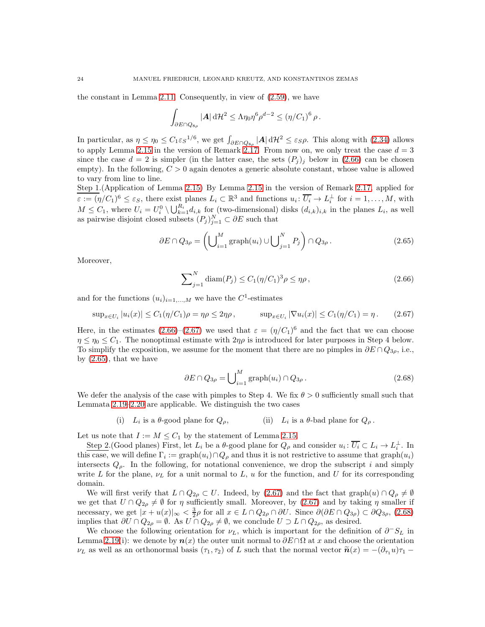the constant in Lemma [2.11.](#page-14-0) Consequently, in view of [\(2.59\)](#page-20-3), we have

$$
\int_{\partial E \cap Q_{8\rho}} |\mathbf{A}| d\mathcal{H}^2 \leq \Lambda \eta_0 \eta^6 \rho^{d-2} \leq (\eta/C_1)^6 \rho.
$$

In particular, as  $\eta \leq \eta_0 \leq C_1 \varepsilon_S^{-1/6}$ , we get  $\int_{\partial E \cap Q_{8\rho}} |A| d\mathcal{H}^2 \leq \varepsilon_S \rho$ . This along with [\(2.34\)](#page-14-6) allows to apply Lemma [2.15](#page-20-1) in the version of Remark [2.17.](#page-21-1) From now on, we only treat the case  $d = 3$ since the case  $d = 2$  is simpler (in the latter case, the sets  $(P_j)_j$  below in [\(2.66\)](#page-23-0) can be chosen empty). In the following,  $C > 0$  again denotes a generic absolute constant, whose value is allowed to vary from line to line.

Step 1.(Application of Lemma [2.15\)](#page-20-1) By Lemma [2.15](#page-20-1) in the version of Remark [2.17,](#page-21-1) applied for  $\varepsilon := (\eta/C_1)^6 \leq \varepsilon_S$ , there exist planes  $L_i \subset \mathbb{R}^3$  and functions  $u_i \colon \overline{U_i} \to L_i^{\perp}$  for  $i = 1, \ldots, M$ , with  $M \leq C_1$ , where  $U_i = U_i^0 \setminus \bigcup_{k=1}^{R_i} d_{i,k}$  for (two-dimensional) disks  $(d_{i,k})_{i,k}$  in the planes  $L_i$ , as well as pairwise disjoint closed subsets  $(P_j)_{j=1}^N \subset \partial E$  such that

$$
\partial E \cap Q_{3\rho} = \left( \bigcup_{i=1}^{M} \text{graph}(u_i) \cup \bigcup_{j=1}^{N} P_j \right) \cap Q_{3\rho} . \tag{2.65}
$$

Moreover,

<span id="page-23-2"></span><span id="page-23-1"></span><span id="page-23-0"></span>
$$
\sum_{j=1}^{N} \text{diam}(P_j) \le C_1 (\eta/C_1)^3 \rho \le \eta \rho, \qquad (2.66)
$$

and for the functions  $(u_i)_{i=1,\dots,M}$  we have the C<sup>1</sup>-estimates

$$
\sup_{x \in U_i} |u_i(x)| \le C_1(\eta/C_1)\rho = \eta \rho \le 2\eta \rho, \qquad \sup_{x \in U_i} |\nabla u_i(x)| \le C_1(\eta/C_1) = \eta. \tag{2.67}
$$

Here, in the estimates  $(2.66)$ – $(2.67)$  we used that  $\varepsilon = (\eta/C_1)^6$  and the fact that we can choose  $\eta \leq \eta_0 \leq C_1$ . The nonoptimal estimate with  $2\eta \rho$  is introduced for later purposes in Step 4 below. To simplify the exposition, we assume for the moment that there are no pimples in  $\partial E \cap Q_{3\rho}$ , i.e., by [\(2.65\)](#page-23-2), that we have

<span id="page-23-3"></span>
$$
\partial E \cap Q_{3\rho} = \bigcup_{i=1}^{M} \text{graph}(u_i) \cap Q_{3\rho} . \tag{2.68}
$$

We defer the analysis of the case with pimples to Step 4. We fix  $\theta > 0$  sufficiently small such that Lemmata [2.19–](#page-22-3)[2.20](#page-22-4) are applicable. We distinguish the two cases

> (i)  $L_i$  is a  $\theta$ -good plane for  $Q_\rho$ , (ii)  $L_i$ (ii)  $L_i$  is a  $\theta$ -bad plane for  $Q_\rho$ .

Let us note that  $I := M \leq C_1$  by the statement of Lemma [2.15.](#page-20-1)

Step 2. (Good planes) First, let  $L_i$  be a  $\theta$ -good plane for  $Q_\rho$  and consider  $u_i: U_i \subset L_i \to L_i^{\perp}$ . In this case, we will define  $\Gamma_i := \text{graph}(u_i) \cap Q_\rho$  and thus it is not restrictive to assume that  $\text{graph}(u_i)$ intersects  $Q_{\rho}$ . In the following, for notational convenience, we drop the subscript i and simply write L for the plane,  $\nu_L$  for a unit normal to L, u for the function, and U for its corresponding domain.

We will first verify that  $L \cap Q_{2\rho} \subset U$ . Indeed, by [\(2.67\)](#page-23-1) and the fact that graph $(u) \cap Q_{\rho} \neq \emptyset$ we get that  $U \cap Q_{2\rho} \neq \emptyset$  for  $\eta$  sufficiently small. Moreover, by [\(2.67\)](#page-23-1) and by taking  $\eta$  smaller if necessary, we get  $|x+u(x)|_{\infty} < \frac{3}{2}\rho$  for all  $x \in L \cap Q_{2\rho} \cap \partial U$ . Since  $\partial(\partial E \cap Q_{3\rho}) \subset \partial Q_{3\rho}$ , [\(2.68\)](#page-23-3) implies that  $\partial U \cap Q_{2\rho} = \emptyset$ . As  $U \cap Q_{2\rho} \neq \emptyset$ , we conclude  $U \supset L \cap Q_{2\rho}$ , as desired.

We choose the following orientation for  $\nu_L$ , which is important for the definition of  $\partial^-S_L$  in Lemma [2.19\(](#page-22-3)i): we denote by  $n(x)$  the outer unit normal to  $\partial E \cap \Omega$  at x and choose the orientation  $\nu_L$  as well as an orthonormal basis  $(\tau_1, \tau_2)$  of L such that the normal vector  $\tilde{\mathbf{n}}(x) = -(\partial_{\tau_1} u)\tau_1 -$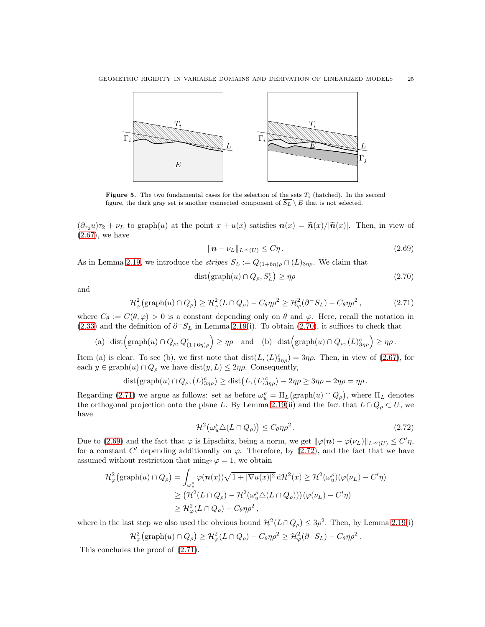<span id="page-24-4"></span>

Figure 5. The two fundamental cases for the selection of the sets  $T_i$  (hatched). In the second figure, the dark gray set is another connected component of  $\overline{S_L} \setminus E$  that is not selected.

 $(\partial_{\tau_2}u)\tau_2 + \nu_L$  to graph $(u)$  at the point  $x + u(x)$  satisfies  $n(x) = \tilde{n}(x)/|\tilde{n}(x)|$ . Then, in view of [\(2.67\)](#page-23-1), we have

<span id="page-24-2"></span><span id="page-24-1"></span><span id="page-24-0"></span>
$$
\|\mathbf{n} - \nu_L\|_{L^\infty(U)} \le C\eta. \tag{2.69}
$$

As in Lemma [2.19,](#page-22-3) we introduce the *stripes*  $S_L := Q_{(1+6\eta)\rho} \cap (L)_{3\eta\rho}$ . We claim that

$$
dist\left(\text{graph}(u)\cap Q_{\rho}, S_{L}^{c}\right) \geq \eta\rho\tag{2.70}
$$

and

$$
\mathcal{H}_{\varphi}^{2}(\text{graph}(u) \cap Q_{\rho}) \geq \mathcal{H}_{\varphi}^{2}(L \cap Q_{\rho}) - C_{\theta} \eta \rho^{2} \geq \mathcal{H}_{\varphi}^{2}(\partial^{-} S_{L}) - C_{\theta} \eta \rho^{2}, \qquad (2.71)
$$

where  $C_{\theta} := C(\theta, \varphi) > 0$  is a constant depending only on  $\theta$  and  $\varphi$ . Here, recall the notation in [\(2.33\)](#page-13-2) and the definition of  $\partial^{\neg} S_L$  in Lemma [2.19\(](#page-22-3)i). To obtain [\(2.70\)](#page-24-0), it suffices to check that

(a) 
$$
\text{dist}(\text{graph}(u) \cap Q_{\rho}, Q_{(1+6\eta)\rho}^c) \ge \eta\rho
$$
 and (b)  $\text{dist}(\text{graph}(u) \cap Q_{\rho}, (L)_{3\eta\rho}^c) \ge \eta\rho$ .

Item (a) is clear. To see (b), we first note that  $dist(L,(L)_{3\eta\rho}^c) = 3\eta\rho$ . Then, in view of [\(2.67\)](#page-23-1), for each  $y \in \text{graph}(u) \cap Q_\rho$  we have  $\text{dist}(y, L) \leq 2\eta \rho$ . Consequently,

$$
\text{dist}\big(\text{graph}(u)\cap Q_{\rho},(L)_{3\eta\rho}^c\big)\geq \text{dist}\big(L,(L)_{3\eta\rho}^c\big)-2\eta\rho\geq 3\eta\rho-2\eta\rho=\eta\rho\,.
$$

Regarding [\(2.71\)](#page-24-1) we argue as follows: set as before  $\omega_u^{\rho} = \Pi_L(\text{graph}(u) \cap Q_{\rho})$ , where  $\Pi_L$  denotes the orthogonal projection onto the plane L. By Lemma [2.19\(](#page-22-3)ii) and the fact that  $L \cap Q_{\rho} \subset U$ , we have

<span id="page-24-3"></span>
$$
\mathcal{H}^2(\omega_u^{\rho}\triangle (L\cap Q_{\rho})) \le C_{\theta}\eta\rho^2. \tag{2.72}
$$

Due to [\(2.69\)](#page-24-2) and the fact that  $\varphi$  is Lipschitz, being a norm, we get  $\|\varphi(n) - \varphi(\nu_L)\|_{L^\infty(U)} \leq C' \eta$ , for a constant C' depending additionally on  $\varphi$ . Therefore, by [\(2.72\)](#page-24-3), and the fact that we have assumed without restriction that min<sub>S2</sub>  $\varphi = 1$ , we obtain

$$
\mathcal{H}_{\varphi}^{2}(\text{graph}(u) \cap Q_{\rho}) = \int_{\omega_{u}^{\rho}} \varphi(\mathbf{n}(x))\sqrt{1+|\nabla u(x)|^{2}} \, d\mathcal{H}^{2}(x) \geq \mathcal{H}^{2}(\omega_{u}^{\rho})(\varphi(\nu_{L}) - C'\eta)
$$
  
\n
$$
\geq (\mathcal{H}^{2}(L \cap Q_{\rho}) - \mathcal{H}^{2}(\omega_{u}^{\rho}\triangle(L \cap Q_{\rho})))(\varphi(\nu_{L}) - C'\eta)
$$
  
\n
$$
\geq \mathcal{H}_{\varphi}^{2}(L \cap Q_{\rho}) - C_{\theta}\eta\rho^{2},
$$

where in the last step we also used the obvious bound  $\mathcal{H}^2(L \cap Q_{\rho}) \leq 3\rho^2$ . Then, by Lemma [2.19\(](#page-22-3)i)

$$
\mathcal{H}^2_{\varphi}(\text{graph}(u) \cap Q_{\rho}) \geq \mathcal{H}^2_{\varphi}(L \cap Q_{\rho}) - C_{\theta} \eta \rho^2 \geq \mathcal{H}^2_{\varphi}(\partial^- S_L) - C_{\theta} \eta \rho^2.
$$

This concludes the proof of [\(2.71\)](#page-24-1).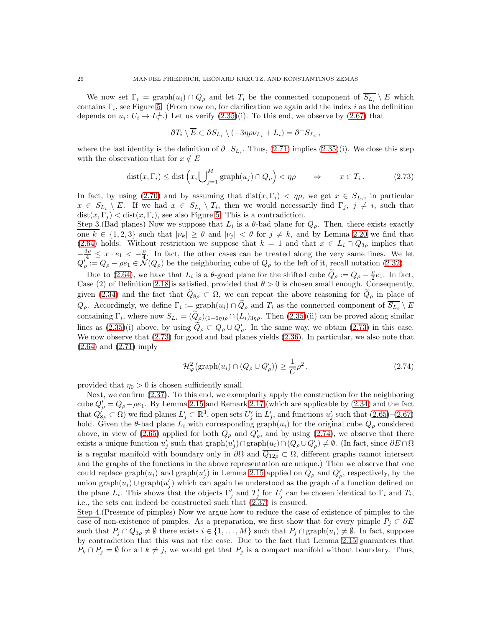We now set  $\Gamma_i = \text{graph}(u_i) \cap Q_\rho$  and let  $T_i$  be the connected component of  $\overline{S_{L_i}} \setminus E$  which contains  $\Gamma_i$ , see Figure [5.](#page-24-4) (From now on, for clarification we again add the index i as the definition depends on  $u_i: U_i \to L_i^{\perp}$ .) Let us verify  $(2.35)(i)$ . To this end, we observe by  $(2.67)$  that

<span id="page-25-0"></span>
$$
\partial T_i \setminus \overline{E} \subset \partial S_{L_i} \setminus (-3\eta \rho \nu_{L_i} + L_i) = \partial^{-} S_{L_i} ,
$$

where the last identity is the definition of  $\partial^- S_{L_i}$ . Thus, [\(2.71\)](#page-24-1) implies [\(2.35\)](#page-14-2)(i). We close this step with the observation that for  $x \notin E$ 

$$
dist(x, \Gamma_i) \leq dist\left(x, \bigcup_{j=1}^M \text{graph}(u_j) \cap Q_{\rho}\right) < \eta \rho \qquad \Rightarrow \qquad x \in T_i. \tag{2.73}
$$

In fact, by using [\(2.70\)](#page-24-0) and by assuming that dist $(x, \Gamma_i) < \eta \rho$ , we get  $x \in S_{L_i}$ , in particular  $x \in S_{L_i} \setminus E$ . If we had  $x \in S_{L_i} \setminus T_i$ , then we would necessarily find  $\Gamma_j$ ,  $j \neq i$ , such that  $dist(x, \Gamma_i) < dist(x, \Gamma_i)$ , see also Figure [5.](#page-24-4) This is a contradiction.

Step 3.(Bad planes) Now we suppose that  $L_i$  is a  $\theta$ -bad plane for  $Q_\rho$ . Then, there exists exactly one  $k \in \{1,2,3\}$  such that  $|\nu_k| \geq \theta$  and  $|\nu_j| < \theta$  for  $j \neq k$ , and by Lemma [2.20](#page-22-4) we find that [\(2.64\)](#page-22-5) holds. Without restriction we suppose that  $k = 1$  and that  $x \in L_i \cap Q_{3\rho}$  implies that  $-\frac{3\rho}{4} \leq x \cdot e_1 < -\frac{\rho}{4}$ . In fact, the other cases can be treated along the very same lines. We let  $Q'_{\rho} := Q_{\rho} - \rho e_1 \in \mathcal{N}(Q_{\rho})$  be the neighboring cube of  $Q_{\rho}$  to the left of it, recall notation [\(2.32\)](#page-13-3).

Due to [\(2.64\)](#page-22-5), we have that  $L_i$  is a  $\theta$ -good plane for the shifted cube  $\widetilde{Q}_{\rho} := Q_{\rho} - \frac{\rho}{2}e_1$ . In fact, Case (2) of Definition [2.18](#page-21-2) is satisfied, provided that  $\theta > 0$  is chosen small enough. Consequently, given [\(2.34\)](#page-14-6) and the fact that  $Q_{8\rho} \subset \Omega$ , we can repeat the above reasoning for  $Q_{\rho}$  in place of  $Q_{\rho}$ . Accordingly, we define  $\Gamma_i := \text{graph}(u_i) \cap Q_{\rho}$  and  $T_i$  as the connected component of  $S_{L_i} \setminus E$ containing  $\Gamma_i$ , where now  $S_{L_i} = (Q_\rho)_{(1+6\eta)\rho} \cap (L_i)_{3\eta\rho}$ . Then  $(2.35)(ii)$  can be proved along similar lines as  $(2.35)(i)$  above, by using  $Q_{\rho} \subset Q_{\rho} \cup Q'_{\rho}$ . In the same way, we obtain  $(2.73)$  in this case. We now observe that [\(2.73\)](#page-25-0) for good and bad planes yields [\(2.36\)](#page-14-3). In particular, we also note that [\(2.64\)](#page-22-5) and [\(2.71\)](#page-24-1) imply

<span id="page-25-1"></span>
$$
\mathcal{H}_{\varphi}^{2}(\text{graph}(u_{i}) \cap (Q_{\rho} \cup Q_{\rho}')) \geq \frac{1}{C} \rho^{2},\qquad(2.74)
$$

provided that  $\eta_0 > 0$  is chosen sufficiently small.

Next, we confirm [\(2.37\)](#page-14-5). To this end, we exemplarily apply the construction for the neighboring cube  $Q'_{\rho} = Q_{\rho} - \rho e_1$ . By Lemma [2.15](#page-20-1) and Remark [2.17](#page-21-1) (which are applicable by [\(2.34\)](#page-14-6) and the fact that  $Q'_{8\rho} \subset \Omega$ ) we find planes  $L'_j \subset \mathbb{R}^3$ , open sets  $U'_j$  in  $L'_j$ , and functions  $u'_j$  such that  $(2.65)-(2.67)$  $(2.65)-(2.67)$ hold. Given the  $\theta$ -bad plane  $L_i$  with corresponding graph $(u_i)$  for the original cube  $Q_\rho$  considered above, in view of [\(2.65\)](#page-23-2) applied for both  $Q_{\rho}$  and  $Q'_{\rho}$ , and by using [\(2.74\)](#page-25-1), we observe that there exists a unique function  $u'_j$  such that  $\text{graph}(u'_j) \cap \text{graph}(u_i) \cap (Q_\rho \cup Q'_\rho) \neq \emptyset$ . (In fact, since  $\partial E \cap \Omega$ is a regular manifold with boundary only in  $\partial\Omega$  and  $\overline{Q_{12\rho}} \subset \Omega$ , different graphs cannot intersect and the graphs of the functions in the above representation are unique.) Then we observe that one could replace graph $(u_i)$  and graph $(u'_j)$  in Lemma [2.15](#page-20-1) applied on  $Q_\rho$  and  $Q'_\rho$ , respectively, by the union graph $(u_i) \cup \text{graph}(u'_j)$  which can again be understood as the graph of a function defined on the plane  $L_i$ . This shows that the objects  $\Gamma'_j$  and  $T'_j$  for  $L'_j$  can be chosen identical to  $\Gamma_i$  and  $T_i$ , i.e., the sets can indeed be constructed such that [\(2.37\)](#page-14-5) is ensured.

Step 4.(Presence of pimples) Now we argue how to reduce the case of existence of pimples to the case of non-existence of pimples. As a preparation, we first show that for every pimple  $P_j \subset \partial E$ such that  $P_j \cap Q_{3\rho} \neq \emptyset$  there exists  $i \in \{1, ..., M\}$  such that  $P_j \cap \text{graph}(u_i) \neq \emptyset$ . In fact, suppose by contradiction that this was not the case. Due to the fact that Lemma [2.15](#page-20-1) guarantees that  $P_k \cap P_j = \emptyset$  for all  $k \neq j$ , we would get that  $P_j$  is a compact manifold without boundary. Thus,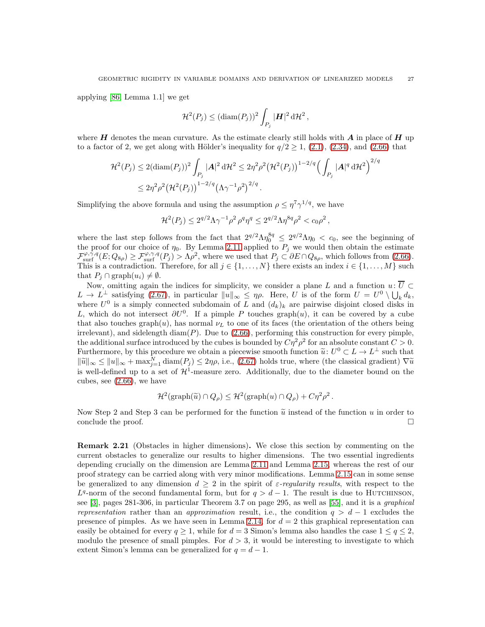applying [\[86,](#page-50-5) Lemma 1.1] we get

$$
\mathcal{H}^2(P_j) \leq (\text{diam}(P_j))^2 \int_{P_j} |\mathbf{H}|^2 d\mathcal{H}^2,
$$

where  $H$  denotes the mean curvature. As the estimate clearly still holds with  $A$  in place of  $H$  up to a factor of 2, we get along with Hölder's inequality for  $q/2 \ge 1$ ,  $(2.1)$ ,  $(2.34)$ , and  $(2.66)$  that

$$
\mathcal{H}^{2}(P_{j}) \leq 2(\text{diam}(P_{j}))^{2} \int_{P_{j}} |\mathbf{A}|^{2} d\mathcal{H}^{2} \leq 2\eta^{2} \rho^{2} (\mathcal{H}^{2}(P_{j}))^{1-2/q} \Big(\int_{P_{j}} |\mathbf{A}|^{q} d\mathcal{H}^{2}\Big)^{2/q}
$$
  

$$
\leq 2\eta^{2} \rho^{2} (\mathcal{H}^{2}(P_{j}))^{1-2/q} (\Lambda\gamma^{-1} \rho^{2})^{2/q}.
$$

Simplifying the above formula and using the assumption  $\rho \leq \eta^7 \gamma^{1/q}$ , we have

$$
\mathcal{H}^{2}(P_{j}) \leq 2^{q/2} \Lambda \gamma^{-1} \rho^{2} \rho^{q} \eta^{q} \leq 2^{q/2} \Lambda \eta^{8q} \rho^{2} < c_{0} \rho^{2} \,,
$$

where the last step follows from the fact that  $2^{q/2} \Lambda \eta_0^{8q} \leq 2^{q/2} \Lambda \eta_0 < c_0$ , see the beginning of the proof for our choice of  $\eta_0$ . By Lemma [2.11](#page-14-0) applied to  $P_j$  we would then obtain the estimate  $\mathcal{F}_{\text{surf}}^{\varphi,\gamma,q}(E;Q_{8\rho}) \geq \mathcal{F}_{\text{surf}}^{\varphi,\gamma,q}(P_j) > \Lambda \rho^2$ , where we used that  $P_j \subset \partial E \cap Q_{8\rho}$ , which follows from [\(2.66\)](#page-23-0). This is a contradiction. Therefore, for all  $j \in \{1, \ldots, N\}$  there exists an index  $i \in \{1, \ldots, M\}$  such that  $P_i \cap \text{graph}(u_i) \neq \emptyset$ .

Now, omitting again the indices for simplicity, we consider a plane L and a function  $u: \overline{U} \subset$  $L \to L^{\perp}$  satisfying [\(2.67\)](#page-23-1), in particular  $||u||_{\infty} \leq \eta \rho$ . Here, U is of the form  $U = U^0 \setminus \bigcup_k d_k$ , where  $U^0$  is a simply connected subdomain of L and  $(d_k)_k$  are pairwise disjoint closed disks in L, which do not intersect  $\partial U^0$ . If a pimple P touches graph $(u)$ , it can be covered by a cube that also touches graph $(u)$ , has normal  $\nu_L$  to one of its faces (the orientation of the others being irrelevant), and sidelength diam $(P)$ . Due to  $(2.66)$ , performing this construction for every pimple, the additional surface introduced by the cubes is bounded by  $C\eta^2\rho^2$  for an absolute constant  $C>0$ . Furthermore, by this procedure we obtain a piecewise smooth function  $\tilde{u}: U^0 \subset L \to L^{\perp}$  such that  $\|\widetilde{u}\|_{\infty} \leq \|u\|_{\infty} + \max_{j=1}^{N} \text{diam}(P_j) \leq 2\eta\rho$ , i.e., [\(2.67\)](#page-23-1) holds true, where (the classical gradient)  $\nabla \widetilde{u}$ is well-defined up to a set of  $\mathcal{H}^1$ -measure zero. Additionally, due to the diameter bound on the cubes, see [\(2.66\)](#page-23-0), we have

$$
\mathcal{H}^2(\text{graph}(\widetilde{u}) \cap Q_{\rho}) \leq \mathcal{H}^2(\text{graph}(u) \cap Q_{\rho}) + C\eta^2\rho^2.
$$

Now Step 2 and Step 3 can be performed for the function  $\tilde{u}$  instead of the function u in order to conclude the proof. conclude the proof.

<span id="page-26-0"></span>Remark 2.21 (Obstacles in higher dimensions). We close this section by commenting on the current obstacles to generalize our results to higher dimensions. The two essential ingredients depending crucially on the dimension are Lemma [2.11](#page-14-0) and Lemma [2.15,](#page-20-1) whereas the rest of our proof strategy can be carried along with very minor modifications. Lemma [2.15](#page-20-1) can in some sense be generalized to any dimension  $d \geq 2$  in the spirit of  $\varepsilon$ -regularity results, with respect to the  $L^q$ -norm of the second fundamental form, but for  $q > d - 1$ . The result is due to HUTCHINSON, see [\[3\]](#page-47-13), pages  $281-306$ , in particular Theorem 3.7 on page  $295$ , as well as [\[55\]](#page-49-27), and it is a *graphical* representation rather than an approximation result, i.e., the condition  $q > d - 1$  excludes the presence of pimples. As we have seen in Lemma [2.14,](#page-20-0) for  $d = 2$  this graphical representation can easily be obtained for every  $q \ge 1$ , while for  $d = 3$  Simon's lemma also handles the case  $1 \le q \le 2$ , modulo the presence of small pimples. For  $d > 3$ , it would be interesting to investigate to which extent Simon's lemma can be generalized for  $q = d - 1$ .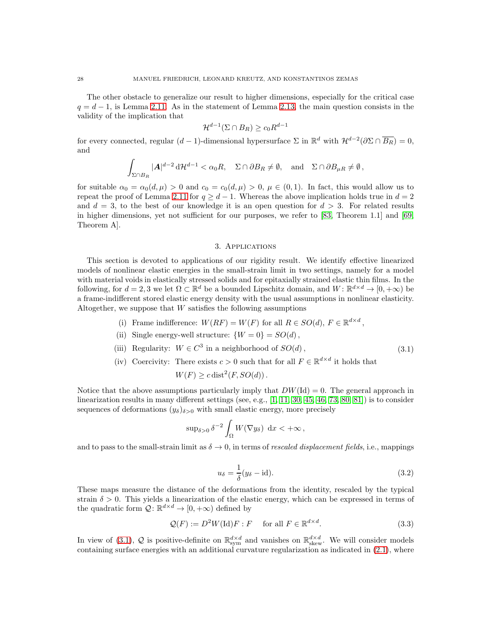The other obstacle to generalize our result to higher dimensions, especially for the critical case  $q = d - 1$ , is Lemma [2.11.](#page-14-0) As in the statement of Lemma [2.13,](#page-18-1) the main question consists in the validity of the implication that

$$
\mathcal{H}^{d-1}(\Sigma \cap B_R) \ge c_0 R^{d-1}
$$

for every connected, regular  $(d-1)$ -dimensional hypersurface  $\Sigma$  in  $\mathbb{R}^d$  with  $\mathcal{H}^{d-2}(\partial \Sigma \cap \overline{B_R}) = 0$ , and

$$
\int_{\Sigma \cap B_R} |\mathbf{A}|^{d-2} \, \mathrm{d} \mathcal{H}^{d-1} < \alpha_0 R, \quad \Sigma \cap \partial B_R \neq \emptyset, \quad \text{and} \quad \Sigma \cap \partial B_{\mu R} \neq \emptyset,
$$

for suitable  $\alpha_0 = \alpha_0(d,\mu) > 0$  and  $c_0 = c_0(d,\mu) > 0$ ,  $\mu \in (0,1)$ . In fact, this would allow us to repeat the proof of Lemma [2.11](#page-14-0) for  $q \geq d-1$ . Whereas the above implication holds true in  $d=2$ and  $d = 3$ , to the best of our knowledge it is an open question for  $d > 3$ . For related results in higher dimensions, yet not sufficient for our purposes, we refer to [\[83,](#page-50-10) Theorem 1.1] and [\[69,](#page-49-28) Theorem A].

#### <span id="page-27-2"></span>3. Applications

<span id="page-27-0"></span>This section is devoted to applications of our rigidity result. We identify effective linearized models of nonlinear elastic energies in the small-strain limit in two settings, namely for a model with material voids in elastically stressed solids and for epitaxially strained elastic thin films. In the following, for  $d = 2, 3$  we let  $\Omega \subset \mathbb{R}^d$  be a bounded Lipschitz domain, and  $W: \mathbb{R}^{d \times d} \to [0, +\infty)$  be a frame-indifferent stored elastic energy density with the usual assumptions in nonlinear elasticity. Altogether, we suppose that  $W$  satisfies the following assumptions

- (i) Frame indifference:  $W(RF) = W(F)$  for all  $R \in SO(d)$ ,  $F \in \mathbb{R}^{d \times d}$ ,
- (ii) Single energy-well structure:  $\{W = 0\} = SO(d)$ ,
- (iii) Regularity:  $W \in C^3$  in a neighborhood of  $SO(d)$ , (3.1)
- (iv) Coercivity: There exists  $c > 0$  such that for all  $F \in \mathbb{R}^{d \times d}$  it holds that  $W(F) \geq c \operatorname{dist}^2(F, SO(d)).$

Notice that the above assumptions particularly imply that  $DW(\text{Id}) = 0$ . The general approach in linearization results in many different settings (see, e.g., [\[1,](#page-47-9) [11,](#page-47-8) [30,](#page-48-0) [45,](#page-48-22) [46,](#page-48-13) [73,](#page-49-17) [80,](#page-50-8) [81\]](#page-50-7)) is to consider sequences of deformations  $(y_\delta)_{\delta>0}$  with small elastic energy, more precisely

$$
\sup\nolimits_{\delta > 0} \delta^{-2} \int_{\Omega} W(\nabla y_{\delta}) \, dx < +\infty \,,
$$

and to pass to the small-strain limit as  $\delta \to 0$ , in terms of rescaled displacement fields, i.e., mappings

<span id="page-27-3"></span><span id="page-27-1"></span>
$$
u_{\delta} = \frac{1}{\delta}(y_{\delta} - \text{id}).
$$
\n(3.2)

These maps measure the distance of the deformations from the identity, rescaled by the typical strain  $\delta > 0$ . This yields a linearization of the elastic energy, which can be expressed in terms of the quadratic form  $\mathcal{Q} \colon \mathbb{R}^{d \times d} \to [0, +\infty)$  defined by

$$
\mathcal{Q}(F) := D^2 W(\mathrm{Id}) F : F \quad \text{ for all } F \in \mathbb{R}^{d \times d}.
$$
 (3.3)

In view of [\(3.1\)](#page-27-2), Q is positive-definite on  $\mathbb{R}^{d \times d}_{sym}$  and vanishes on  $\mathbb{R}^{d \times d}_{skew}$ . We will consider models containing surface energies with an additional curvature regularization as indicated in [\(2.1\)](#page-5-2), where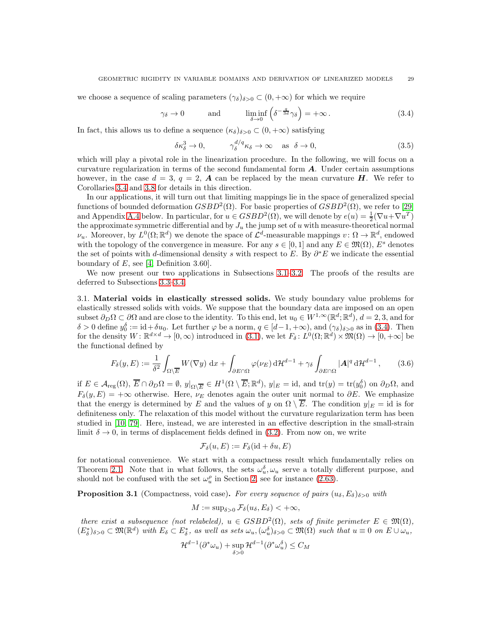we choose a sequence of scaling parameters  $(\gamma_{\delta})_{\delta>0} \subset (0, +\infty)$  for which we require

$$
\gamma_{\delta} \to 0
$$
 and  $\liminf_{\delta \to 0} \left( \delta^{-\frac{q}{3d}} \gamma_{\delta} \right) = +\infty$ . (3.4)

In fact, this allows us to define a sequence  $(\kappa_{\delta})_{\delta>0} \subset (0, +\infty)$  satisfying

<span id="page-28-3"></span><span id="page-28-2"></span>
$$
\delta \kappa_{\delta}^3 \to 0, \qquad \gamma_{\delta}^{d/q} \kappa_{\delta} \to \infty \quad \text{as} \quad \delta \to 0,
$$
\n(3.5)

which will play a pivotal role in the linearization procedure. In the following, we will focus on a curvature regularization in terms of the second fundamental form A. Under certain assumptions however, in the case  $d = 3$ ,  $q = 2$ , **A** can be replaced by the mean curvature **H**. We refer to Corollaries [3.4](#page-30-1) and [3.8](#page-32-1) for details in this direction.

In our applications, it will turn out that limiting mappings lie in the space of generalized special functions of bounded deformation  $GSBD^2(\Omega)$ . For basic properties of  $GSBD^2(\Omega)$ , we refer to [\[29\]](#page-48-8) and Appendix [A.4](#page-46-0) below. In particular, for  $u \in GSBD^2(\Omega)$ , we will denote by  $e(u) = \frac{1}{2}(\nabla u + \nabla u^T)$ the approximate symmetric differential and by  $J_u$  the jump set of u with measure-theoretical normal  $\nu_u$ . Moreover, by  $L^0(\Omega;\mathbb{R}^d)$  we denote the space of  $\mathcal{L}^d$ -measurable mappings  $v: \Omega \to \mathbb{R}^d$ , endowed with the topology of the convergence in measure. For any  $s \in [0,1]$  and any  $E \in \mathfrak{M}(\Omega)$ ,  $E^s$  denotes the set of points with d-dimensional density s with respect to E. By  $\partial^* E$  we indicate the essential boundary of  $E$ , see [\[4,](#page-47-1) Definition 3.60].

We now present our two applications in Subsections [3.1–](#page-28-0)[3.2.](#page-30-0) The proofs of the results are deferred to Subsections [3.3–](#page-32-0)[3.4.](#page-36-0)

<span id="page-28-0"></span>3.1. Material voids in elastically stressed solids. We study boundary value problems for elastically stressed solids with voids. We suppose that the boundary data are imposed on an open subset  $\partial_D \Omega \subset \partial \Omega$  and are close to the identity. To this end, let  $u_0 \in W^{1,\infty}(\mathbb{R}^d; \mathbb{R}^d)$ ,  $d = 2,3$ , and for  $\delta > 0$  define  $y_0^{\delta} := \mathrm{id} + \delta u_0$ . Let further  $\varphi$  be a norm,  $q \in [d-1, +\infty)$ , and  $(\gamma_{\delta})_{\delta > 0}$  as in [\(3.4\)](#page-28-2). Then for the density  $W: \mathbb{R}^{d \times d} \to [0, \infty)$  introduced in  $(3.1)$ , we let  $F_{\delta}: L^{0}(\Omega; \mathbb{R}^{d}) \times \mathfrak{M}(\Omega) \to [0, +\infty]$  be the functional defined by

<span id="page-28-4"></span>
$$
F_{\delta}(y, E) := \frac{1}{\delta^2} \int_{\Omega \setminus \overline{E}} W(\nabla y) \, dx + \int_{\partial E \cap \Omega} \varphi(\nu_E) \, d\mathcal{H}^{d-1} + \gamma_{\delta} \int_{\partial E \cap \Omega} |\mathbf{A}|^q \, d\mathcal{H}^{d-1}, \qquad (3.6)
$$

if  $E \in \mathcal{A}_{reg}(\Omega), \overline{E} \cap \partial_D \Omega = \emptyset, y|_{\Omega \setminus \overline{E}} \in H^1(\Omega \setminus \overline{E}; \mathbb{R}^d), y|_E = id$ , and  $tr(y) = tr(y_0^{\delta})$  on  $\partial_D \Omega$ , and  $F_{\delta}(y, E) = +\infty$  otherwise. Here,  $\nu_E$  denotes again the outer unit normal to  $\partial E$ . We emphasize that the energy is determined by E and the values of y on  $\Omega \setminus \overline{E}$ . The condition  $y|_E = id$  is for definiteness only. The relaxation of this model without the curvature regularization term has been studied in [\[10,](#page-47-12) [79\]](#page-50-9). Here, instead, we are interested in an effective description in the small-strain limit  $\delta \to 0$ , in terms of displacement fields defined in [\(3.2\)](#page-27-1). From now on, we write

$$
\mathcal{F}_{\delta}(u,E) := F_{\delta}(\mathrm{id} + \delta u, E)
$$

for notational convenience. We start with a compactness result which fundamentally relies on Theorem [2.1.](#page-6-0) Note that in what follows, the sets  $\omega_u^{\delta}, \omega_u$  serve a totally different purpose, and should not be confused with the set  $\omega_u^{\rho}$  in Section [2,](#page-5-0) see for instance [\(2.63\)](#page-22-2).

<span id="page-28-1"></span>**Proposition 3.1** (Compactness, void case). For every sequence of pairs  $(u_\delta, E_\delta)_{\delta>0}$  with

$$
M := \sup_{\delta > 0} \mathcal{F}_{\delta}(u_{\delta}, E_{\delta}) < +\infty,
$$

there exist a subsequence (not relabeled),  $u \in GSBD^2(\Omega)$ , sets of finite perimeter  $E \in \mathfrak{M}(\Omega)$ ,  $(E_{\delta}^*)_{\delta>0} \subset \mathfrak{M}(\mathbb{R}^d)$  with  $E_{\delta} \subset E_{\delta}^*$ , as well as sets  $\omega_u, (\omega_u^{\delta})_{\delta>0} \subset \mathfrak{M}(\Omega)$  such that  $u \equiv 0$  on  $E \cup \omega_u$ ,

$$
\mathcal{H}^{d-1}(\partial^* \omega_u) + \sup_{\delta > 0} \mathcal{H}^{d-1}(\partial^* \omega_u^{\delta}) \le C_M
$$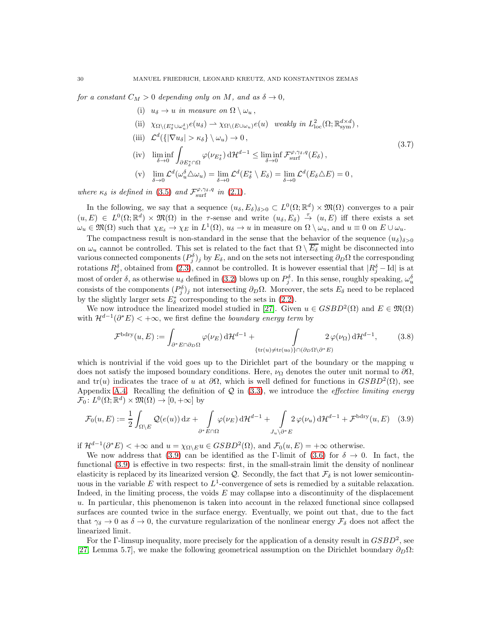for a constant  $C_M > 0$  depending only on M, and as  $\delta \to 0$ ,

<span id="page-29-1"></span>(i)  $u_{\delta} \to u$  in measure on  $\Omega \setminus \omega_{u}$ , (ii)  $\chi_{\Omega \setminus (E_{\delta}^* \cup \omega_{u}^{\delta})} e(u_{\delta}) \rightharpoonup \chi_{\Omega \setminus (E \cup \omega_u)} e(u)$  weakly in  $L^2_{\text{loc}}(\Omega; \mathbb{R}^{d \times d}_{\text{sym}})$ , (iii)  $\mathcal{L}^d(\{|\nabla u_\delta| > \kappa_\delta\} \setminus \omega_u) \to 0$ , (iv)  $\liminf_{\delta \to 0}$ ˆ  $\partial E_{\delta}^* \cap \Omega$  $\varphi(\nu_{E_{\delta}^*}) \, d\mathcal{H}^{d-1} \leq \liminf_{\delta \to 0} \mathcal{F}_{\text{surf}}^{\varphi, \gamma_{\delta}, q}(E_{\delta}),$ (v)  $\lim_{\delta \to 0} \mathcal{L}^d(\omega_u^{\delta} \triangle \omega_u) = \lim_{\delta \to 0} \mathcal{L}^d(E_{\delta}^* \setminus E_{\delta}) = \lim_{\delta \to 0} \mathcal{L}^d(E_{\delta} \triangle E) = 0,$ (3.7)

where  $\kappa_{\delta}$  is defined in [\(3.5\)](#page-28-3) and  $\mathcal{F}_{\text{surf}}^{\varphi,\gamma_{\delta},q}$  in [\(2.1\)](#page-5-2).

In the following, we say that a sequence  $(u_\delta, E_\delta)_{\delta>0} \subset L^0(\Omega;\mathbb{R}^d) \times \mathfrak{M}(\Omega)$  converges to a pair  $(u, E) \in L^{0}(\Omega; \mathbb{R}^{d}) \times \mathfrak{M}(\Omega)$  in the  $\tau$ -sense and write  $(u_{\delta}, E_{\delta}) \stackrel{\tau}{\rightarrow} (u, E)$  iff there exists a set  $\omega_u \in \mathfrak{M}(\Omega)$  such that  $\chi_{E_\delta} \to \chi_E$  in  $L^1(\Omega)$ ,  $u_\delta \to u$  in measure on  $\Omega \setminus \omega_u$ , and  $u \equiv 0$  on  $E \cup \omega_u$ .

The compactness result is non-standard in the sense that the behavior of the sequence  $(u_{\delta})_{\delta>0}$ on  $\omega_u$  cannot be controlled. This set is related to the fact that  $\Omega \setminus \overline{E_\delta}$  might be disconnected into various connected components  $(P_j^{\delta})_j$  by  $E_{\delta}$ , and on the sets not intersecting  $\partial_D\Omega$  the corresponding rotations  $R_j^{\delta}$ , obtained from [\(2.3\)](#page-6-1), cannot be controlled. It is however essential that  $|R_j^{\delta} - \text{Id}|$  is at most of order  $\delta$ , as otherwise  $u_{\delta}$  defined in [\(3.2\)](#page-27-1) blows up on  $P_j^{\delta}$ . In this sense, roughly speaking,  $\omega_u^{\delta}$ consists of the components  $(P_j^{\delta})_j$  not intersecting  $\partial_D \Omega$ . Moreover, the sets  $E_{\delta}$  need to be replaced by the slightly larger sets  $E^*_{\delta}$  corresponding to the sets in [\(2.2\)](#page-6-2).

We now introduce the linearized model studied in [\[27\]](#page-48-24). Given  $u \in GSBD^2(\Omega)$  and  $E \in \mathfrak{M}(\Omega)$ with  $\mathcal{H}^{d-1}(\partial^* E) < +\infty$ , we first define the *boundary energy term* by

<span id="page-29-2"></span><span id="page-29-0"></span>
$$
\mathcal{F}^{bdry}(u,E) := \int_{\partial^* E \cap \partial_D \Omega} \varphi(\nu_E) d\mathcal{H}^{d-1} + \int_{\{tr(u) \neq tr(u_0)\} \cap (\partial_D \Omega \setminus \partial^* E)} 2\,\varphi(\nu_\Omega) d\mathcal{H}^{d-1},\tag{3.8}
$$

which is nontrivial if the void goes up to the Dirichlet part of the boundary or the mapping  $u$ does not satisfy the imposed boundary conditions. Here,  $\nu_{\Omega}$  denotes the outer unit normal to  $\partial\Omega$ , and  $tr(u)$  indicates the trace of u at  $\partial\Omega$ , which is well defined for functions in  $GSBD^2(\Omega)$ , see Appendix [A.4.](#page-46-0) Recalling the definition of  $\mathcal Q$  in [\(3.3\)](#page-27-3), we introduce the *effective limiting energy*  $\mathcal{F}_0\colon L^0(\Omega;\mathbb{R}^d)\times \mathfrak{M}(\Omega)\to [0,+\infty]$  by

$$
\mathcal{F}_0(u,E) := \frac{1}{2} \int_{\Omega \setminus E} \mathcal{Q}(e(u)) \, dx + \int_{\partial^* E \cap \Omega} \varphi(\nu_E) \, d\mathcal{H}^{d-1} + \int_{J_u \setminus \partial^* E} 2 \, \varphi(\nu_u) \, d\mathcal{H}^{d-1} + \mathcal{F}^{bdry}(u,E) \tag{3.9}
$$

if  $\mathcal{H}^{d-1}(\partial^* E) < +\infty$  and  $u = \chi_{\Omega \setminus E} u \in GSBD^2(\Omega)$ , and  $\mathcal{F}_0(u, E) = +\infty$  otherwise.

We now address that [\(3.9\)](#page-29-0) can be identified as the Γ-limit of [\(3.6\)](#page-28-4) for  $\delta \to 0$ . In fact, the functional [\(3.9\)](#page-29-0) is effective in two respects: first, in the small-strain limit the density of nonlinear elasticity is replaced by its linearized version  $Q$ . Secondly, the fact that  $\mathcal{F}_{\delta}$  is not lower semicontinuous in the variable E with respect to  $L^1$ -convergence of sets is remedied by a suitable relaxation. Indeed, in the limiting process, the voids  $E$  may collapse into a discontinuity of the displacement u. In particular, this phenomenon is taken into account in the relaxed functional since collapsed surfaces are counted twice in the surface energy. Eventually, we point out that, due to the fact that  $\gamma_{\delta} \to 0$  as  $\delta \to 0$ , the curvature regularization of the nonlinear energy  $\mathcal{F}_{\delta}$  does not affect the linearized limit.

For the Γ-limsup inequality, more precisely for the application of a density result in  $GSBD^2$ , see [\[27,](#page-48-24) Lemma 5.7], we make the following geometrical assumption on the Dirichlet boundary  $\partial_D\Omega$ :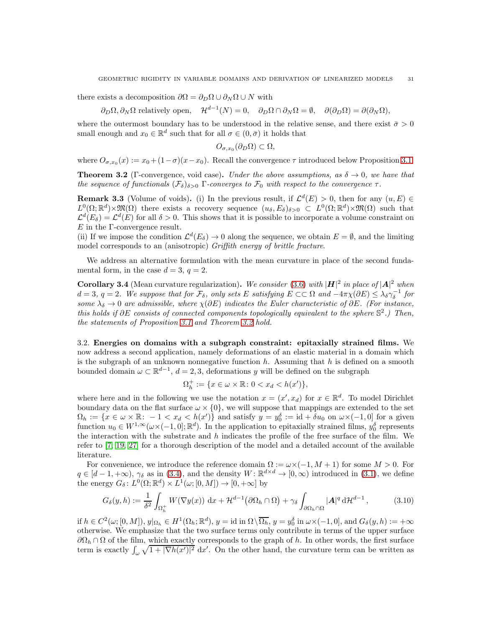there exists a decomposition  $\partial\Omega = \partial_{\Omega}\Omega \cup \partial_{N}\Omega \cup N$  with

 $\partial_D \Omega, \partial_N \Omega$  relatively open,  $\mathcal{H}^{d-1}(N) = 0$ ,  $\partial_D \Omega \cap \partial_N \Omega = \emptyset$ ,  $\partial(\partial_D \Omega) = \partial(\partial_N \Omega)$ ,

where the outermost boundary has to be understood in the relative sense, and there exist  $\bar{\sigma} > 0$ small enough and  $x_0 \in \mathbb{R}^d$  such that for all  $\sigma \in (0, \bar{\sigma})$  it holds that

$$
O_{\sigma,x_0}(\partial_D\Omega) \subset \Omega,
$$

where  $O_{\sigma,x_0}(x) := x_0 + (1-\sigma)(x-x_0)$ . Recall the convergence  $\tau$  introduced below Proposition [3.1.](#page-28-1)

<span id="page-30-2"></span>**Theorem 3.2** (Γ-convergence, void case). Under the above assumptions, as  $\delta \to 0$ , we have that the sequence of functionals  $(\mathcal{F}_{\delta})_{\delta>0}$  Γ-converges to  $\mathcal{F}_{0}$  with respect to the convergence  $\tau$ .

<span id="page-30-4"></span>**Remark 3.3** (Volume of voids). (i) In the previous result, if  $\mathcal{L}^d(E) > 0$ , then for any  $(u, E) \in$  $L^0(\Omega;\mathbb{R}^d)\times \mathfrak{M}(\Omega)$  there exists a recovery sequence  $(u_\delta, E_\delta)_{\delta>0} \subset L^0(\Omega;\mathbb{R}^d)\times \mathfrak{M}(\Omega)$  such that  $\mathcal{L}^d(E_\delta) = \mathcal{L}^d(E)$  for all  $\delta > 0$ . This shows that it is possible to incorporate a volume constraint on  $E$  in the  $\Gamma$ -convergence result.

(ii) If we impose the condition  $\mathcal{L}^d(E_\delta) \to 0$  along the sequence, we obtain  $E = \emptyset$ , and the limiting model corresponds to an (anisotropic) Griffith energy of brittle fracture.

We address an alternative formulation with the mean curvature in place of the second fundamental form, in the case  $d = 3$ ,  $q = 2$ .

<span id="page-30-1"></span>**Corollary 3.4** (Mean curvature regularization). We consider [\(3.6\)](#page-28-4) with  $|H|^2$  in place of  $|A|^2$  when  $d = 3, q = 2.$  We suppose that for  $\mathcal{F}_{\delta}$ , only sets E satisfying  $E \subset\subset \Omega$  and  $-4\pi\chi(\partial E) \leq \lambda_{\delta}\gamma_{\delta}^{-1}$  for some  $\lambda_{\delta} \to 0$  are admissible, where  $\chi(\partial E)$  indicates the Euler characteristic of  $\partial E$ . (For instance, this holds if  $\partial E$  consists of connected components topologically equivalent to the sphere  $\mathbb{S}^2$ .) Then, the statements of Proposition [3.1](#page-28-1) and Theorem [3.2](#page-30-2) hold.

<span id="page-30-0"></span>3.2. Energies on domains with a subgraph constraint: epitaxially strained films. We now address a second application, namely deformations of an elastic material in a domain which is the subgraph of an unknown nonnegative function  $h$ . Assuming that  $h$  is defined on a smooth bounded domain  $\omega \subset \mathbb{R}^{d-1}$ ,  $d = 2, 3$ , deformations y will be defined on the subgraph

$$
\Omega_h^+ := \{ x \in \omega \times \mathbb{R} \colon 0 < x_d < h(x') \},
$$

where here and in the following we use the notation  $x = (x', x_d)$  for  $x \in \mathbb{R}^d$ . To model Dirichlet boundary data on the flat surface  $\omega \times \{0\}$ , we will suppose that mappings are extended to the set  $\Omega_h := \{x \in \omega \times \mathbb{R} : -1 < x_d < h(x')\}$  and satisfy  $y = y_0^{\delta} := \text{id} + \delta u_0$  on  $\omega \times (-1, 0]$  for a given function  $u_0 \in W^{1,\infty}(\omega \times (-1,0]; \mathbb{R}^d)$ . In the application to epitaxially strained films,  $y_0^{\delta}$  represents the interaction with the substrate and  $h$  indicates the profile of the free surface of the film. We refer to [\[7,](#page-47-10) [19,](#page-48-23) [27\]](#page-48-24) for a thorough description of the model and a detailed account of the available literature.

For convenience, we introduce the reference domain  $\Omega := \omega \times (-1, M + 1)$  for some  $M > 0$ . For  $q \in [d-1, +\infty)$ ,  $\gamma_{\delta}$  as in [\(3.4\)](#page-28-2), and the density  $W: \mathbb{R}^{d \times d} \to [0, \infty)$  introduced in [\(3.1\)](#page-27-2), we define the energy  $G_{\delta}$ :  $L^{0}(\Omega;\mathbb{R}^{d}) \times L^{1}(\omega;[0,M]) \rightarrow [0,+\infty]$  by

<span id="page-30-3"></span>
$$
G_{\delta}(y,h) := \frac{1}{\delta^2} \int_{\Omega_h^+} W(\nabla y(x)) \, \mathrm{d}x + \mathcal{H}^{d-1}(\partial \Omega_h \cap \Omega) + \gamma_{\delta} \int_{\partial \Omega_h \cap \Omega} |\mathbf{A}|^q \, \mathrm{d} \mathcal{H}^{d-1},\tag{3.10}
$$

if  $h \in C^2(\omega; [0, M]), y|_{\Omega_h} \in H^1(\Omega_h; \mathbb{R}^d), y = \text{id} \text{ in } \Omega \setminus \overline{\Omega_h}, y = y_0^{\delta} \text{ in } \omega \times (-1, 0], \text{ and } G_{\delta}(y, h) := +\infty$ otherwise. We emphasize that the two surface terms only contribute in terms of the upper surface  $\partial\Omega_h \cap \Omega$  of the film, which exactly corresponds to the graph of h. In other words, the first surface term is exactly  $\int_{\omega} \sqrt{1+|\nabla h(x')|^2} dx'$ . On the other hand, the curvature term can be written as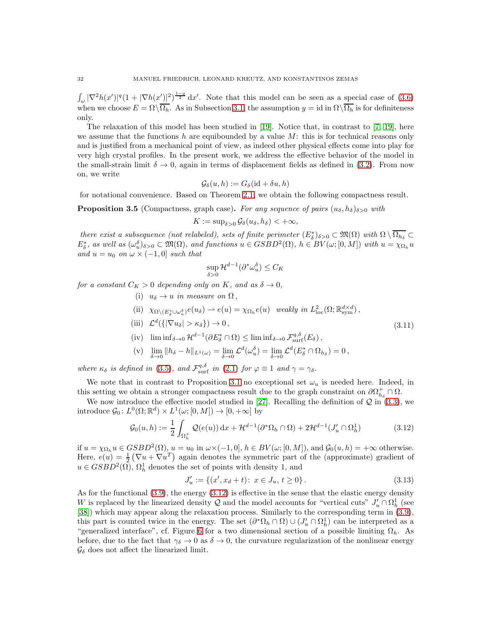$\int_{\omega} |\nabla^2 h(x')|^q (1+|\nabla h(x')|^2)^{\frac{1-q}{2}} dx'$ . Note that this model can be seen as a special case of [\(3.6\)](#page-28-4) when we choose  $E = \Omega \setminus \overline{\Omega_h}$ . As in Subsection [3.1,](#page-28-0) the assumption  $y = id$  in  $\Omega \setminus \overline{\Omega_h}$  is for definiteness only.

The relaxation of this model has been studied in [\[19\]](#page-48-23). Notice that, in contrast to [\[7,](#page-47-10) [19\]](#page-48-23), here we assume that the functions  $h$  are equibounded by a value  $M$ : this is for technical reasons only and is justified from a mechanical point of view, as indeed other physical effects come into play for very high crystal profiles. In the present work, we address the effective behavior of the model in the small-strain limit  $\delta \to 0$ , again in terms of displacement fields as defined in [\(3.2\)](#page-27-1). From now on, we write

$$
\mathcal{G}_{\delta}(u, h) := G_{\delta}(\mathrm{id} + \delta u, h)
$$

for notational convenience. Based on Theorem [2.1,](#page-6-0) we obtain the following compactness result.

<span id="page-31-0"></span>**Proposition 3.5** (Compactness, graph case). For any sequence of pairs  $(u_{\delta}, h_{\delta})_{\delta>0}$  with

$$
K := \sup_{\delta > 0} \mathcal{G}_{\delta}(u_{\delta}, h_{\delta}) < +\infty,
$$

there exist a subsequence (not relabeled), sets of finite perimeter  $(E_{\delta}^{*})_{\delta>0}\subset \mathfrak{M}(\Omega)$  with  $\Omega\setminus\overline{\Omega_{h_{\delta}}}\subset$  $E_{\delta}^*$ , as well as  $(\omega_u^{\delta})_{\delta>0} \subset \mathfrak{M}(\Omega)$ , and functions  $u \in GSBD^2(\Omega)$ ,  $h \in BV(\omega; [0,M])$  with  $u = \chi_{\Omega_h} u$ and  $u = u_0$  on  $\omega \times (-1, 0]$  such that

$$
\sup_{\delta>0} \mathcal{H}^{d-1}(\partial^* \omega_u^{\delta}) \le C_K
$$

for a constant  $C_K > 0$  depending only on K, and as  $\delta \to 0$ ,

- (i)  $u_{\delta} \rightarrow u$  in measure on  $\Omega$ ,
- (ii)  $\chi_{\Omega \setminus (E_{\delta}^* \cup \omega_{u}^{\delta})} e(u_{\delta}) \to e(u) = \chi_{\Omega_h} e(u)$  weakly in  $L^2_{\text{loc}}(\Omega; \mathbb{R}_\text{sym}^{d \times d})$ ,
- (iii)  $\mathcal{L}^d(\{|\nabla u_\delta| > \kappa_\delta\}) \to 0$ ,
- (iv)  $\liminf_{\delta \to 0} \mathcal{H}^{d-1}(\partial E^*_{\delta} \cap \Omega) \leq \liminf_{\delta \to 0} \mathcal{F}^{q,\delta}_{\text{surf}}(E_{\delta}),$

$$
\text{(v)} \quad \lim_{\delta \to 0} \|h_\delta - h\|_{L^1(\omega)} = \lim_{\delta \to 0} \mathcal{L}^d(\omega_u^\delta) = \lim_{\delta \to 0} \mathcal{L}^d(E_\delta^* \cap \Omega_{h_\delta}) = 0,
$$

where  $\kappa_{\delta}$  is defined in [\(3.5\)](#page-28-3), and  $\mathcal{F}_{\text{surf}}^{q,\delta}$  in [\(2.1\)](#page-5-2) for  $\varphi \equiv 1$  and  $\gamma = \gamma_{\delta}$ .

We note that in contrast to Proposition [3.1](#page-28-1) no exceptional set  $\omega_u$  is needed here. Indeed, in this setting we obtain a stronger compactness result due to the graph constraint on  $\partial \Omega_{h_\delta}^+ \cap \Omega$ .

We now introduce the effective model studied in [\[27\]](#page-48-24). Recalling the definition of  $Q$  in [\(3.3\)](#page-27-3), we introduce  $\mathcal{G}_0: L^0(\Omega;\mathbb{R}^d) \times L^1(\omega;[0,M]) \to [0,+\infty]$  by

$$
\mathcal{G}_0(u,h) := \frac{1}{2} \int_{\Omega_h^+} \mathcal{Q}(e(u)) \, \mathrm{d}x + \mathcal{H}^{d-1}(\partial^* \Omega_h \cap \Omega) + 2\mathcal{H}^{d-1}(J'_u \cap \Omega_h^1) \tag{3.12}
$$

if  $u = \chi_{\Omega_h} u \in GSBD^2(\Omega), u = u_0$  in  $\omega \times (-1, 0], h \in BV(\omega; [0, M]),$  and  $\mathcal{G}_0(u, h) = +\infty$  otherwise. Here,  $e(u) = \frac{1}{2} (\nabla u + \nabla u^T)$  again denotes the symmetric part of the (approximate) gradient of  $u \in GSBD^2(\Omega)$ ,  $\Omega_h^1$  denotes the set of points with density 1, and

$$
J'_u := \{(x', x_d + t): x \in J_u, t \ge 0\}.
$$
\n(3.13)

<span id="page-31-3"></span><span id="page-31-2"></span><span id="page-31-1"></span>(3.11)

As for the functional  $(3.9)$ , the energy  $(3.12)$  is effective in the sense that the elastic energy density W is replaced by the linearized density Q and the model accounts for "vertical cuts"  $J'_u \cap \Omega_h^1$  (see [\[38\]](#page-48-26)) which may appear along the relaxation process. Similarly to the corresponding term in [\(3.9\)](#page-29-0), this part is counted twice in the energy. The set  $(\partial^* \Omega_h \cap \Omega) \cup (J'_u \cap \Omega_h^1)$  can be interpreted as a "generalized interface", cf. Figure [6](#page-32-2) for a two dimensional section of a possible limiting  $\Omega_h$ . As before, due to the fact that  $\gamma_{\delta} \to 0$  as  $\delta \to 0$ , the curvature regularization of the nonlinear energy  $\mathcal{G}_{\delta}$  does not affect the linearized limit.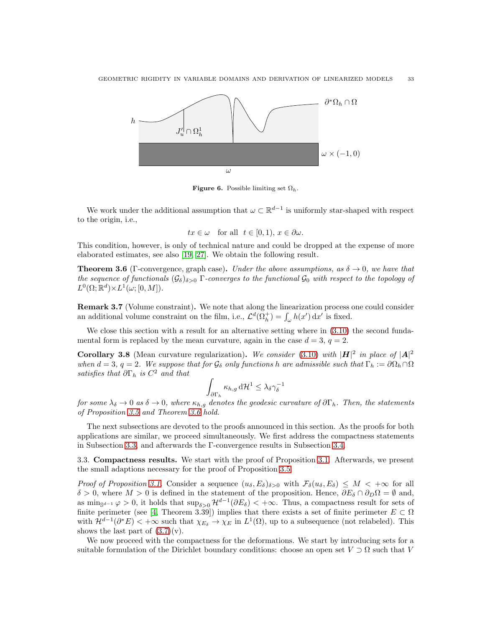<span id="page-32-2"></span>

**Figure 6.** Possible limiting set  $\Omega_h$ .

We work under the additional assumption that  $\omega \subset \mathbb{R}^{d-1}$  is uniformly star-shaped with respect to the origin, i.e.,

$$
tx \in \omega
$$
 for all  $t \in [0, 1), x \in \partial \omega$ .

This condition, however, is only of technical nature and could be dropped at the expense of more elaborated estimates, see also [\[19,](#page-48-23) [27\]](#page-48-24). We obtain the following result.

<span id="page-32-3"></span>**Theorem 3.6** (Γ-convergence, graph case). Under the above assumptions, as  $\delta \to 0$ , we have that the sequence of functionals  $(\mathcal{G}_{\delta})_{\delta>0}$  Γ-converges to the functional  $\mathcal{G}_{0}$  with respect to the topology of  $L^0(\Omega;\mathbb{R}^d)\times L^1(\omega;[0,M]).$ 

<span id="page-32-4"></span>Remark 3.7 (Volume constraint). We note that along the linearization process one could consider an additional volume constraint on the film, i.e.,  $\mathcal{L}^d(\Omega_h^+) = \int_{\omega} h(x') dx'$  is fixed.

We close this section with a result for an alternative setting where in  $(3.10)$  the second fundamental form is replaced by the mean curvature, again in the case  $d = 3$ ,  $q = 2$ .

<span id="page-32-1"></span>**Corollary 3.8** (Mean curvature regularization). We consider [\(3.10\)](#page-30-3) with  $|H|^2$  in place of  $|A|^2$ when  $d = 3$ ,  $q = 2$ . We suppose that for  $\mathcal{G}_{\delta}$  only functions h are admissible such that  $\Gamma_h := \partial \Omega_h \cap \Omega$ satisfies that  $\partial \Gamma_h$  is  $C^2$  and that

$$
\int_{\partial \Gamma_h} \kappa_{h,g} \, d\mathcal{H}^1 \leq \lambda_{\delta} \gamma_{\delta}^{-1}
$$

for some  $\lambda_{\delta} \to 0$  as  $\delta \to 0$ , where  $\kappa_{h,g}$  denotes the geodesic curvature of  $\partial \Gamma_h$ . Then, the statements of Proposition [3.5](#page-31-0) and Theorem [3.6](#page-32-3) hold.

The next subsections are devoted to the proofs announced in this section. As the proofs for both applications are similar, we proceed simultaneously. We first address the compactness statements in Subsection [3.3,](#page-32-0) and afterwards the Γ-convergence results in Subsection [3.4.](#page-36-0)

<span id="page-32-0"></span>3.3. Compactness results. We start with the proof of Proposition [3.1.](#page-28-1) Afterwards, we present the small adaptions necessary for the proof of Proposition [3.5.](#page-31-0)

Proof of Proposition [3.1.](#page-28-1) Consider a sequence  $(u_{\delta}, E_{\delta})_{\delta>0}$  with  $\mathcal{F}_{\delta}(u_{\delta}, E_{\delta}) \leq M < +\infty$  for all δ > 0, where  $M > 0$  is defined in the statement of the proposition. Hence,  $\partial E_{\delta} \cap \partial_D \Omega = \emptyset$  and, as  $\min_{\mathbb{S}^{d-1}} \varphi > 0$ , it holds that  $\sup_{\delta > 0} \mathcal{H}^{d-1}(\partial E_{\delta}) < +\infty$ . Thus, a compactness result for sets of finite perimeter (see [\[4,](#page-47-1) Theorem 3.39]) implies that there exists a set of finite perimeter  $E \subset \Omega$ with  $\mathcal{H}^{d-1}(\partial^* E) < +\infty$  such that  $\chi_{E_\delta} \to \chi_E$  in  $L^1(\Omega)$ , up to a subsequence (not relabeled). This shows the last part of  $(3.7)(v)$ .

We now proceed with the compactness for the deformations. We start by introducing sets for a suitable formulation of the Dirichlet boundary conditions: choose an open set  $V \supset \Omega$  such that V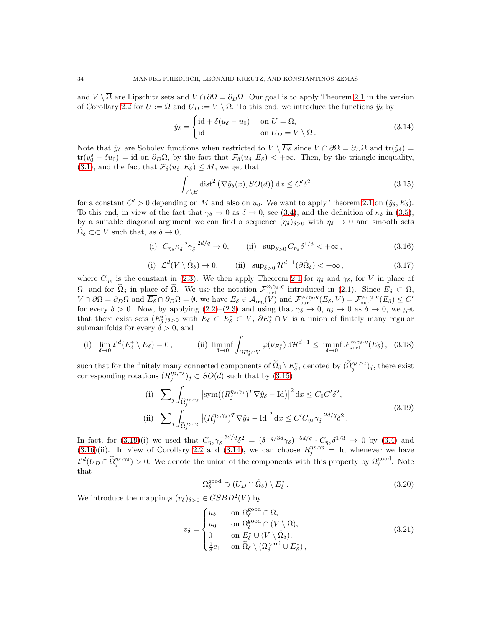and  $V \setminus \overline{\Omega}$  are Lipschitz sets and  $V \cap \partial \Omega = \partial_D \Omega$ . Our goal is to apply Theorem [2.1](#page-6-0) in the version of Corollary [2.2](#page-7-0) for  $U := \Omega$  and  $U_D := V \setminus \Omega$ . To this end, we introduce the functions  $\hat{y}_\delta$  by

<span id="page-33-3"></span>
$$
\hat{y}_{\delta} = \begin{cases} \mathrm{id} + \delta(u_{\delta} - u_0) & \text{on } U = \Omega, \\ \mathrm{id} & \text{on } U_D = V \setminus \Omega. \end{cases}
$$
\n(3.14)

Note that  $\hat{y}_\delta$  are Sobolev functions when restricted to  $V \setminus \overline{E_\delta}$  since  $V \cap \partial \Omega = \partial_D \Omega$  and  $tr(\hat{y}_\delta)$  $\text{tr}(y_0^{\delta} - \delta u_0) = \text{id}$  on  $\partial_D \Omega$ , by the fact that  $\mathcal{F}_{\delta}(u_{\delta}, E_{\delta}) < +\infty$ . Then, by the triangle inequality,  $(3.1)$ , and the fact that  $\mathcal{F}_{\delta}(u_{\delta}, E_{\delta}) \leq M$ , we get that

<span id="page-33-5"></span><span id="page-33-2"></span><span id="page-33-0"></span>
$$
\int_{V\backslash \overline{E}} \text{dist}^2\left(\nabla \hat{y}_\delta(x), SO(d)\right) \, \mathrm{d}x \le C'\delta^2 \tag{3.15}
$$

for a constant  $C' > 0$  depending on M and also on  $u_0$ . We want to apply Theorem [2.1](#page-6-0) on  $(\hat{y}_\delta, E_\delta)$ . To this end, in view of the fact that  $\gamma_{\delta} \to 0$  as  $\delta \to 0$ , see [\(3.4\)](#page-28-2), and the definition of  $\kappa_{\delta}$  in [\(3.5\)](#page-28-3), by a suitable diagonal argument we can find a sequence  $(\eta_{\delta})_{\delta>0}$  with  $\eta_{\delta} \to 0$  and smooth sets  $\Omega_{\delta} \subset \subset V$  such that, as  $\delta \to 0$ ,

(i) 
$$
C_{\eta_{\delta}} \kappa_{\delta}^{-2} \gamma_{\delta}^{-2d/q} \to 0
$$
, (ii)  $\sup_{\delta > 0} C_{\eta_{\delta}} \delta^{1/3} < +\infty$ , (3.16)

(i) 
$$
\mathcal{L}^d(V \setminus \widetilde{\Omega}_{\delta}) \to 0
$$
, (ii)  $\sup_{\delta > 0} \mathcal{H}^{d-1}(\partial \widetilde{\Omega}_{\delta}) < +\infty$ , (3.17)

where  $C_{\eta_{\delta}}$  is the constant in [\(2.3\)](#page-6-1). We then apply Theorem [2.1](#page-6-0) for  $\eta_{\delta}$  and  $\gamma_{\delta}$ , for V in place of  $\Omega$ , and for  $\widetilde{\Omega}_{\delta}$  in place of  $\widetilde{\Omega}$ . We use the notation  $\mathcal{F}^{\varphi,\gamma_{\delta},q}_{\text{surf}}$  introduced in [\(2.1\)](#page-5-2). Since  $E_{\delta} \subset \Omega$ ,  $V \cap \partial \Omega = \partial_D \Omega$  and  $\overline{E_{\delta}} \cap \partial_D \Omega = \emptyset$ , we have  $E_{\delta} \in \mathcal{A}_{reg}(V)$  and  $\mathcal{F}_{surf}^{\varphi, \gamma_{\delta}, q}(E_{\delta}, V) = \mathcal{F}_{surf}^{\varphi, \gamma_{\delta}, q}(E_{\delta}) \leq C'$ for every  $\delta > 0$ . Now, by applying  $(2.2)$ – $(2.3)$  and using that  $\gamma_{\delta} \to 0$ ,  $\eta_{\delta} \to 0$  as  $\delta \to 0$ , we get that there exist sets  $(E_{\delta}^*)_{\delta>0}$  with  $E_{\delta} \subset E_{\delta}^* \subset V$ ,  $\partial E_{\delta}^* \cap V$  is a union of finitely many regular submanifolds for every  $\delta > 0$ , and

(i) 
$$
\lim_{\delta \to 0} \mathcal{L}^d(E_\delta^* \setminus E_\delta) = 0, \qquad \text{(ii) } \liminf_{\delta \to 0} \int_{\partial E_\delta^* \cap V} \varphi(\nu_{E_\delta^*}) \, d\mathcal{H}^{d-1} \leq \liminf_{\delta \to 0} \mathcal{F}_{\text{surf}}^{\varphi, \gamma_\delta, q}(E_\delta), \quad (3.18)
$$

such that for the finitely many connected components of  $\widetilde{\Omega}_{\delta} \setminus E^*_{\delta}$ , denoted by  $(\widetilde{\Omega}_{j}^{\eta_{\delta},\gamma_{\delta}})_{j}$ , there exist corresponding rotations  $(R_j^{\eta_\delta,\gamma_\delta})_j \subset SO(d)$  such that by  $(3.15)$ 

$$
\begin{aligned}\n\text{(i)} \quad & \sum_{j} \int_{\widetilde{\Omega}_{j}^{\eta_{\delta},\gamma_{\delta}}} \left| \text{sym} \left( (R_{j}^{\eta_{\delta},\gamma_{\delta}})^{T} \nabla \hat{y}_{\delta} - \text{Id} \right) \right|^{2} \text{d}x \leq C_{0} C' \delta^{2}, \\
\text{(ii)} \quad & \sum_{j} \int_{\widetilde{\Omega}_{j}^{\eta_{\delta},\gamma_{\delta}}} \left| (R_{j}^{\eta_{\delta},\gamma_{\delta}})^{T} \nabla \hat{y}_{\delta} - \text{Id} \right|^{2} \text{d}x \leq C' C_{\eta_{\delta}} \gamma_{\delta}^{-2d/q} \delta^{2}.\n\end{aligned} \tag{3.19}
$$

In fact, for [\(3.19\)](#page-33-1)(i) we used that  $C_{\eta_{\delta}} \gamma_{\delta}^{-5d/q} \delta^2 = (\delta^{-q/3d} \gamma_{\delta})^{-5d/q} \cdot C_{\eta_{\delta}} \delta^{1/3} \to 0$  by [\(3.4\)](#page-28-2) and  $(3.16)$ (ii). In view of Corollary [2.2](#page-7-0) and  $(3.14)$ , we can choose  $R_j^{\eta_\delta,\gamma_\delta} =$  Id whenever we have  $\mathcal{L}^d(U_D \cap \widetilde{\Omega}_j^{\eta_{\delta},\gamma_{\delta}}) > 0$ . We denote the union of the components with this property by  $\Omega_{\delta}^{\text{good}}$ . Note that

<span id="page-33-7"></span><span id="page-33-6"></span><span id="page-33-4"></span><span id="page-33-1"></span>
$$
\Omega_{\delta}^{\text{good}} \supset (U_D \cap \widetilde{\Omega}_{\delta}) \setminus E_{\delta}^* \,. \tag{3.20}
$$

We introduce the mappings  $(v_{\delta})_{\delta>0} \in GSBD^2(V)$  by

$$
v_{\delta} = \begin{cases} u_{\delta} & \text{on } \Omega_{\delta}^{\text{good}} \cap \Omega, \\ u_0 & \text{on } \Omega_{\delta}^{\text{good}} \cap (V \setminus \Omega), \\ 0 & \text{on } E_{\delta}^* \cup (V \setminus \widetilde{\Omega}_{\delta}), \\ \frac{1}{\delta} e_1 & \text{on } \widetilde{\Omega}_{\delta} \setminus (\Omega_{\delta}^{\text{good}} \cup E_{\delta}^*), \end{cases} \tag{3.21}
$$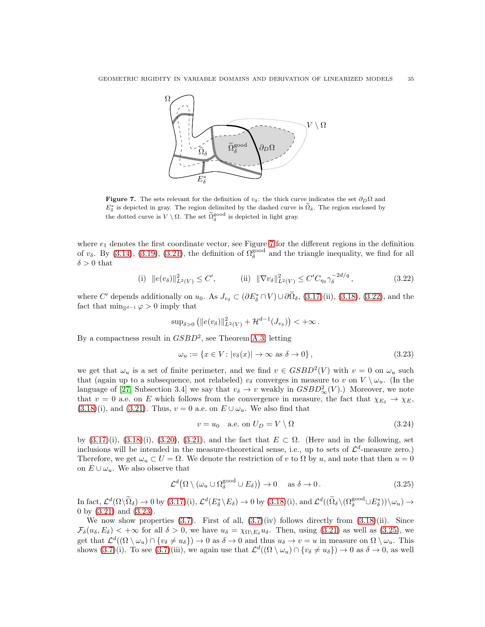<span id="page-34-0"></span>

Figure 7. The sets relevant for the definition of  $v_{\delta}$ : the thick curve indicates the set  $\partial_D \Omega$  and  $E_{\delta}^*$  is depicted in gray. The region delimited by the dashed curve is  $\tilde{\Omega}_{\delta}$ . The region enclosed by the dotted curve is  $V \setminus \Omega$ . The set  $\widetilde{\Omega}_{\delta}^{\text{good}}$  is depicted in light gray.

where  $e_1$  denotes the first coordinate vector, see Figure [7](#page-34-0) for the different regions in the definition of  $v_{\delta}$ . By [\(3.14\)](#page-33-3), [\(3.19\)](#page-33-1), [\(3.21\)](#page-33-4), the definition of  $\Omega_{\delta}^{\text{good}}$  and the triangle inequality, we find for all  $\delta > 0$  that

(i) 
$$
||e(v_\delta)||_{L^2(V)}^2 \le C',
$$
 (ii)  $||\nabla v_\delta||_{L^2(V)}^2 \le C'C_{\eta_\delta}\gamma_\delta^{-2d/q},$  (3.22)

where C' depends additionally on  $u_0$ . As  $J_{v_\delta} \subset (\partial E^*_{\delta} \cap V) \cup \partial \Omega_{\delta}$ , [\(3.17\)](#page-33-5)(ii), [\(3.18\)](#page-33-6), [\(3.22\)](#page-34-1), and the fact that  $\min_{\mathbb{S}^{d-1}} \varphi > 0$  imply that

<span id="page-34-1"></span>
$$
\sup\nolimits_{\delta > 0} \left( \|e(v_\delta)\|_{L^2(V)}^2 + \mathcal{H}^{d-1}(J_{v_\delta}) \right) < +\infty \, .
$$

By a compactness result in  $GSBD^2$ , see Theorem [A.3,](#page-47-14) letting

$$
\omega_u := \{ x \in V : |v_\delta(x)| \to \infty \text{ as } \delta \to 0 \},\tag{3.23}
$$

we get that  $\omega_u$  is a set of finite perimeter, and we find  $v \in GSBD^2(V)$  with  $v = 0$  on  $\omega_u$  such that (again up to a subsequence, not relabeled)  $v_{\delta}$  converges in measure to v on  $V \setminus \omega_u$ . (In the language of [\[27,](#page-48-24) Subsection 3.4] we say that  $v_{\delta} \to v$  weakly in  $GSBD_{\infty}^{2}(V)$ .) Moreover, we note that  $v = 0$  a.e. on E which follows from the convergence in measure, the fact that  $\chi_{E_{\delta}} \to \chi_{E}$ ,  $(3.18)(i)$  $(3.18)(i)$ , and  $(3.21)$ . Thus,  $v = 0$  a.e. on  $E \cup \omega_u$ . We also find that

<span id="page-34-4"></span><span id="page-34-3"></span><span id="page-34-2"></span>
$$
v = u_0 \quad \text{a.e. on } U_D = V \setminus \Omega \tag{3.24}
$$

by  $(3.17)(i)$ ,  $(3.18)(i)$ ,  $(3.20)$ ,  $(3.21)$ , and the fact that  $E \subset \Omega$ . (Here and in the following, set inclusions will be intended in the measure-theoretical sense, i.e., up to sets of  $\mathcal{L}^d$ -measure zero.) Therefore, we get  $\omega_u \subset U = \Omega$ . We denote the restriction of v to  $\Omega$  by u, and note that then  $u = 0$ on  $E \cup \omega_u$ . We also observe that

$$
\mathcal{L}^d(\Omega \setminus (\omega_u \cup \Omega_{\delta}^{\text{good}} \cup E_{\delta})) \to 0 \quad \text{as } \delta \to 0.
$$
 (3.25)

 $\text{In fact, } \mathcal{L}^d(\Omega \setminus \widetilde{\Omega}_{\delta}) \to 0 \text{ by } (3.17)(i), \, \mathcal{L}^d(E_{\delta}^* \setminus E_{\delta}) \to 0 \text{ by } (3.18)(i), \text{ and } \mathcal{L}^d((\widetilde{\Omega}_{\delta} \setminus (\Omega_{\delta}^{\text{good}} \cup E_{\delta}^*)) \setminus \omega_u) \to 0$  $\text{In fact, } \mathcal{L}^d(\Omega \setminus \widetilde{\Omega}_{\delta}) \to 0 \text{ by } (3.17)(i), \, \mathcal{L}^d(E_{\delta}^* \setminus E_{\delta}) \to 0 \text{ by } (3.18)(i), \text{ and } \mathcal{L}^d((\widetilde{\Omega}_{\delta} \setminus (\Omega_{\delta}^{\text{good}} \cup E_{\delta}^*)) \setminus \omega_u) \to 0$  $\text{In fact, } \mathcal{L}^d(\Omega \setminus \widetilde{\Omega}_{\delta}) \to 0 \text{ by } (3.17)(i), \, \mathcal{L}^d(E_{\delta}^* \setminus E_{\delta}) \to 0 \text{ by } (3.18)(i), \text{ and } \mathcal{L}^d((\widetilde{\Omega}_{\delta} \setminus (\Omega_{\delta}^{\text{good}} \cup E_{\delta}^*)) \setminus \omega_u) \to 0$  $\text{In fact, } \mathcal{L}^d(\Omega \setminus \widetilde{\Omega}_{\delta}) \to 0 \text{ by } (3.17)(i), \, \mathcal{L}^d(E_{\delta}^* \setminus E_{\delta}) \to 0 \text{ by } (3.18)(i), \text{ and } \mathcal{L}^d((\widetilde{\Omega}_{\delta} \setminus (\Omega_{\delta}^{\text{good}} \cup E_{\delta}^*)) \setminus \omega_u) \to 0$  $\text{In fact, } \mathcal{L}^d(\Omega \setminus \widetilde{\Omega}_{\delta}) \to 0 \text{ by } (3.17)(i), \, \mathcal{L}^d(E_{\delta}^* \setminus E_{\delta}) \to 0 \text{ by } (3.18)(i), \text{ and } \mathcal{L}^d((\widetilde{\Omega}_{\delta} \setminus (\Omega_{\delta}^{\text{good}} \cup E_{\delta}^*)) \setminus \omega_u) \to 0$ 0 by [\(3.21\)](#page-33-4) and [\(3.23\)](#page-34-2).

We now show properties  $(3.7)$ . First of all,  $(3.7)(iv)$  follows directly from  $(3.18)(ii)$ . Since  $\mathcal{F}_{\delta}(u_{\delta}, E_{\delta}) < +\infty$  for all  $\delta > 0$ , we have  $u_{\delta} = \chi_{\Omega \setminus E_{\delta}} u_{\delta}$ . Then, using [\(3.21\)](#page-33-4) as well as [\(3.25\)](#page-34-3), we get that  $\mathcal{L}^d((\Omega \setminus \omega_u) \cap \{v_{\delta} \neq u_{\delta}\}) \to 0$  as  $\delta \to 0$  and thus  $u_{\delta} \to v = u$  in measure on  $\Omega \setminus \omega_u$ . This shows  $(3.7)(i)$ . To see  $(3.7)(iii)$ , we again use that  $\mathcal{L}^d((\Omega \setminus \omega_u) \cap \{v_\delta \neq u_\delta\}) \to 0$  as  $\delta \to 0$ , as well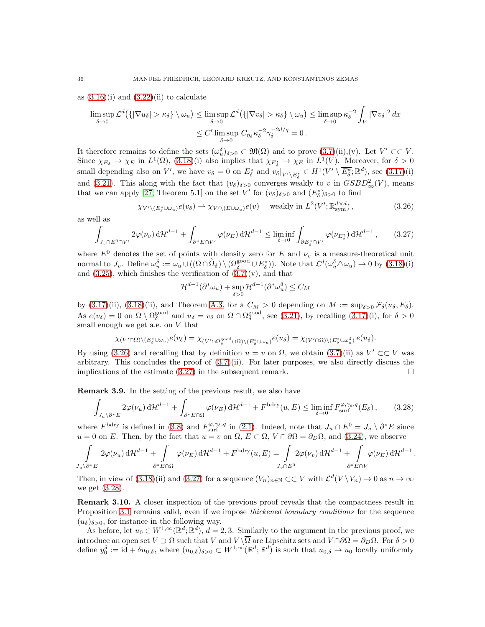as  $(3.16)(i)$  and  $(3.22)(ii)$  to calculate

$$
\limsup_{\delta \to 0} \mathcal{L}^d \big( \{ |\nabla u_\delta| > \kappa_\delta \} \setminus \omega_u \big) \le \limsup_{\delta \to 0} \mathcal{L}^d \big( \{ |\nabla v_\delta| > \kappa_\delta \} \setminus \omega_u \big) \le \limsup_{\delta \to 0} \kappa_\delta^{-2} \int_V |\nabla v_\delta|^2 \, dx
$$
  

$$
\le C' \limsup_{\delta \to 0} C_{\eta_\delta} \kappa_\delta^{-2} \gamma_\delta^{-2d/q} = 0.
$$

It therefore remains to define the sets  $(\omega_u^{\delta})_{\delta>0} \subset \mathfrak{M}(\Omega)$  and to prove  $(3.7)(ii),(v)$ . Let  $V' \subset\subset V$ . Since  $\chi_{E_{\delta}} \to \chi_E$  in  $L^1(\Omega)$ , [\(3.18\)](#page-33-6)(i) also implies that  $\chi_{E_{\delta}^*} \to \chi_E$  in  $L^1(V)$ . Moreover, for  $\delta > 0$ small depending also on V', we have  $v_{\delta} = 0$  on  $E_{\delta}^*$  and  $v_{\delta}|_{V' \setminus \overline{E_{\delta}^*}} \in H^1(V' \setminus \overline{E_{\delta}^*}; \mathbb{R}^d)$ , see  $(3.17)(i)$ and [\(3.21\)](#page-33-4). This along with the fact that  $(v_\delta)_{\delta>0}$  converges weakly to v in  $GSBD^2_{\infty}(V)$ , means that we can apply [\[27,](#page-48-24) Theorem 5.1] on the set V' for  $(v_{\delta})_{\delta>0}$  and  $(E_{\delta}^{*})_{\delta>0}$  to find

<span id="page-35-0"></span>
$$
\chi_{V' \setminus (E_{\delta}^* \cup \omega_u)} e(v_{\delta}) \rightharpoonup \chi_{V' \setminus (E \cup \omega_u)} e(v) \quad \text{ weakly in } L^2(V'; \mathbb{R}^{d \times d}_{sym}), \tag{3.26}
$$

as well as

<span id="page-35-1"></span>
$$
\int_{J_v \cap E^0 \cap V'} 2\varphi(\nu_v) \, \mathrm{d} \mathcal{H}^{d-1} + \int_{\partial^* E \cap V'} \varphi(\nu_E) \, \mathrm{d} \mathcal{H}^{d-1} \le \liminf_{\delta \to 0} \int_{\partial E^*_\delta \cap V'} \varphi(\nu_{E^*_\delta}) \, \mathrm{d} \mathcal{H}^{d-1},\qquad(3.27)
$$

where  $E^0$  denotes the set of points with density zero for E and  $\nu_v$  is a measure-theoretical unit normal to  $J_v$ . Define  $\omega_u^{\delta} := \omega_u \cup ((\Omega \cap \widetilde{\Omega}_{\delta}) \setminus (\Omega_{\delta}^{\text{good}} \cup E_{\delta}^*))$ . Note that  $\mathcal{L}^d(\omega_u^{\delta} \triangle \omega_u) \to 0$  by  $(3.18)(i)$ and  $(3.25)$ , which finishes the verification of  $(3.7)(v)$ , and that

<span id="page-35-2"></span>
$$
\mathcal{H}^{d-1}(\partial^*\omega_u) + \sup_{\delta>0} \mathcal{H}^{d-1}(\partial^*\omega_u^{\delta}) \le C_M
$$

by [\(3.17\)](#page-33-5)(ii), [\(3.18\)](#page-33-6)(ii), and Theorem [A.3,](#page-47-14) for a  $C_M > 0$  depending on  $M := \sup_{\delta > 0} \mathcal{F}_{\delta}(u_{\delta}, E_{\delta}).$ As  $e(v_\delta) = 0$  on  $\Omega \setminus \Omega_\delta^{\text{good}}$  and  $u_\delta = v_\delta$  on  $\Omega \cap \Omega_\delta^{\text{good}}$ , see [\(3.21\)](#page-33-4), by recalling [\(3.17\)](#page-33-5)(i), for  $\delta > 0$ small enough we get a.e. on  $V$  that

$$
\chi_{(V'\cap\Omega)\backslash (E^*_\delta\cup\omega_u)}e(v_\delta)=\chi_{(V'\cap\Omega^{\text{good}}_\delta\cap\Omega)\backslash (E^*_\delta\cup\omega_u)}e(u_\delta)=\chi_{(V'\cap\Omega)\backslash (E^*_\delta\cup\omega_u^{\delta})}e(u_\delta).
$$

By using [\(3.26\)](#page-35-0) and recalling that by definition  $u = v$  on  $\Omega$ , we obtain [\(3.7\)](#page-29-1)(ii) as  $V' \subset\subset V$  was arbitrary. This concludes the proof of  $(3.7)(ii)$ . For later purposes, we also directly discuss the implications of the estimate  $(3.27)$  in the subsequent remark.

<span id="page-35-3"></span>Remark 3.9. In the setting of the previous result, we also have

$$
\int_{J_u \setminus \partial^* E} 2\varphi(\nu_u) \, \mathrm{d} \mathcal{H}^{d-1} + \int_{\partial^* E \cap \Omega} \varphi(\nu_E) \, \mathrm{d} \mathcal{H}^{d-1} + F^{\text{bdry}}(u, E) \le \liminf_{\delta \to 0} F^{\varphi, \gamma_\delta, q}_{\text{surf}}(E_\delta), \tag{3.28}
$$

where  $F^{\text{bdry}}$  is defined in [\(3.8\)](#page-29-2) and  $F^{\varphi,\gamma_\delta,q}_{\text{surf}}$  in [\(2.1\)](#page-5-2). Indeed, note that  $J_u \cap E^0 = J_u \setminus \partial^* E$  since  $u = 0$  on E. Then, by the fact that  $u = v$  on  $\Omega$ ,  $E \subset \Omega$ ,  $V \cap \partial\Omega = \partial_D\Omega$ , and [\(3.24\)](#page-34-4), we observe

$$
\int_{J_u \backslash \partial^* E} 2\varphi(\nu_u) \, \mathrm{d} \mathcal{H}^{d-1} + \int_{\partial^* E \cap \Omega} \varphi(\nu_E) \, \mathrm{d} \mathcal{H}^{d-1} + F^{\text{bdry}}(u, E) = \int_{J_v \cap E^0} 2\varphi(\nu_v) \, \mathrm{d} \mathcal{H}^{d-1} + \int_{\partial^* E \cap V} \varphi(\nu_E) \, \mathrm{d} \mathcal{H}^{d-1}.
$$

Then, in view of  $(3.18)$ (ii) and  $(3.27)$  for a sequence  $(V_n)_{n \in \mathbb{N}} \subset \subset V$  with  $\mathcal{L}^d(V \setminus V_n) \to 0$  as  $n \to \infty$ we get [\(3.28\)](#page-35-2).

**Remark 3.10.** A closer inspection of the previous proof reveals that the compactness result in Proposition [3.1](#page-28-1) remains valid, even if we impose *thickened boundary conditions* for the sequence  $(u_{\delta})_{\delta>0}$ , for instance in the following way.

As before, let  $u_0 \in W^{1,\infty}(\mathbb{R}^d; \mathbb{R}^d)$ ,  $d = 2, 3$ . Similarly to the argument in the previous proof, we introduce an open set  $V \supset \Omega$  such that  $V$  and  $V \setminus \overline{\Omega}$  are Lipschitz sets and  $V \cap \partial \Omega = \partial_D \Omega$ . For  $\delta > 0$ define  $y_0^{\delta} := \mathrm{id} + \delta u_{0,\delta}$ , where  $(u_{0,\delta})_{\delta>0} \subset W^{1,\infty}(\mathbb{R}^d;\mathbb{R}^d)$  is such that  $u_{0,\delta} \to u_0$  locally uniformly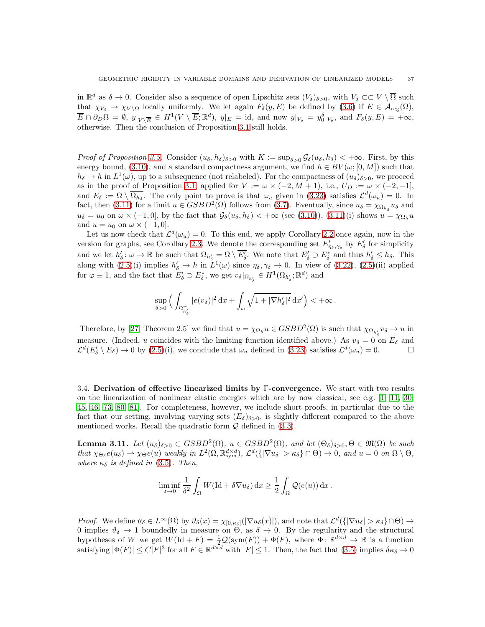in  $\mathbb{R}^d$  as  $\delta \to 0$ . Consider also a sequence of open Lipschitz sets  $(V_{\delta})_{\delta>0}$ , with  $V_{\delta} \subset\subset V\setminus\overline{\Omega}$  such that  $\chi_{V_{\delta}} \to \chi_{V \setminus \Omega}$  locally uniformly. We let again  $F_{\delta}(y, E)$  be defined by [\(3.6\)](#page-28-4) if  $E \in \mathcal{A}_{reg}(\Omega)$ ,  $\overline{E} \cap \partial_D \Omega = \emptyset, \ y|_{V \setminus \overline{E}} \in H^1(V \setminus \overline{E}; \mathbb{R}^d), \ y|_E = \text{id}, \text{ and now } y|_{V_{\delta}} = y_0^{\delta}|_{V_{\delta}}, \text{ and } F_{\delta}(y, E) = +\infty,$ otherwise. Then the conclusion of Proposition [3.1](#page-28-1) still holds.

*Proof of Proposition [3.5.](#page-31-0)* Consider  $(u_{\delta}, h_{\delta})_{\delta>0}$  with  $K := \sup_{\delta>0} \mathcal{G}_{\delta}(u_{\delta}, h_{\delta}) < +\infty$ . First, by this energy bound, [\(3.10\)](#page-30-3), and a standard compactness argument, we find  $h \in BV(\omega; [0, M])$  such that  $h_\delta \to h$  in  $L^1(\omega)$ , up to a subsequence (not relabeled). For the compactness of  $(u_\delta)_{\delta>0}$ , we proceed as in the proof of Proposition [3.1,](#page-28-1) applied for  $V := \omega \times (-2, M + 1)$ , i.e.,  $U_D := \omega \times (-2, -1]$ , and  $E_{\delta} := \Omega \setminus \overline{\Omega_{h_{\delta}}}$ . The only point to prove is that  $\omega_u$  given in [\(3.23\)](#page-34-2) satisfies  $\mathcal{L}^d(\omega_u) = 0$ . In fact, then [\(3.11\)](#page-31-2) for a limit  $u \in GSBD^2(\Omega)$  follows from [\(3.7\)](#page-29-1). Eventually, since  $u_{\delta} = \chi_{\Omega_{h_{\delta}}} u_{\delta}$  and  $u_{\delta} = u_0$  on  $\omega \times (-1,0],$  by the fact that  $\mathcal{G}_{\delta}(u_{\delta}, h_{\delta}) < +\infty$  (see [\(3.10\)](#page-30-3)), [\(3.11\)](#page-31-2)(i) shows  $u = \chi_{\Omega_h} u$ and  $u = u_0$  on  $\omega \times (-1, 0]$ .

Let us now check that  $\mathcal{L}^d(\omega_u) = 0$ . To this end, we apply Corollary [2.2](#page-7-0) once again, now in the version for graphs, see Corollary [2.3.](#page-7-1) We denote the corresponding set  $E'_{\eta_{\delta},\gamma_{\delta}}$  by  $E'_{\delta}$  for simplicity and we let  $h'_\delta: \omega \to \mathbb{R}$  be such that  $\Omega_{h'_\delta} = \Omega \setminus \overline{E'_\delta}$ . We note that  $E'_\delta \supset E^*_\delta$  and thus  $h'_\delta \leq h_\delta$ . This along with  $(2.5)(i)$  implies  $h'_\delta \to h$  in  $L^1(\omega)$  since  $\eta_\delta, \gamma_\delta \to 0$ . In view of  $(3.22), (2.5)(ii)$  $(3.22), (2.5)(ii)$  $(3.22), (2.5)(ii)$  applied for  $\varphi \equiv 1$ , and the fact that  $E'_\delta \supset E^*_\delta$ , we get  $v_\delta |_{\Omega_{h'_\delta}} \in H^1(\Omega_{h'_\delta}; \mathbb{R}^d)$  and

$$
\sup_{\delta>0}\Big(\int_{\Omega_{h'_\delta}^+}|e(v_\delta)|^2\,\mathrm{d} x+\int_\omega\sqrt{1+|\nabla h'_\delta|^2}\,\mathrm{d} x'\Big)<+\infty\,.
$$

Therefore, by [\[27,](#page-48-24) Theorem 2.5] we find that  $u = \chi_{\Omega_h} u \in GSBD^2(\Omega)$  is such that  $\chi_{\Omega_{h'_\lambda}} v_\delta \to u$  in measure. (Indeed, u coincides with the limiting function identified above.) As  $v_{\delta} = 0$  on  $E_{\delta}$  and  $\mathcal{L}^d(E'_\delta \setminus E_\delta) \to 0$  by [\(2.5\)](#page-7-4)(i), we conclude that  $\omega_u$  defined in [\(3.23\)](#page-34-2) satisfies  $\mathcal{L}^d(\omega_u) = 0$ .

<span id="page-36-0"></span>3.4. Derivation of effective linearized limits by Γ-convergence. We start with two results on the linearization of nonlinear elastic energies which are by now classical, see e.g. [\[1,](#page-47-9) [11,](#page-47-8) [30,](#page-48-0) [45,](#page-48-22) [46,](#page-48-13) [73,](#page-49-17) [80,](#page-50-8) [81\]](#page-50-7). For completeness, however, we include short proofs, in particular due to the fact that our setting, involving varying sets  $(E_{\delta})_{\delta>0}$ , is slightly different compared to the above mentioned works. Recall the quadratic form  $Q$  defined in  $(3.3)$ .

<span id="page-36-1"></span>**Lemma 3.11.** Let  $(u_{\delta})_{\delta>0} \subset \text{GSBD}^2(\Omega)$ ,  $u \in \text{GSBD}^2(\Omega)$ , and let  $(\Theta_{\delta})_{\delta>0}, \Theta \in \mathfrak{M}(\Omega)$  be such that  $\chi_{\Theta_{\delta}}e(u_{\delta}) \rightharpoonup \chi_{\Theta}e(u)$  weakly in  $L^2(\Omega, \mathbb{R}^{d \times d}_{sym})$ ,  $\mathcal{L}^d(\{|\nabla u_{\delta}| > \kappa_{\delta}\} \cap \Theta) \to 0$ , and  $u = 0$  on  $\Omega \setminus \Theta$ , where  $\kappa_{\delta}$  is defined in [\(3.5\)](#page-28-3). Then,

$$
\liminf_{\delta \to 0} \frac{1}{\delta^2} \int_{\Omega} W(\mathrm{Id} + \delta \nabla u_{\delta}) \, \mathrm{d}x \ge \frac{1}{2} \int_{\Omega} \mathcal{Q}(e(u)) \, \mathrm{d}x \, .
$$

Proof. We define  $\vartheta_{\delta} \in L^{\infty}(\Omega)$  by  $\vartheta_{\delta}(x) = \chi_{[0,\kappa_{\delta}]}(|\nabla u_{\delta}(x)|)$ , and note that  $\mathcal{L}^{d}(\{|\nabla u_{\delta}| > \kappa_{\delta}\} \cap \Theta) \to$ 0 implies  $\vartheta_{\delta} \to 1$  boundedly in measure on  $\Theta$ , as  $\delta \to 0$ . By the regularity and the structural hypotheses of W we get  $W(\text{Id} + F) = \frac{1}{2} \mathcal{Q}(\text{sym}(F)) + \Phi(F)$ , where  $\Phi: \mathbb{R}^{d \times d} \to \mathbb{R}$  is a function satisfying  $|\Phi(F)| \le C|F|^3$  for all  $F \in \mathbb{R}^{d \times d}$  with  $|F| \le 1$ . Then, the fact that  $(3.5)$  implies  $\delta \kappa_\delta \to 0$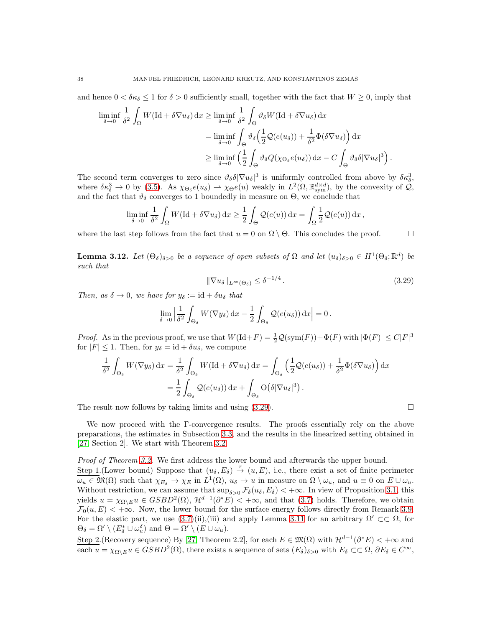and hence  $0 < \delta \kappa_{\delta} \leq 1$  for  $\delta > 0$  sufficiently small, together with the fact that  $W \geq 0$ , imply that

$$
\liminf_{\delta \to 0} \frac{1}{\delta^2} \int_{\Omega} W(\mathrm{Id} + \delta \nabla u_{\delta}) \, \mathrm{d}x \ge \liminf_{\delta \to 0} \frac{1}{\delta^2} \int_{\Theta} \vartheta_{\delta} W(\mathrm{Id} + \delta \nabla u_{\delta}) \, \mathrm{d}x
$$
\n
$$
= \liminf_{\delta \to 0} \int_{\Theta} \vartheta_{\delta} \Big( \frac{1}{2} \mathcal{Q}(e(u_{\delta})) + \frac{1}{\delta^2} \Phi(\delta \nabla u_{\delta}) \Big) \, \mathrm{d}x
$$
\n
$$
\ge \liminf_{\delta \to 0} \Big( \frac{1}{2} \int_{\Theta} \vartheta_{\delta} Q(\chi_{\Theta_{\delta}} e(u_{\delta})) \, \mathrm{d}x - C \int_{\Theta} \vartheta_{\delta} \delta |\nabla u_{\delta}|^3 \Big)
$$

The second term converges to zero since  $\vartheta_{\delta} \delta |\nabla u_{\delta}|^3$  is uniformly controlled from above by  $\delta \kappa_{\delta}^3$ , where  $\delta \kappa_{\delta}^3 \to 0$  by [\(3.5\)](#page-28-3). As  $\chi_{\Theta_{\delta}} e(u_{\delta}) \to \chi_{\Theta} e(u)$  weakly in  $L^2(\Omega, \mathbb{R}^{d \times d}_{sym})$ , by the convexity of  $\mathcal{Q},$ and the fact that  $\vartheta_{\delta}$  converges to 1 boundedly in measure on  $\Theta$ , we conclude that

$$
\liminf_{\delta \to 0} \frac{1}{\delta^2} \int_{\Omega} W(\mathrm{Id} + \delta \nabla u_{\delta}) \, \mathrm{d}x \ge \frac{1}{2} \int_{\Theta} \mathcal{Q}(e(u)) \, \mathrm{d}x = \int_{\Omega} \frac{1}{2} \mathcal{Q}(e(u)) \, \mathrm{d}x,
$$

where the last step follows from the fact that  $u = 0$  on  $\Omega \setminus \Theta$ . This concludes the proof.

<span id="page-37-1"></span>**Lemma 3.12.** Let  $(\Theta_{\delta})_{\delta>0}$  be a sequence of open subsets of  $\Omega$  and let  $(u_{\delta})_{\delta>0} \in H^1(\Theta_{\delta}; \mathbb{R}^d)$  be such that

$$
\|\nabla u_{\delta}\|_{L^{\infty}(\Theta_{\delta})} \leq \delta^{-1/4} \,. \tag{3.29}
$$

Then, as  $\delta \to 0$ , we have for  $y_{\delta} := id + \delta u_{\delta}$  that

$$
\lim_{\delta \to 0} \left| \frac{1}{\delta^2} \int_{\Theta_{\delta}} W(\nabla y_{\delta}) \, \mathrm{d}x - \frac{1}{2} \int_{\Theta_{\delta}} \mathcal{Q}(e(u_{\delta})) \, \mathrm{d}x \right| = 0.
$$

*Proof.* As in the previous proof, we use that  $W(\text{Id} + F) = \frac{1}{2}Q(\text{sym}(F)) + \Phi(F)$  with  $|\Phi(F)| \le C|F|^3$ for  $|F| \leq 1$ . Then, for  $y_{\delta} = id + \delta u_{\delta}$ , we compute

$$
\frac{1}{\delta^2} \int_{\Theta_{\delta}} W(\nabla y_{\delta}) dx = \frac{1}{\delta^2} \int_{\Theta_{\delta}} W(\text{Id} + \delta \nabla u_{\delta}) dx = \int_{\Theta_{\delta}} \left( \frac{1}{2} \mathcal{Q}(e(u_{\delta})) + \frac{1}{\delta^2} \Phi(\delta \nabla u_{\delta}) \right) dx
$$

$$
= \frac{1}{2} \int_{\Theta_{\delta}} \mathcal{Q}(e(u_{\delta})) dx + \int_{\Theta_{\delta}} \mathcal{O}(\delta |\nabla u_{\delta}|^{3}).
$$

The result now follows by taking limits and using  $(3.29)$ .

<span id="page-37-0"></span>.

We now proceed with the Γ-convergence results. The proofs essentially rely on the above preparations, the estimates in Subsection [3.3,](#page-32-0) and the results in the linearized setting obtained in [\[27,](#page-48-24) Section 2]. We start with Theorem [3.2.](#page-30-2)

Proof of Theorem [3.2.](#page-30-2) We first address the lower bound and afterwards the upper bound. Step 1. (Lower bound) Suppose that  $(u_{\delta}, E_{\delta}) \stackrel{\tau}{\rightarrow} (u, E)$ , i.e., there exist a set of finite perimeter  $\omega_u \in \mathfrak{M}(\Omega)$  such that  $\chi_{E_\delta} \to \chi_E$  in  $L^1(\Omega)$ ,  $u_\delta \to u$  in measure on  $\Omega \setminus \omega_u$ , and  $u \equiv 0$  on  $E \cup \omega_u$ . Without restriction, we can assume that  $\sup_{\delta>0} \mathcal{F}_{\delta}(u_{\delta}, E_{\delta}) < +\infty$ . In view of Proposition [3.1,](#page-28-1) this yields  $u = \chi_{\Omega \backslash E} u \in GSBD^2(\Omega)$ ,  $\mathcal{H}^{d-1}(\partial^* E) < +\infty$ , and that [\(3.7\)](#page-29-1) holds. Therefore, we obtain  $\mathcal{F}_0(u, E) < +\infty$ . Now, the lower bound for the surface energy follows directly from Remark [3.9.](#page-35-3) For the elastic part, we use  $(3.7)(ii),(iii)$  and apply Lemma [3.11](#page-36-1) for an arbitrary  $\Omega' \subset\subset \Omega$ , for  $\Theta_{\delta} = \Omega' \setminus (E_{\delta}^* \cup \omega_u^{\delta})$  and  $\Theta = \Omega' \setminus (E \cup \omega_u)$ .

Step 2. (Recovery sequence) By [\[27,](#page-48-24) Theorem 2.2], for each  $E \in \mathfrak{M}(\Omega)$  with  $\mathcal{H}^{d-1}(\partial^* E) < +\infty$  and each  $u = \chi_{\Omega \setminus E} u \in GSBD^2(\Omega)$ , there exists a sequence of sets  $(E_{\delta})_{\delta > 0}$  with  $E_{\delta} \subset\subset \Omega$ ,  $\partial E_{\delta} \in C^{\infty}$ ,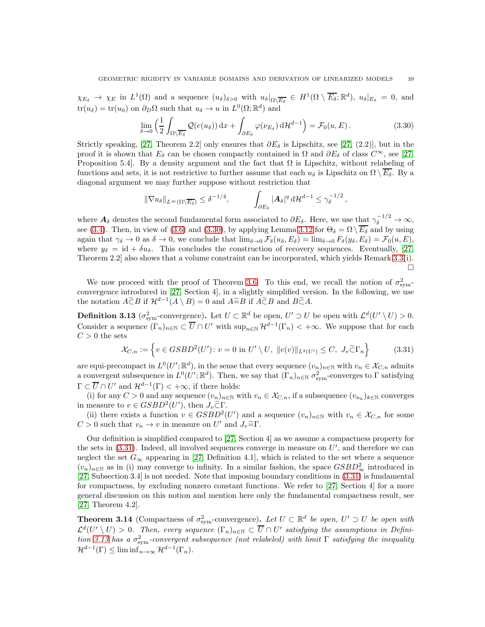$\chi_{E_{\delta}} \to \chi_E$  in  $L^1(\Omega)$  and a sequence  $(u_{\delta})_{\delta>0}$  with  $u_{\delta}|_{\Omega \setminus \overline{E_{\delta}}} \in H^1(\Omega \setminus \overline{E_{\delta}}; \mathbb{R}^d)$ ,  $u_{\delta}|_{E_{\delta}} = 0$ , and  $\text{tr}(u_{\delta}) = \text{tr}(u_0)$  on  $\partial_D \Omega$  such that  $u_{\delta} \to u$  in  $L^0(\Omega; \mathbb{R}^d)$  and

$$
\lim_{\delta \to 0} \left( \frac{1}{2} \int_{\Omega \setminus \overline{E_{\delta}}} \mathcal{Q}(e(u_{\delta})) \, \mathrm{d}x + \int_{\partial E_{\delta}} \varphi(\nu_{E_{\delta}}) \, \mathrm{d}\mathcal{H}^{d-1} \right) = \mathcal{F}_0(u, E) \,. \tag{3.30}
$$

Strictly speaking, [\[27,](#page-48-24) Theorem 2.2] only ensures that  $\partial E_{\delta}$  is Lipschitz, see [27, (2.2)], but in the proof it is shown that  $E_{\delta}$  can be chosen compactly contained in  $\Omega$  and  $\partial E_{\delta}$  of class  $C^{\infty}$ , see [\[27,](#page-48-24) Proposition 5.4]. By a density argument and the fact that  $\Omega$  is Lipschitz, without relabeling of functions and sets, it is not restrictive to further assume that each  $u_{\delta}$  is Lipschitz on  $\Omega \setminus E_{\delta}$ . By a diagonal argument we may further suppose without restriction that

$$
\|\nabla u_{\delta}\|_{L^{\infty}(\Omega\setminus\overline{E_{\delta}})} \leq \delta^{-1/4}, \qquad \int_{\partial E_{\delta}} |\mathbf{A}_{\delta}|^{q} d\mathcal{H}^{d-1} \leq \gamma_{\delta}^{-1/2},
$$

where  $A_{\delta}$  denotes the second fundamental form associated to  $\partial E_{\delta}$ . Here, we use that  $\gamma_{\delta}^{-1/2} \to \infty$ , see [\(3.4\)](#page-28-2). Then, in view of [\(3.6\)](#page-28-4) and [\(3.30\)](#page-38-0), by applying Lemma [3.12](#page-37-1) for  $\Theta_{\delta} = \Omega \setminus \overline{E_{\delta}}$  and by using again that  $\gamma_{\delta} \to 0$  as  $\delta \to 0$ , we conclude that  $\lim_{\delta \to 0} \mathcal{F}_{\delta}(u_{\delta}, E_{\delta}) = \lim_{\delta \to 0} F_{\delta}(y_{\delta}, E_{\delta}) = \mathcal{F}_{0}(u, E),$ where  $y_{\delta} = id + \delta u_{\delta}$ . This concludes the construction of recovery sequences. Eventually, [\[27,](#page-48-24) Theorem 2.2] also shows that a volume constraint can be incorporated, which yields Remark [3.3\(](#page-30-4)i).  $\Box$ 

We now proceed with the proof of Theorem [3.6.](#page-32-3) To this end, we recall the notion of  $\sigma_{sym}^2$ convergence introduced in [\[27,](#page-48-24) Section 4], in a slightly simplified version. In the following, we use the notation  $\widetilde{A \subset B}$  if  $\mathcal{H}^{d-1}(A \setminus B) = 0$  and  $\widetilde{A \subset B}$  and  $\widetilde{B \subset A}$ .

<span id="page-38-2"></span>**Definition 3.13** ( $\sigma_{sym}^2$ -convergence). Let  $U \subset \mathbb{R}^d$  be open,  $U' \supset U$  be open with  $\mathcal{L}^d(U' \setminus U) > 0$ . Consider a sequence  $(\Gamma_n)_{n\in\mathbb{N}}\subset \overline{U}\cap U'$  with  $\sup_{n\in\mathbb{N}}\mathcal{H}^{d-1}(\Gamma_n)<+\infty$ . We suppose that for each  $C > 0$  the sets

$$
\mathcal{X}_{C,n} := \left\{ v \in GSBD^2(U') : v = 0 \text{ in } U' \setminus U, \ \|e(v)\|_{L^2(U')} \le C, \ J_v \widetilde{\subset} \Gamma_n \right\}
$$
(3.31)

are equi-precompact in  $L^0(U';\mathbb{R}^d)$ , in the sense that every sequence  $(v_n)_{n\in\mathbb{N}}$  with  $v_n \in \mathcal{X}_{C,n}$  admits a convergent subsequence in  $L^0(U'; \mathbb{R}^d)$ . Then, we say that  $(\Gamma_n)_{n \in \mathbb{N}} \sigma_{\text{sym}}^2$ -converges to  $\Gamma$  satisfying  $\Gamma \subset \overline{U} \cap U'$  and  $\mathcal{H}^{d-1}(\Gamma) < +\infty$ , if there holds:

(i) for any  $C > 0$  and any sequence  $(v_n)_{n \in \mathbb{N}}$  with  $v_n \in \mathcal{X}_{C,n}$ , if a subsequence  $(v_{n_k})_{k \in \mathbb{N}}$  converges in measure to  $v \in GSBD^2(U')$ , then  $J_v \widetilde{\subset} \Gamma$ .

(ii) there exists a function  $v \in GSBD^2(U')$  and a sequence  $(v_n)_{n \in \mathbb{N}}$  with  $v_n \in \mathcal{X}_{C,n}$  for some  $C > 0$  such that  $v_n \to v$  in measure on U' and  $J_v \cong \Gamma$ .

Our definition is simplified compared to [\[27,](#page-48-24) Section 4] as we assume a compactness property for the sets in  $(3.31)$ . Indeed, all involved sequences converge in measure on  $U'$ , and therefore we can neglect the set  $G_{\infty}$  appearing in [\[27,](#page-48-24) Definition 4.1], which is related to the set where a sequence  $(v_n)_{n\in\mathbb{N}}$  as in (i) may converge to infinity. In a similar fashion, the space  $GSBD^2_{\infty}$  introduced in [\[27,](#page-48-24) Subsection 3.4] is not needed. Note that imposing boundary conditions in [\(3.31\)](#page-38-1) is fundamental for compactness, by excluding nonzero constant functions. We refer to [\[27,](#page-48-24) Section 4] for a more general discussion on this notion and mention here only the fundamental compactness result, see [\[27,](#page-48-24) Theorem 4.2].

<span id="page-38-3"></span>**Theorem 3.14** (Compactness of  $\sigma_{sym}^2$ -convergence). Let  $U \subset \mathbb{R}^d$  be open,  $U' \supset U$  be open with  $\mathcal{L}^d(U' \setminus U) > 0$ . Then, every sequence  $(\Gamma_n)_{n \in \mathbb{N}} \subset \overline{U} \cap U'$  satisfying the assumptions in Defini-tion [3.13](#page-38-2) has a  $\sigma_{sym}^2$ -convergent subsequence (not relabeled) with limit  $\Gamma$  satisfying the inequality  $\mathcal{H}^{d-1}(\Gamma) \leq \liminf_{n \to \infty} \mathcal{H}^{d-1}(\Gamma_n).$ 

<span id="page-38-1"></span><span id="page-38-0"></span>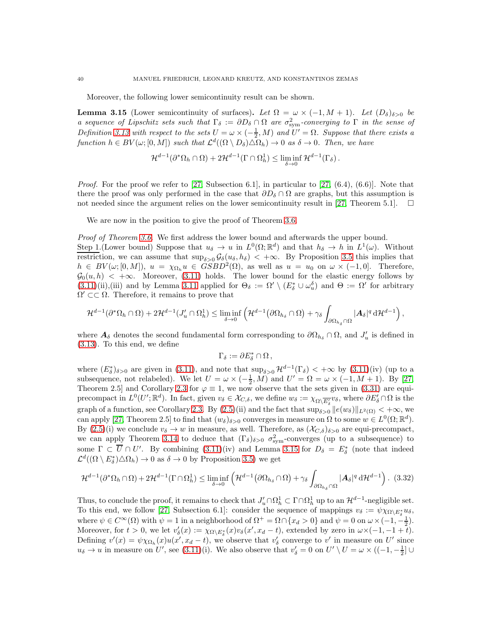Moreover, the following lower semicontinuity result can be shown.

<span id="page-39-0"></span>**Lemma 3.15** (Lower semicontinuity of surfaces). Let  $\Omega = \omega \times (-1, M + 1)$ . Let  $(D_{\delta})_{\delta > 0}$  be a sequence of Lipschitz sets such that  $\Gamma_{\delta} := \partial D_{\delta} \cap \Omega$  are  $\sigma_{sym}^2$ -converging to  $\Gamma$  in the sense of Definition [3.13](#page-38-2) with respect to the sets  $U = \omega \times (-\frac{1}{2}, M)$  and  $U' = \Omega$ . Suppose that there exists a function  $h \in BV(\omega; [0, M])$  such that  $\mathcal{L}^d((\Omega \setminus D_\delta) \triangle \Omega_h) \to 0$  as  $\delta \to 0$ . Then, we have

$$
\mathcal{H}^{d-1}(\partial^*\Omega_h \cap \Omega) + 2\mathcal{H}^{d-1}(\Gamma \cap \Omega_h^1) \le \liminf_{\delta \to 0} \mathcal{H}^{d-1}(\Gamma_{\delta}).
$$

*Proof.* For the proof we refer to [\[27,](#page-48-24) Subsection 6.1], in particular to [27,  $(6.4)$ ,  $(6.6)$ ]. Note that there the proof was only performed in the case that  $\partial D_{\delta} \cap \Omega$  are graphs, but this assumption is not needed since the argument relies on the lower semicontinuity result in [\[27,](#page-48-24) Theorem 5.1].  $\Box$ 

We are now in the position to give the proof of Theorem [3.6.](#page-32-3)

*Proof of Theorem [3.6.](#page-32-3)* We first address the lower bound and afterwards the upper bound.

Step 1. (Lower bound) Suppose that  $u_{\delta} \to u$  in  $L^0(\Omega; \mathbb{R}^d)$  and that  $h_{\delta} \to h$  in  $L^1(\omega)$ . Without restriction, we can assume that  $\sup_{\delta>0} \mathcal{G}_{\delta}(u_{\delta}, h_{\delta}) < +\infty$ . By Proposition [3.5](#page-31-0) this implies that  $h \in BV(\omega; [0, M]), u = \chi_{\Omega_h} u \in GSBD^2(\Omega)$ , as well as  $u = u_0$  on  $\omega \times (-1, 0]$ . Therefore,  $\mathcal{G}_0(u, h) < +\infty$ . Moreover, [\(3.11\)](#page-31-2) holds. The lower bound for the elastic energy follows by  $(3.11)(ii), (iii)$  $(3.11)(ii), (iii)$  and by Lemma [3.11](#page-36-1) applied for  $\Theta_{\delta} := \Omega' \setminus (E_{\delta}^* \cup \omega_u^{\delta})$  and  $\Theta := \Omega'$  for arbitrary  $\Omega' \subset\subset \Omega$ . Therefore, it remains to prove that

$$
\mathcal{H}^{d-1}(\partial^*\Omega_h\cap\Omega)+2\mathcal{H}^{d-1}(J'_u\cap\Omega_h^1)\leq\liminf_{\delta\to 0}\left(\mathcal{H}^{d-1}\big(\partial\Omega_{h_\delta}\cap\Omega\big)+\gamma_\delta\int_{\partial\Omega_{h_\delta}\cap\Omega}|A_\delta|^q\,\mathrm{d}\mathcal{H}^{d-1}\right),
$$

where  $A_{\delta}$  denotes the second fundamental form corresponding to  $\partial\Omega_{h_{\delta}} \cap \Omega$ , and  $J'_{u}$  is defined in [\(3.13\)](#page-31-3). To this end, we define

$$
\Gamma_{\delta} := \partial E_{\delta}^* \cap \Omega \,,
$$

where  $(E_{\delta}^*)_{\delta>0}$  are given in [\(3.11\)](#page-31-2), and note that  $\sup_{\delta>0} \mathcal{H}^{d-1}(\Gamma_{\delta}) < +\infty$  by (3.11)(iv) (up to a subsequence, not relabeled). We let  $U = \omega \times (-\frac{1}{2}, M)$  and  $U' = \Omega = \omega \times (-1, M + 1)$ . By [\[27,](#page-48-24) Theorem 2.5] and Corollary [2.3](#page-7-1) for  $\varphi \equiv 1$ , we now observe that the sets given in [\(3.31\)](#page-38-1) are equiprecompact in  $L^0(U';\mathbb{R}^d)$ . In fact, given  $v_\delta \in \mathcal{X}_{C,\delta}$ , we define  $w_\delta := \chi_{\Omega \setminus \overline{E'_\delta}} v_\delta$ , where  $\partial E'_\delta \cap \Omega$  is the graph of a function, see Corollary [2.3.](#page-7-1) By  $(2.5)(ii)$  and the fact that  $\sup_{\delta>0} ||e(w_{\delta})||_{L^2(\Omega)} < +\infty$ , we can apply [\[27,](#page-48-24) Theorem 2.5] to find that  $(w_\delta)_{\delta>0}$  converges in measure on  $\Omega$  to some  $w \in L^0(\Omega;\mathbb{R}^d)$ . By  $(2.5)(i)$  we conclude  $v_{\delta} \to w$  in measure, as well. Therefore, as  $(\mathcal{X}_{C,\delta})_{\delta>0}$  are equi-precompact, we can apply Theorem [3.14](#page-38-3) to deduce that  $(\Gamma_{\delta})_{\delta>0}$   $\sigma_{sym}^2$ -converges (up to a subsequence) to some  $\Gamma \subset U \cap U'$ . By combining [\(3.11\)](#page-31-2)(iv) and Lemma [3.15](#page-39-0) for  $D_{\delta} = E_{\delta}^*$  (note that indeed  $\mathcal{L}^d((\Omega \setminus E^*_\delta) \triangle \Omega_h) \to 0$  as  $\delta \to 0$  by Proposition [3.5\)](#page-31-0) we get

<span id="page-39-1"></span>
$$
\mathcal{H}^{d-1}(\partial^*\Omega_h \cap \Omega) + 2\mathcal{H}^{d-1}(\Gamma \cap \Omega_h^1) \le \liminf_{\delta \to 0} \left( \mathcal{H}^{d-1}(\partial \Omega_{h_\delta} \cap \Omega) + \gamma_\delta \int_{\partial \Omega_{h_\delta} \cap \Omega} |\mathbf{A}_\delta|^q d\mathcal{H}^{d-1} \right). (3.32)
$$

Thus, to conclude the proof, it remains to check that  $J'_u \cap \Omega_h^1 \subset \Gamma \cap \Omega_h^1$  up to an  $\mathcal{H}^{d-1}$ -negligible set. To this end, we follow [\[27,](#page-48-24) Subsection 6.1]: consider the sequence of mappings  $v_{\delta} := \psi \chi_{\Omega \setminus E_{\delta}^*} u_{\delta}$ , where  $\psi \in C^{\infty}(\Omega)$  with  $\psi = 1$  in a neighborhood of  $\Omega^{+} = \Omega \cap \{x_d > 0\}$  and  $\psi = 0$  on  $\omega \times (-1, -\frac{1}{2})$ . Moreover, for  $t > 0$ , we let  $v'_\delta(x) := \chi_{\Omega \setminus E^*_\delta}(x)v_\delta(x', x_d - t)$ , extended by zero in  $\omega \times (-1, -1 + t)$ . Defining  $v'(x) = \psi \chi_{\Omega_h}(x) u(x', x_d - t)$ , we observe that  $v'_\delta$  converge to v' in measure on U' since  $u_{\delta} \to u$  in measure on U', see [\(3.11\)](#page-31-2)(i). We also observe that  $v'_{\delta} = 0$  on  $U' \setminus U = \omega \times ((-1, -\frac{1}{2}] \cup$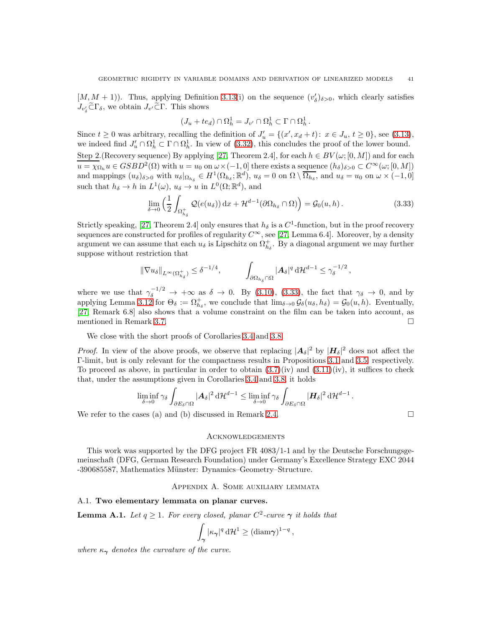$[M, M + 1]$ ). Thus, applying Definition [3.13\(](#page-38-2)i) on the sequence  $(v'_\delta)_{\delta>0}$ , which clearly satisfies  $J_{v'_\delta}$  $\subset \Gamma_\delta$ , we obtain  $J_{v'}$  $\subset \Gamma$ . This shows

$$
(J_u + te_d) \cap \Omega_h^1 = J_{v'} \cap \Omega_h^1 \subset \Gamma \cap \Omega_h^1.
$$

Since  $t \ge 0$  was arbitrary, recalling the definition of  $J'_u = \{(x', x_d + t): x \in J_u, t \ge 0\}$ , see [\(3.13\)](#page-31-3), we indeed find  $J'_u \cap \Omega_h^1 \subset \Gamma \cap \Omega_h^1$ . In view of [\(3.32\)](#page-39-1), this concludes the proof of the lower bound. Step 2.(Recovery sequence) By applying [\[27,](#page-48-24) Theorem 2.4], for each  $h \in BV(\omega; [0, M])$  and for each  $u = \chi_{\Omega_h} u \in GSBD^2(\Omega)$  with  $u = u_0$  on  $\omega \times (-1, 0]$  there exists a sequence  $(h_\delta)_{\delta > 0} \subset C^\infty(\omega; [0, M])$ and mappings  $(u_{\delta})_{\delta>0}$  with  $u_{\delta}|_{\Omega_{h_{\delta}}} \in H^1(\Omega_{h_{\delta}}; \mathbb{R}^d)$ ,  $u_{\delta} = 0$  on  $\Omega \setminus \overline{\Omega_{h_{\delta}}}$ , and  $u_{\delta} = u_0$  on  $\omega \times (-1, 0]$ such that  $h_{\delta} \to h$  in  $L^1(\omega)$ ,  $u_{\delta} \to u$  in  $L^0(\Omega; \mathbb{R}^d)$ , and

$$
\lim_{\delta \to 0} \left( \frac{1}{2} \int_{\Omega_{h_\delta}^+} \mathcal{Q}(e(u_\delta)) \, \mathrm{d}x + \mathcal{H}^{d-1}(\partial \Omega_{h_\delta} \cap \Omega) \right) = \mathcal{G}_0(u, h) \,. \tag{3.33}
$$

Strictly speaking, [\[27,](#page-48-24) Theorem 2.4] only ensures that  $h_{\delta}$  is a  $C^{1}$ -function, but in the proof recovery sequences are constructed for profiles of regularity  $C^{\infty}$ , see [\[27,](#page-48-24) Lemma 6.4]. Moreover, by a density argument we can assume that each  $u_{\delta}$  is Lipschitz on  $\Omega_{h_{\delta}}^{+}$ . By a diagonal argument we may further suppose without restriction that

$$
\|\nabla u_{\delta}\|_{L^{\infty}(\Omega_{h_{\delta}}^{+})}\leq \delta^{-1/4}, \qquad \int_{\partial\Omega_{h_{\delta}}\cap\Omega}|A_{\delta}|^{q} d\mathcal{H}^{d-1}\leq \gamma_{\delta}^{-1/2},
$$

where we use that  $\gamma_{\delta}^{-1/2} \rightarrow +\infty$  as  $\delta \rightarrow 0$ . By [\(3.10\)](#page-30-3), [\(3.33\)](#page-40-3), the fact that  $\gamma_{\delta} \rightarrow 0$ , and by applying Lemma [3.12](#page-37-1) for  $\Theta_{\delta} := \Omega_{h_{\delta}}^{+}$ , we conclude that  $\lim_{\delta \to 0} \mathcal{G}_{\delta}(u_{\delta}, h_{\delta}) = \mathcal{G}_{0}(u, h)$ . Eventually, [\[27,](#page-48-24) Remark 6.8] also shows that a volume constraint on the film can be taken into account, as mentioned in Remark [3.7.](#page-32-4)

We close with the short proofs of Corollaries [3.4](#page-30-1) and [3.8.](#page-32-1)

*Proof.* In view of the above proofs, we observe that replacing  $|A_{\delta}|^2$  by  $|H_{\delta}|^2$  does not affect the Γ-limit, but is only relevant for the compactness results in Propositions [3.1](#page-28-1) and [3.5,](#page-31-0) respectively. To proceed as above, in particular in order to obtain  $(3.7)(iv)$  and  $(3.11)(iv)$ , it suffices to check that, under the assumptions given in Corollaries [3.4](#page-30-1) and [3.8,](#page-32-1) it holds

$$
\liminf_{\delta \to 0} \gamma_{\delta} \int_{\partial E_{\delta} \cap \Omega} |\mathbf{A}_{\delta}|^2 \, d\mathcal{H}^{d-1} \leq \liminf_{\delta \to 0} \gamma_{\delta} \int_{\partial E_{\delta} \cap \Omega} |\mathbf{H}_{\delta}|^2 \, d\mathcal{H}^{d-1}.
$$

We refer to the cases (a) and (b) discussed in Remark [2.4.](#page-7-5)  $\Box$ 

<span id="page-40-3"></span>

#### **ACKNOWLEDGEMENTS**

This work was supported by the DFG project FR 4083/1-1 and by the Deutsche Forschungsgemeinschaft (DFG, German Research Foundation) under Germany's Excellence Strategy EXC 2044 -390685587, Mathematics M¨unster: Dynamics–Geometry–Structure.

### Appendix A. Some auxiliary lemmata

### <span id="page-40-2"></span><span id="page-40-0"></span>A.1. Two elementary lemmata on planar curves.

<span id="page-40-1"></span>**Lemma A.1.** Let  $q \ge 1$ . For every closed, planar  $C^2$ -curve  $\gamma$  it holds that

$$
\int_{\gamma} |\kappa_{\gamma}|^q \, d\mathcal{H}^1 \geq (\text{diam}\gamma)^{1-q} \, ,
$$

where  $\kappa_{\gamma}$  denotes the curvature of the curve.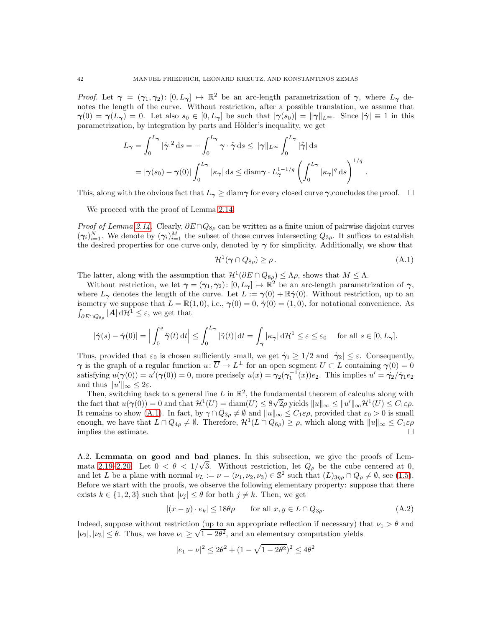Proof. Let  $\gamma = (\gamma_1, \gamma_2) : [0, L_\gamma] \mapsto \mathbb{R}^2$  be an arc-length parametrization of  $\gamma$ , where  $L_\gamma$  denotes the length of the curve. Without restriction, after a possible translation, we assume that  $\gamma(0) = \gamma(L_{\gamma}) = 0$ . Let also  $s_0 \in [0, L_{\gamma}]$  be such that  $|\gamma(s_0)| = ||\gamma||_{L^{\infty}}$ . Since  $|\dot{\gamma}| \equiv 1$  in this parametrization, by integration by parts and Hölder's inequality, we get

$$
L_{\gamma} = \int_0^{L_{\gamma}} |\dot{\gamma}|^2 ds = -\int_0^{L_{\gamma}} \gamma \cdot \ddot{\gamma} ds \le ||\gamma||_{L^{\infty}} \int_0^{L_{\gamma}} |\ddot{\gamma}| ds
$$
  
=  $|\gamma(s_0) - \gamma(0)| \int_0^{L_{\gamma}} |\kappa_{\gamma}| ds \le \text{diam}\gamma \cdot L_{\gamma}^{1-1/q} \left( \int_0^{L_{\gamma}} |\kappa_{\gamma}|^q ds \right)^{1/q}.$ 

This, along with the obvious fact that  $L_{\gamma} \geq \text{diam}_{\gamma}$  for every closed curve  $\gamma$ , concludes the proof.  $\Box$ 

We proceed with the proof of Lemma [2.14.](#page-20-0)

*Proof of Lemma [2.14.](#page-20-0)* Clearly,  $\partial E \cap Q_{8\rho}$  can be written as a finite union of pairwise disjoint curves  $(\gamma_i)_{i=1}^N$ . We denote by  $(\gamma_i)_{i=1}^M$  the subset of those curves intersecting  $Q_{3\rho}$ . It suffices to establish the desired properties for one curve only, denoted by  $\gamma$  for simplicity. Additionally, we show that

<span id="page-41-1"></span>
$$
\mathcal{H}^1(\gamma \cap Q_{8\rho}) \ge \rho. \tag{A.1}
$$

The latter, along with the assumption that  $\mathcal{H}^1(\partial E \cap Q_{8\rho}) \leq \Lambda \rho$ , shows that  $M \leq \Lambda$ .

Without restriction, we let  $\gamma = (\gamma_1, \gamma_2) : [0, L_\gamma] \mapsto \mathbb{R}^2$  be an arc-length parametrization of  $\gamma$ , where  $L_{\gamma}$  denotes the length of the curve. Let  $L := \gamma(0) + \mathbb{R}\dot{\gamma}(0)$ . Without restriction, up to an isometry we suppose that  $L = \mathbb{R}(1, 0)$ , i.e.,  $\gamma(0) = 0$ ,  $\dot{\gamma}(0) = (1, 0)$ , for notational convenience. As  $\int_{\partial E \cap Q_{8\rho}} |\mathbf{A}| d\mathcal{H}^1 \leq \varepsilon$ , we get that

$$
|\dot{\gamma}(s) - \dot{\gamma}(0)| = \Big| \int_0^s \ddot{\gamma}(t) dt \Big| \le \int_0^{L_{\gamma}} |\ddot{\gamma}(t)| dt = \int_{\gamma} |\kappa_{\gamma}| d\mathcal{H}^1 \le \varepsilon \le \varepsilon_0 \quad \text{ for all } s \in [0, L_{\gamma}].
$$

Thus, provided that  $\varepsilon_0$  is chosen sufficiently small, we get  $\dot{\gamma}_1 \geq 1/2$  and  $|\dot{\gamma}_2| \leq \varepsilon$ . Consequently,  $\gamma$  is the graph of a regular function  $u: U \to L^{\perp}$  for an open segment  $U \subset L$  containing  $\gamma(0) = 0$ satisfying  $u(\gamma(0)) = u'(\gamma(0)) = 0$ , more precisely  $u(x) = \gamma_2(\gamma_1^{-1}(x))e_2$ . This implies  $u' = \dot{\gamma_2}/\dot{\gamma_1}e_2$ and thus  $||u'||_{\infty} \leq 2\varepsilon$ .

Then, switching back to a general line L in  $\mathbb{R}^2$ , the fundamental theorem of calculus along with the fact that  $u(\gamma(0)) = 0$  and that  $\mathcal{H}^1(U) = \text{diam}(U) \leq 8\sqrt{2}\rho$  yields  $||u||_{\infty} \leq ||u'||_{\infty} \mathcal{H}^1(U) \leq C_1 \varepsilon \rho$ . It remains to show [\(A.1\)](#page-41-1). In fact, by  $\gamma \cap Q_{3\rho} \neq \emptyset$  and  $||u||_{\infty} \leq C_1 \varepsilon \rho$ , provided that  $\varepsilon_0 > 0$  is small enough, we have that  $L \cap Q_{4\rho} \neq \emptyset$ . Therefore,  $\mathcal{H}^1(L \cap Q_{6\rho}) \geq \rho$ , which along with  $||u||_{\infty} \leq C_1 \varepsilon \rho$ implies the estimate.  $\Box$ 

<span id="page-41-0"></span>A.2. Lemmata on good and bad planes. In this subsection, we give the proofs of Lem-mata [2.19](#page-22-3)[–2.20.](#page-22-4) Let  $0 < \theta < 1/\sqrt{3}$ . Without restriction, let  $Q_\rho$  be the cube centered at 0, and let L be a plane with normal  $\nu_L := \nu = (\nu_1, \nu_2, \nu_3) \in \mathbb{S}^2$  such that  $(L)_{3\eta\rho} \cap Q_\rho \neq \emptyset$ , see [\(1.5\)](#page-5-5). Before we start with the proofs, we observe the following elementary property: suppose that there exists  $k \in \{1,2,3\}$  such that  $|\nu_i| \leq \theta$  for both  $j \neq k$ . Then, we get

$$
|(x - y) \cdot e_k| \le 18\theta\rho \qquad \text{for all } x, y \in L \cap Q_{3\rho}.
$$
 (A.2)

Indeed, suppose without restriction (up to an appropriate reflection if necessary) that  $\nu_1 > \theta$  and  $|v_2|, |v_3| \le \theta$ . Thus, we have  $v_1 \ge \sqrt{1-2\theta^2}$ , and an elementary computation yields

<span id="page-41-2"></span>
$$
|e_1 - \nu|^2 \le 2\theta^2 + (1 - \sqrt{1 - 2\theta^2})^2 \le 4\theta^2
$$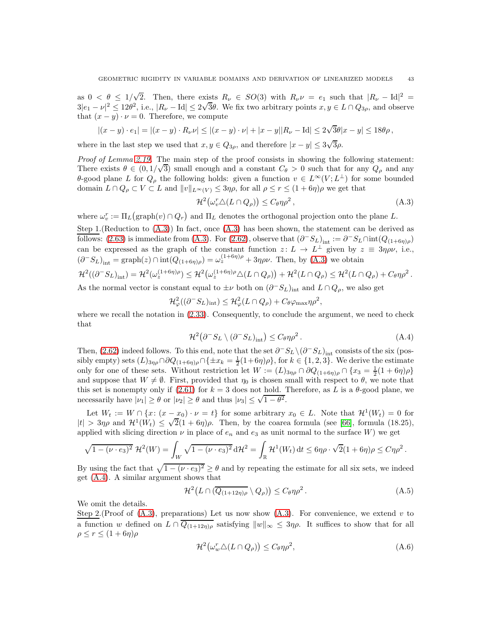as  $0 < \theta \le 1/\sqrt{2}$ . Then, there exists  $R_{\nu} \in SO(3)$  with  $R_{\nu} \nu = e_1$  such that  $|R_{\nu} - \text{Id}|^2 =$  $3|e_1 - \nu|^2 \le 12\theta^2$ , i.e.,  $|R_{\nu} - \text{Id}| \le 2\sqrt{3}\theta$ . We fix two arbitrary points  $x, y \in L \cap Q_{3\rho}$ , and observe that  $(x - y) \cdot \nu = 0$ . Therefore, we compute

$$
|(x-y)\cdot e_1| = |(x-y)\cdot R_\nu \nu| \le |(x-y)\cdot \nu| + |x-y||R_\nu - \text{Id}| \le 2\sqrt{3}\theta |x-y| \le 18\theta \rho,
$$

where in the last step we used that  $x, y \in Q_{3\rho}$ , and therefore  $|x - y| \leq 3\sqrt{3}\rho$ .

Proof of Lemma [2.19.](#page-22-3) The main step of the proof consists in showing the following statement: There exists  $\theta \in (0, 1/\sqrt{3})$  small enough and a constant  $C_{\theta} > 0$  such that for any  $Q_{\rho}$  and any θ-good plane L for  $Q_{\rho}$  the following holds: given a function  $v \in L^{\infty}(V; L^{\perp})$  for some bounded domain  $L \cap Q_{\rho} \subset V \subset L$  and  $||v||_{L^{\infty}(V)} \leq 3\eta\rho$ , for all  $\rho \leq r \leq (1 + 6\eta)\rho$  we get that

<span id="page-42-0"></span>
$$
\mathcal{H}^2(\omega_v^r \triangle (L \cap Q_{\rho})) \le C_{\theta} \eta \rho^2 ,\tag{A.3}
$$

where  $\omega_v^r := \Pi_L(\text{graph}(v) \cap Q_r)$  and  $\Pi_L$  denotes the orthogonal projection onto the plane L.

Step 1.(Reduction to [\(A.3\)](#page-42-0)) In fact, once [\(A.3\)](#page-42-0) has been shown, the statement can be derived as follows: [\(2.63\)](#page-22-2) is immediate from [\(A.3\)](#page-42-0). For [\(2.62\)](#page-22-1), observe that  $(\partial^- S_L)_{\rm int} := \partial^- S_L \cap \text{int}(Q_{(1+6\eta)\rho})$ can be expressed as the graph of the constant function  $z: L \to L^{\perp}$  given by  $z \equiv 3\eta \rho \nu$ , i.e.,  $(\partial^- S_L)_{\text{int}} = \text{graph}(z) \cap \text{int}(Q_{(1+6\eta)\rho}) = \omega_z^{(1+6\eta)\rho} + 3\eta\rho\nu$ . Then, by [\(A.3\)](#page-42-0) we obtain

$$
\mathcal{H}^2((\partial^-S_L)_{\text{int}}) = \mathcal{H}^2(\omega_z^{(1+6\eta)\rho}) \leq \mathcal{H}^2(\omega_z^{(1+6\eta)\rho}\triangle(L\cap Q_{\rho})) + \mathcal{H}^2(L\cap Q_{\rho}) \leq \mathcal{H}^2(L\cap Q_{\rho}) + C_{\theta}\eta\rho^2.
$$

As the normal vector is constant equal to  $\pm \nu$  both on  $(\partial^- S_L)_{\text{int}}$  and  $L \cap Q_\rho$ , we also get

$$
\mathcal{H}_{\varphi}^{2}((\partial^{-}S_{L})_{\text{int}}) \leq \mathcal{H}_{\varphi}^{2}(L \cap Q_{\rho}) + C_{\theta} \varphi_{\text{max}} \eta \rho^{2},
$$

where we recall the notation in  $(2.33)$ . Consequently, to conclude the argument, we need to check that

<span id="page-42-1"></span>
$$
\mathcal{H}^2(\partial^- S_L \setminus (\partial^- S_L)_{\text{int}}) \le C_\theta \eta \rho^2. \tag{A.4}
$$

Then, [\(2.62\)](#page-22-1) indeed follows. To this end, note that the set  $\partial^- S_L \setminus (\partial^- S_L)_{\text{int}}$  consists of the six (possibly empty) sets  $(L)_{3\eta\rho} \cap \partial Q_{(1+6\eta)\rho} \cap {\pm x_k = \frac{1}{2}(1+6\eta)\rho}$ , for  $k \in \{1,2,3\}$ . We derive the estimate only for one of these sets. Without restriction let  $W := (L)_{3\eta\rho} \cap \partial Q_{(1+6\eta)\rho} \cap \{x_3 = \frac{1}{2}(1+6\eta)\rho\}$ and suppose that  $W \neq \emptyset$ . First, provided that  $\eta_0$  is chosen small with respect to  $\theta$ , we note that this set is nonempty only if [\(2.61\)](#page-21-3) for  $k = 3$  does not hold. Therefore, as L is a  $\theta$ -good plane, we necessarily have  $|\nu_1| \ge \theta$  or  $|\nu_2| \ge \theta$  and thus  $|\nu_3| \le \sqrt{1-\theta^2}$ .

Let  $W_t := W \cap \{x \colon (x - x_0) \cdot \nu = t\}$  for some arbitrary  $x_0 \in L$ . Note that  $\mathcal{H}^1(W_t) = 0$  for  $|t| > 3\eta\rho$  and  $\mathcal{H}^1(W_t) \leq \sqrt{2}(1+6\eta)\rho$ . Then, by the coarea formula (see [\[66\]](#page-49-29), formula (18.25), applied with slicing direction  $\nu$  in place of  $e_n$  and  $e_3$  as unit normal to the surface W) we get

$$
\sqrt{1-(\nu\cdot e_3)^2} \mathcal{H}^2(W) = \int_W \sqrt{1-(\nu\cdot e_3)^2} \, d\mathcal{H}^2 = \int_{\mathbb{R}} \mathcal{H}^1(W_t) \, dt \leq 6\eta \rho \cdot \sqrt{2}(1+6\eta)\rho \leq C\eta \rho^2.
$$

By using the fact that  $\sqrt{1 - (\nu \cdot e_3)^2} \ge \theta$  and by repeating the estimate for all six sets, we indeed get [\(A.4\)](#page-42-1). A similar argument shows that

$$
\mathcal{H}^2\big(L\cap(\overline{Q_{(1+12\eta)\rho}}\setminus Q_{\rho})\big)\leq C_{\theta}\eta\rho^2\,. \tag{A.5}
$$

We omit the details.

Step 2.(Proof of  $(A.3)$ , preparations) Let us now show  $(A.3)$ . For convenience, we extend v to a function w defined on  $L \cap \overline{Q_{(1+12\eta)\rho}}$  satisfying  $||w||_{\infty} \leq 3\eta\rho$ . It suffices to show that for all  $\rho \le r \le (1+6\eta)\rho$ 

<span id="page-42-3"></span><span id="page-42-2"></span>
$$
\mathcal{H}^2(\omega_w^r \triangle (L \cap Q_\rho)) \le C_\theta \eta \rho^2,\tag{A.6}
$$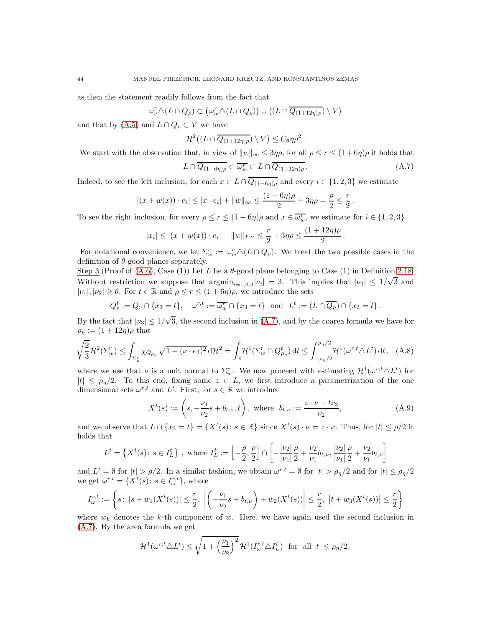as then the statement readily follows from the fact that

$$
\omega_v^r \triangle (L \cap Q_{\rho}) \subset (\omega_w^r \triangle (L \cap Q_{\rho})) \cup ((L \cap \overline{Q_{(1+12\eta)\rho}}) \setminus V)
$$

and that by [\(A.5\)](#page-42-2) and  $L \cap Q_{\rho} \subset V$  we have

$$
\mathcal{H}^2\big((L \cap \overline{Q_{(1+12\eta)\rho}}) \setminus V\big) \leq C_{\theta} \eta \rho^2.
$$

We start with the observation that, in view of  $||w||_{\infty} \leq 3\eta \rho$ , for all  $\rho \leq r \leq (1+6\eta)\rho$  it holds that

<span id="page-43-0"></span>
$$
L \cap \overline{Q_{(1-6\eta)\rho}} \subset \overline{\omega_w^r} \subset L \cap \overline{Q_{(1+12\eta)\rho}}. \tag{A.7}
$$

.

<span id="page-43-1"></span>.

Indeed, to see the left inclusion, for each  $x \in L \cap \overline{Q_{(1-6\eta)\rho}}$  and every  $i \in \{1,2,3\}$  we estimate

$$
|(x+w(x)) \cdot e_i| \le |x \cdot e_i| + ||w||_{\infty} \le \frac{(1-6\eta)\rho}{2} + 3\eta\rho = \frac{\rho}{2} \le \frac{r}{2}
$$

To see the right inclusion, for every  $\rho \le r \le (1+6\eta)\rho$  and  $x \in \overline{\omega_w^r}$ , we estimate for  $i \in \{1,2,3\}$ 

$$
|x_i| \le |(x + w(x)) \cdot e_i| + \|w\|_{L^{\infty}} \le \frac{r}{2} + 3\eta\rho \le \frac{(1 + 12\eta)\rho}{2}
$$

For notational convenience, we let  $\Sigma_w^r := \omega_w^r \Delta(L \cap Q_\rho)$ . We treat the two possible cases in the definition of  $\theta$ -good planes separately.

Step 3.(Proof of  $(A.6)$ , Case  $(1)$ ) Let L be a  $\theta$ -good plane belonging to Case  $(1)$  in Definition [2.18.](#page-21-2) Without restriction we suppose that  $\text{argmin}_{i=1,2,3} |\nu_i| = 3$ . This implies that  $|\nu_3| \leq 1/\sqrt{3}$  and  $|\nu_1|, |\nu_2| \geq \theta$ . For  $t \in \mathbb{R}$  and  $\rho \leq r \leq (1 + 6\eta)\rho$ , we introduce the sets

$$
Q_r^t := Q_r \cap \{x_3 = t\}, \quad \omega^{r,t} := \overline{\omega_w^r} \cap \{x_3 = t\} \text{ and } L^t := (L \cap \overline{Q_\rho}) \cap \{x_3 = t\}.
$$

By the fact that  $|\nu_3| \leq 1/\sqrt{3}$ , the second inclusion in [\(A.7\)](#page-43-0), and by the coarea formula we have for  $\rho_{\eta} := (1 + 12\eta)\rho$  that

$$
\sqrt{\frac{2}{3}}\mathcal{H}^2(\Sigma_w^r) \le \int_{\Sigma_w^r} \chi_{Q_{\rho_\eta}} \sqrt{1 - (\nu \cdot e_3)^2} \, \mathrm{d}\mathcal{H}^2 = \int_{\mathbb{R}} \mathcal{H}^1(\Sigma_w^r \cap Q_{\rho_\eta}^t) \, \mathrm{d}t \le \int_{-\rho_\eta/2}^{\rho_\eta/2} \mathcal{H}^1(\omega^{r,t} \triangle L^t) \, \mathrm{d}t \,, \tag{A.8}
$$

where we use that  $\nu$  is a unit normal to  $\Sigma_w^r$ . We now proceed with estimating  $\mathcal{H}^1(\omega^{r,t} \triangle L^t)$  for  $|t| \leq \rho_{\eta}/2$ . To this end, fixing some  $z \in L$ , we first introduce a parametrization of the one dimensional sets  $\omega^{r,t}$  and  $L^t$ . First, for  $s \in \mathbb{R}$  we introduce

$$
X^{t}(s) := \left(s, -\frac{\nu_{1}}{\nu_{2}}s + b_{t,\nu}, t\right), \text{ where } b_{t,\nu} := \frac{z \cdot \nu - t\nu_{3}}{\nu_{2}},
$$
\n(A.9)

and we observe that  $L \cap \{x_3 = t\} = \{X^t(s): s \in \mathbb{R}\}\$  since  $X^t(s) \cdot \nu = z \cdot \nu$ . Thus, for  $|t| \leq \rho/2$  it holds that

$$
L^t = \left\{ X^t(s) \colon s \in I_L^t \right\} \text{, where } I_L^t := \left[ -\frac{\rho}{2}, \frac{\rho}{2} \right] \cap \left[ -\frac{|\nu_2|}{|\nu_1|} \frac{\rho}{2} + \frac{\nu_2}{\nu_1} b_{t,\nu}, \frac{|\nu_2|}{|\nu_1|} \frac{\rho}{2} + \frac{\nu_2}{\nu_1} b_{t,\nu} \right]
$$

and  $L^t = \emptyset$  for  $|t| > \rho/2$ . In a similar fashion, we obtain  $\omega^{r,t} = \emptyset$  for  $|t| > \rho_\eta/2$  and for  $|t| \le \rho_\eta/2$ we get  $\omega^{r,t} = \{X^t(s): s \in I^{r,t}_{\omega}\}\,$ , where

$$
I_{\omega}^{r,t} := \left\{ s \colon |s+w_1(X^t(s))| \leq \frac{r}{2}, \left| \left( -\frac{\nu_1}{\nu_2} s + b_{t,\nu} \right) + w_2(X^t(s)) \right| \leq \frac{r}{2}, \ |t+w_3(X^t(s))| \leq \frac{r}{2} \right\}
$$

where  $w_k$  denotes the k-th component of w. Here, we have again used the second inclusion in [\(A.7\)](#page-43-0). By the area formula we get

$$
\mathcal{H}^1(\omega^{r,t}\triangle L^t) \leq \sqrt{1+\left(\frac{\nu_1}{\nu_2}\right)^2} \,\mathcal{H}^1(I^{r,t}_{\omega}\triangle I^t_L) \text{ for all } |t| \leq \rho_{\eta}/2 \,.
$$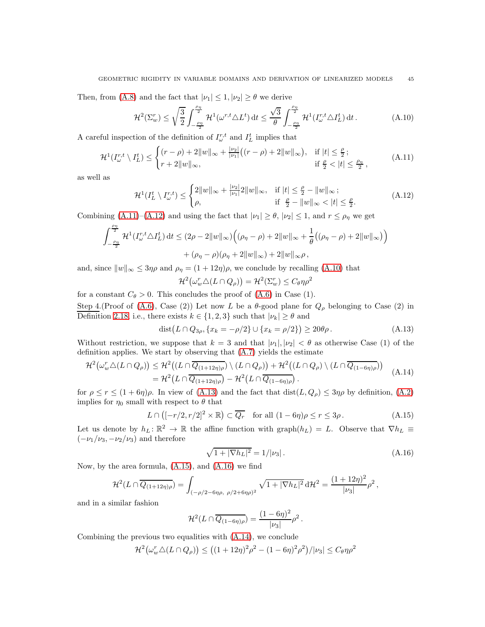Then, from [\(A.8\)](#page-43-1) and the fact that  $|\nu_1| \leq 1, |\nu_2| \geq \theta$  we derive

<span id="page-44-2"></span>
$$
\mathcal{H}^2(\Sigma_w^r) \le \sqrt{\frac{3}{2}} \int_{-\frac{\rho_\eta}{2}}^{\frac{\rho_\eta}{2}} \mathcal{H}^1(\omega^{r,t} \triangle L^t) dt \le \frac{\sqrt{3}}{\theta} \int_{-\frac{\rho_\eta}{2}}^{\frac{\rho_\eta}{2}} \mathcal{H}^1(I_\omega^{r,t} \triangle I_L^t) dt.
$$
 (A.10)

A careful inspection of the definition of  $I_{\omega}^{r,t}$  and  $I_{L}^{t}$  implies that

$$
\mathcal{H}^{1}(I_{\omega}^{r,t} \setminus I_{L}^{t}) \leq \begin{cases} (r-\rho) + 2\|w\|_{\infty} + \frac{|\nu_{2}|}{|\nu_{1}|}((r-\rho) + 2\|w\|_{\infty}), & \text{if } |t| \leq \frac{\rho}{2} \, ; \\ r + 2\|w\|_{\infty}, & \text{if } \frac{\rho}{2} < |t| \leq \frac{\rho_{\eta}}{2}, \end{cases} \tag{A.11}
$$

as well as

$$
\mathcal{H}^{1}(I_{L}^{t} \setminus I_{\omega}^{r,t}) \leq \begin{cases} 2\|w\|_{\infty} + \frac{|\nu_{2}|}{|\nu_{1}|}2\|w\|_{\infty}, & \text{if } |t| \leq \frac{\rho}{2} - \|w\|_{\infty};\\ \rho, & \text{if } \frac{\rho}{2} - \|w\|_{\infty} < |t| \leq \frac{\rho}{2}.\end{cases}
$$
(A.12)

Combining  $(A.11)$ – $(A.12)$  and using the fact that  $|\nu_1| \ge \theta$ ,  $|\nu_2| \le 1$ , and  $r \le \rho_\eta$  we get

$$
\int_{-\frac{\rho_{\eta}}{2}}^{\frac{\rho_{\eta}}{2}} \mathcal{H}^{1}(I_{\omega}^{r,t} \triangle I_{L}^{t}) dt \leq (2\rho - 2||w||_{\infty}) \Big( (\rho_{\eta} - \rho) + 2||w||_{\infty} + \frac{1}{\theta} \big( (\rho_{\eta} - \rho) + 2||w||_{\infty} \big) \Big) + (\rho_{\eta} - \rho)(\rho_{\eta} + 2||w||_{\infty}) + 2||w||_{\infty}\rho,
$$

and, since  $||w||_{\infty} \leq 3\eta\rho$  and  $\rho_{\eta} = (1 + 12\eta)\rho$ , we conclude by recalling [\(A.10\)](#page-44-2) that

<span id="page-44-3"></span><span id="page-44-1"></span><span id="page-44-0"></span>
$$
\mathcal{H}^2(\omega_w^r \triangle (L \cap Q_{\rho})) = \mathcal{H}^2(\Sigma_w^r) \le C_{\theta} \eta \rho^2
$$

for a constant  $C_{\theta} > 0$ . This concludes the proof of  $(A.6)$  in Case  $(1)$ .

Step 4.(Proof of [\(A.6\)](#page-42-3), Case (2)) Let now L be a  $\theta$ -good plane for  $Q_{\rho}$  belonging to Case (2) in Definition [2.18,](#page-21-2) i.e., there exists  $k \in \{1, 2, 3\}$  such that  $|\nu_k| \ge \theta$  and

$$
dist(L \cap Q_{3\rho}, \{x_k = -\rho/2\} \cup \{x_k = \rho/2\}) \ge 20\theta\rho.
$$
 (A.13)

Without restriction, we suppose that  $k = 3$  and that  $|\nu_1|, |\nu_2| < \theta$  as otherwise Case (1) of the definition applies. We start by observing that [\(A.7\)](#page-43-0) yields the estimate

$$
\mathcal{H}^{2}(\omega_{w}^{r}\triangle(L\cap Q_{\rho})) \leq \mathcal{H}^{2}((L\cap \overline{Q_{(1+12\eta)\rho}}) \setminus (L\cap Q_{\rho})) + \mathcal{H}^{2}((L\cap Q_{\rho}) \setminus (L\cap \overline{Q_{(1-6\eta)\rho}}))
$$
  
= 
$$
\mathcal{H}^{2}(L\cap \overline{Q_{(1+12\eta)\rho}}) - \mathcal{H}^{2}(L\cap \overline{Q_{(1-6\eta)\rho}}).
$$
 (A.14)

for  $\rho \le r \le (1+6\eta)\rho$ . In view of [\(A.13\)](#page-44-3) and the fact that  $dist(L, Q_{\rho}) \le 3\eta\rho$  by definition, [\(A.2\)](#page-41-2) implies for  $\eta_0$  small with respect to  $\theta$  that

$$
L \cap \left( [-r/2, r/2]^2 \times \mathbb{R} \right) \subset \overline{Q_r} \quad \text{for all } (1 - 6\eta)\rho \le r \le 3\rho. \tag{A.15}
$$

Let us denote by  $h_L: \mathbb{R}^2 \to \mathbb{R}$  the affine function with graph $(h_L) = L$ . Observe that  $\nabla h_L \equiv$  $(-\nu_1/\nu_3, -\nu_2/\nu_3)$  and therefore

<span id="page-44-6"></span><span id="page-44-5"></span><span id="page-44-4"></span>
$$
\sqrt{1+|\nabla h_L|^2} = 1/|\nu_3| \,. \tag{A.16}
$$

Now, by the area formula, [\(A.15\)](#page-44-4), and [\(A.16\)](#page-44-5) we find

$$
\mathcal{H}^{2}(L \cap \overline{Q_{(1+12\eta)\rho}}) = \int_{(-\rho/2 - 6\eta\rho, \ \rho/2 + 6\eta\rho)^{2}} \sqrt{1 + |\nabla h_{L}|^{2}} d\mathcal{H}^{2} = \frac{(1 + 12\eta)^{2}}{|\nu_{3}|} \rho^{2},
$$

and in a similar fashion

$$
\mathcal{H}^2(L \cap \overline{Q_{(1-6\eta)\rho}}) = \frac{(1-6\eta)^2}{|\nu_3|} \rho^2.
$$

Combining the previous two equalities with [\(A.14\)](#page-44-6), we conclude

$$
\mathcal{H}^2(\omega_w^r \triangle (L \cap Q_\rho)) \le ((1+12\eta)^2 \rho^2 - (1-6\eta)^2 \rho^2)/|\nu_3| \le C_\theta \eta \rho^2
$$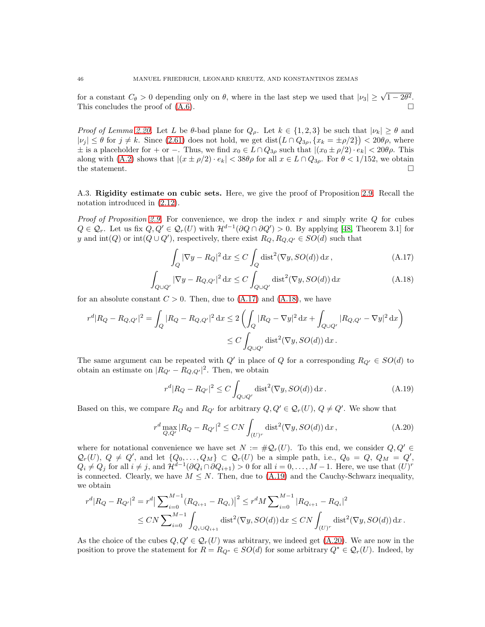for a constant  $C_{\theta} > 0$  depending only on  $\theta$ , where in the last step we used that  $|\nu_3| \geq \sqrt{1-2\theta^2}$ . This concludes the proof of  $(A.6)$ .

*Proof of Lemma [2.20.](#page-22-4)* Let L be  $\theta$ -bad plane for  $Q_{\rho}$ . Let  $k \in \{1,2,3\}$  be such that  $|\nu_k| \geq \theta$  and  $|\nu_j| \leq \theta$  for  $j \neq k$ . Since [\(2.61\)](#page-21-3) does not hold, we get dist $(L \cap Q_{3\rho}, \{x_k = \pm \rho/2\}) < 20\theta\rho$ , where  $\pm$  is a placeholder for + or −. Thus, we find  $x_0 \in L \cap Q_{3\rho}$  such that  $|(x_0 \pm \rho/2) \cdot e_k| < 20\theta\rho$ . This along with [\(A.2\)](#page-41-2) shows that  $|(x \pm \rho/2) \cdot e_k| < 38\theta\rho$  for all  $x \in L \cap Q_{3\rho}$ . For  $\theta < 1/152$ , we obtain the statement. the statement.

<span id="page-45-0"></span>A.3. Rigidity estimate on cubic sets. Here, we give the proof of Proposition [2.9.](#page-10-3) Recall the notation introduced in [\(2.12\)](#page-10-0).

*Proof of Proposition [2.9.](#page-10-3)* For convenience, we drop the index  $r$  and simply write  $Q$  for cubes  $Q \in \mathcal{Q}_r$ . Let us fix  $Q, Q' \in \mathcal{Q}_r(U)$  with  $\mathcal{H}^{d-1}(\partial Q \cap \partial Q') > 0$ . By applying [\[48,](#page-49-0) Theorem 3.1] for y and  $\text{int}(Q)$  or  $\text{int}(Q \cup Q')$ , respectively, there exist  $R_Q, R_{Q,Q'} \in SO(d)$  such that

<span id="page-45-2"></span><span id="page-45-1"></span>
$$
\int_{Q} |\nabla y - R_Q|^2 \, \mathrm{d}x \le C \int_{Q} \text{dist}^2(\nabla y, SO(d)) \, \mathrm{d}x, \tag{A.17}
$$

$$
\int_{Q\cup Q'} |\nabla y - R_{Q,Q'}|^2 dx \le C \int_{Q\cup Q'} \text{dist}^2(\nabla y, SO(d)) dx \tag{A.18}
$$

for an absolute constant  $C > 0$ . Then, due to  $(A.17)$  and  $(A.18)$ , we have

$$
r^{d}|R_{Q} - R_{Q,Q'}|^{2} = \int_{Q} |R_{Q} - R_{Q,Q'}|^{2} dx \le 2 \left( \int_{Q} |R_{Q} - \nabla y|^{2} dx + \int_{Q \cup Q'} |R_{Q,Q'} - \nabla y|^{2} dx \right)
$$
  

$$
\le C \int_{Q \cup Q'} \text{dist}^{2}(\nabla y, SO(d)) dx.
$$

The same argument can be repeated with  $Q'$  in place of Q for a corresponding  $R_{Q'} \in SO(d)$  to obtain an estimate on  $|R_{Q'} - R_{Q,Q'}|^2$ . Then, we obtain

<span id="page-45-4"></span><span id="page-45-3"></span>
$$
r^{d}|R_{Q} - R_{Q'}|^{2} \le C \int_{Q \cup Q'} \text{dist}^{2}(\nabla y, SO(d)) \, \mathrm{d}x \,. \tag{A.19}
$$

Based on this, we compare  $R_Q$  and  $R_{Q'}$  for arbitrary  $Q, Q' \in \mathcal{Q}_r(U)$ ,  $Q \neq Q'$ . We show that

$$
r^{d} \max_{Q, Q'} |R_{Q} - R_{Q'}|^{2} \le CN \int_{(U)^{r}} \text{dist}^{2}(\nabla y, SO(d)) \, \mathrm{d}x, \tag{A.20}
$$

where for notational convenience we have set  $N := \#Q_r(U)$ . To this end, we consider  $Q, Q' \in$  $\mathcal{Q}_r(U), Q \neq Q'$ , and let  $\{Q_0, \ldots, Q_M\} \subset \mathcal{Q}_r(U)$  be a simple path, i.e.,  $Q_0 = Q, Q_M = Q'$ ,  $Q_i \neq Q_j$  for all  $i \neq j$ , and  $\mathcal{H}^{d-1}(\partial Q_i \cap \partial Q_{i+1}) > 0$  for all  $i = 0, \ldots, M-1$ . Here, we use that  $(U)^r$ is connected. Clearly, we have  $M \leq N$ . Then, due to [\(A.19\)](#page-45-3) and the Cauchy-Schwarz inequality, we obtain

$$
r^{d}|R_{Q} - R_{Q'}|^{2} = r^{d} \left| \sum_{i=0}^{M-1} (R_{Q_{i+1}} - R_{Q_{i}}) \right|^{2} \le r^{d} M \sum_{i=0}^{M-1} |R_{Q_{i+1}} - R_{Q_{i}}|^{2}
$$
  

$$
\le CN \sum_{i=0}^{M-1} \int_{Q_{i} \cup Q_{i+1}} \text{dist}^{2}(\nabla y, SO(d)) \, dx \le CN \int_{(U)^{r}} \text{dist}^{2}(\nabla y, SO(d)) \, dx.
$$

As the choice of the cubes  $Q, Q' \in \mathcal{Q}_r(U)$  was arbitrary, we indeed get  $(A.20)$ . We are now in the position to prove the statement for  $R = R_{Q^*} \in SO(d)$  for some arbitrary  $Q^* \in \mathcal{Q}_r(U)$ . Indeed, by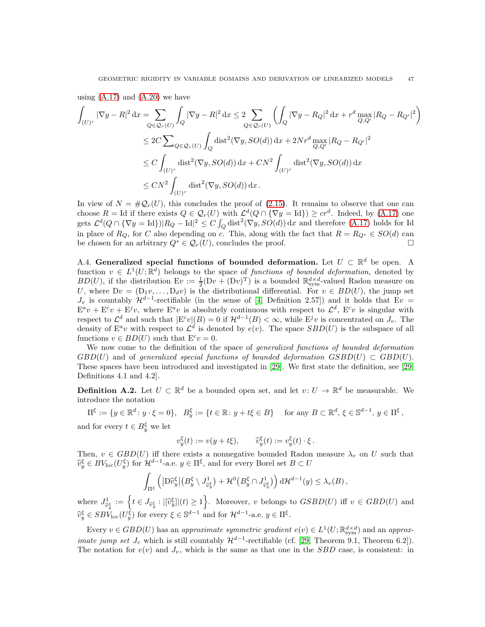using  $(A.17)$  and  $(A.20)$  we have

$$
\int_{(U)^r} |\nabla y - R|^2 \, dx = \sum_{Q \in \mathcal{Q}_r(U)} \int_Q |\nabla y - R|^2 \, dx \le 2 \sum_{Q \in \mathcal{Q}_r(U)} \left( \int_Q |\nabla y - R_Q|^2 \, dx + r^d \max_{Q, Q'} |R_Q - R_{Q'}|^2 \right)
$$
  
\n
$$
\le 2C \sum_{Q \in \mathcal{Q}_r(U)} \int_Q \text{dist}^2(\nabla y, SO(d)) \, dx + 2Nr^d \max_{Q, Q'} |R_Q - R_{Q'}|^2
$$
  
\n
$$
\le C \int_{(U)^r} \text{dist}^2(\nabla y, SO(d)) \, dx + CN^2 \int_{(U)^r} \text{dist}^2(\nabla y, SO(d)) \, dx
$$
  
\n
$$
\le CN^2 \int_{(U)^r} \text{dist}^2(\nabla y, SO(d)) \, dx.
$$

In view of  $N = \#\mathcal{Q}_r(U)$ , this concludes the proof of [\(2.15\)](#page-10-1). It remains to observe that one can choose  $R = \text{Id}$  if there exists  $Q \in \mathcal{Q}_r(U)$  with  $\mathcal{L}^d(Q \cap {\nabla y = \text{Id}}) \geq cr^d$ . Indeed, by [\(A.17\)](#page-45-1) one gets  $\mathcal{L}^d(Q \cap {\nabla y = \text{Id}})|R_Q - \text{Id}|^2 \leq C \int_Q \text{dist}^2(\nabla y, SO(d)) \,dx$  and therefore [\(A.17\)](#page-45-1) holds for Id in place of  $R_Q$ , for C also depending on c. This, along with the fact that  $R = R_{Q^*} \in SO(d)$  can<br>be chosen for an arbitrary  $O^* \in O_+(U)$  concludes the proof be chosen for an arbitrary  $Q^* \in \mathcal{Q}_r(U)$ , concludes the proof.

<span id="page-46-0"></span>A.4. Generalized special functions of bounded deformation. Let  $U \subset \mathbb{R}^d$  be open. A function  $v \in L^1(U; \mathbb{R}^d)$  belongs to the space of functions of bounded deformation, denoted by  $BD(U)$ , if the distribution  $Ev := \frac{1}{2}(Dv + (Dv)^T)$  is a bounded  $\mathbb{R}^{d \times d}_{sym}$ -valued Radon measure on U, where  $Dv = (D_1v, \ldots, D_dv)$  is the distributional differential. For  $v \in BD(U)$ , the jump set  $J_v$  is countably  $\mathcal{H}^{d-1}$ -rectifiable (in the sense of [\[4,](#page-47-1) Definition 2.57]) and it holds that Ev =  $E^a v + E^c v + E^j v$ , where  $E^a v$  is absolutely continuous with respect to  $\mathcal{L}^d$ ,  $E^c v$  is singular with respect to  $\mathcal{L}^d$  and such that  $|E^c v|(B) = 0$  if  $\mathcal{H}^{d-1}(B) < \infty$ , while  $E^j v$  is concentrated on  $J_v$ . The density of  $\mathbb{E}^a v$  with respect to  $\mathcal{L}^d$  is denoted by  $e(v)$ . The space  $SBD(U)$  is the subspace of all functions  $v \in BD(U)$  such that  $E^c v = 0$ .

We now come to the definition of the space of *generalized functions of bounded deformation*  $GBD(U)$  and of generalized special functions of bounded deformation  $GSBD(U) \subset GBD(U)$ . These spaces have been introduced and investigated in [\[29\]](#page-48-8). We first state the definition, see [\[29,](#page-48-8) Definitions 4.1 and 4.2].

**Definition A.2.** Let  $U \subset \mathbb{R}^d$  be a bounded open set, and let  $v: U \to \mathbb{R}^d$  be measurable. We introduce the notation

 $\Pi^{\xi} := \{y \in \mathbb{R}^d \colon y \cdot \xi = 0\}, \quad B_y^{\xi} := \{t \in \mathbb{R} \colon y + t\xi \in B\} \quad \text{ for any } B \subset \mathbb{R}^d, \, \xi \in \mathbb{S}^{d-1}, \, y \in \Pi^{\xi},$ 

and for every  $t \in B_y^{\xi}$  we let

$$
v_y^{\xi}(t) := v(y + t\xi), \qquad \widehat{v}_y^{\xi}(t) := v_y^{\xi}(t) \cdot \xi.
$$

Then,  $v \in GBD(U)$  iff there exists a nonnegative bounded Radon measure  $\lambda_v$  on U such that  $\widehat{v}_y^{\xi} \in BV_{\text{loc}}(U_y^{\xi})$  for  $\mathcal{H}^{d-1}$ -a.e.  $y \in \Pi^{\xi}$ , and for every Borel set  $B \subset U$ 

$$
\int_{\Pi^{\xi}} \left( \left| D\hat{v}_y^{\xi} \right| \left( B_y^{\xi} \setminus J^1_{\hat{v}_y^{\xi}} \right) + \mathcal{H}^0 \left( B_y^{\xi} \cap J^1_{\hat{v}_y^{\xi}} \right) \right) d\mathcal{H}^{d-1}(y) \leq \lambda_v(B) ,
$$

where  $J_{\widehat{v}_y^{\xi}}^1 := \left\{ t \in J_{\widehat{v}_y^{\xi}} : |[\widehat{v}_y^{\xi}]|(t) \ge 1 \right\}$ . Moreover, v belongs to  $GSBD(U)$  iff  $v \in GBD(U)$  and  $\widehat{v}_y^{\xi} \in SB\check{V}_{\text{loc}}(U_y^{\xi})$  for every  $\xi \in \mathbb{S}^{d-1}$  and for  $\mathcal{H}^{d-1}$ -a.e.  $y \in \Pi^{\xi}$ .

Every  $v \in GBD(U)$  has an approximate symmetric gradient  $e(v) \in L^1(U; \mathbb{R}^{d \times d}_{sym})$  and an approx*imate jump set*  $J_v$  which is still countably  $\mathcal{H}^{d-1}$ -rectifiable (cf. [\[29,](#page-48-8) Theorem 9.1, Theorem 6.2]). The notation for  $e(v)$  and  $J_v$ , which is the same as that one in the *SBD* case, is consistent: in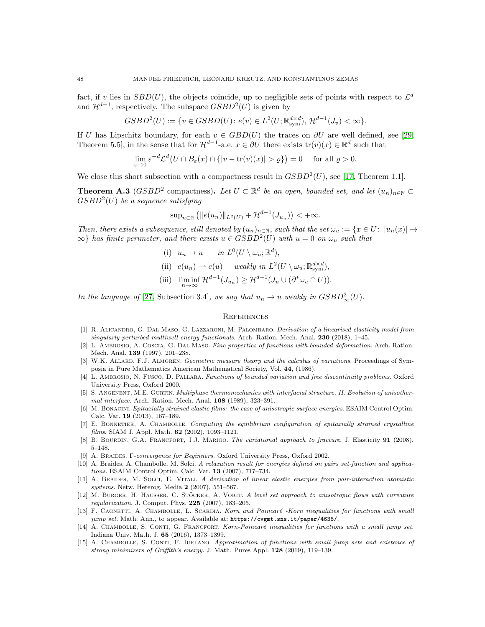fact, if v lies in  $SBD(U)$ , the objects coincide, up to negligible sets of points with respect to  $\mathcal{L}^d$ and  $\mathcal{H}^{d-1}$ , respectively. The subspace  $GSBD^2(U)$  is given by

$$
GSBD2(U) := \{ v \in GSBD(U) : e(v) \in L2(U; \mathbb{R}^{d \times d}_{sym}), \mathcal{H}^{d-1}(J_v) < \infty \}.
$$

If U has Lipschitz boundary, for each  $v \in GBD(U)$  the traces on  $\partial U$  are well defined, see [\[29,](#page-48-8) Theorem 5.5], in the sense that for  $\mathcal{H}^{d-1}$ -a.e.  $x \in \partial U$  there exists  $\text{tr}(v)(x) \in \mathbb{R}^d$  such that

$$
\lim_{\varepsilon \to 0} \varepsilon^{-d} \mathcal{L}^d \big( U \cap B_{\varepsilon}(x) \cap \{|v - \text{tr}(v)(x)| > \varrho\}\big) = 0 \quad \text{ for all } \varrho > 0.
$$

We close this short subsection with a compactness result in  $GSBD^2(U)$ , see [\[17,](#page-48-29) Theorem 1.1].

<span id="page-47-14"></span>**Theorem A.3** ( $GSBD^2$  compactness). Let  $U \subset \mathbb{R}^d$  be an open, bounded set, and let  $(u_n)_{n \in \mathbb{N}} \subset$  $GSBD<sup>2</sup>(U)$  be a sequence satisfying

$$
\sup_{n \in \mathbb{N}} (||e(u_n)||_{L^2(U)} + \mathcal{H}^{d-1}(J_{u_n})) < +\infty.
$$

Then, there exists a subsequence, still denoted by  $(u_n)_{n\in\mathbb{N}}$ , such that the set  $\omega_u := \{x \in U : |u_n(x)| \to$  $\{\infty\}$  has finite perimeter, and there exists  $u \in GSBD^2(U)$  with  $u = 0$  on  $\omega_u$  such that

(i) 
$$
u_n \to u
$$
 in  $L^0(U \setminus \omega_u; \mathbb{R}^d)$ ,

(ii) 
$$
e(u_n) \rightharpoonup e(u)
$$
 weakly in  $L^2(U \setminus \omega_u; \mathbb{R}^{d \times d}_{sym}),$ 

(iii) 
$$
\liminf_{n \to \infty} \mathcal{H}^{d-1}(J_{u_n}) \geq \mathcal{H}^{d-1}(J_u \cup (\partial^* \omega_u \cap U)).
$$

In the language of [\[27,](#page-48-24) Subsection 3.4], we say that  $u_n \to u$  weakly in  $GSBD^2_{\infty}(U)$ .

## **REFERENCES**

- <span id="page-47-9"></span>[1] R. ALICANDRO, G. DAL MASO, G. LAZZARONI, M. PALOMBARO. Derivation of a linearised elasticity model from singularly perturbed multiwell energy functionals. Arch. Ration. Mech. Anal. 230 (2018), 1–45.
- [2] L Ambrosio, A. Coscia, G. Dal Maso. Fine properties of functions with bounded deformation. Arch. Ration. Mech. Anal. 139 (1997), 201–238.
- <span id="page-47-13"></span>[3] W.K. ALLARD, F.J. ALMGREN. Geometric measure theory and the calculus of variations. Proceedings of Symposia in Pure Mathematics American Mathematical Society, Vol. 44, (1986).
- <span id="page-47-1"></span>[4] L. AMBROSIO, N. FUSCO, D. PALLARA. Functions of bounded variation and free discontinuity problems. Oxford University Press, Oxford 2000.
- <span id="page-47-5"></span>[5] S. ANGENENT, M.E. GURTIN. Multiphase thermomechanics with interfacial structure. II. Evolution of anisothermal interface. Arch. Ration. Mech. Anal. 108 (1989), 323–391.
- <span id="page-47-11"></span>[6] M. BONACINI. Epitaxially strained elastic films: the case of anisotropic surface energies. ESAIM Control Optim. Calc. Var. 19 (2013), 167–189.
- <span id="page-47-10"></span>[7] E. Bonnetier, A. Chambolle. Computing the equilibrium configuration of epitaxially strained crystalline films. SIAM J. Appl. Math. 62 (2002), 1093–1121.
- <span id="page-47-0"></span>[8] B. BOURDIN, G.A. FRANCFORT, J.J. MARIGO. The variational approach to fracture. J. Elasticity 91 (2008), 5–148.
- <span id="page-47-12"></span><span id="page-47-7"></span>[9] A. Braides. Γ-convergence for Beginners. Oxford University Press, Oxford 2002.
- [10] A. Braides, A. Chambolle, M. Solci. A relaxation result for energies defined on pairs set-function and applications. ESAIM Control Optim. Calc. Var. 13 (2007), 717–734.
- <span id="page-47-8"></span>[11] A. Braides, M. Solci, E. Vitali. A derivation of linear elastic energies from pair-interaction atomistic systems. Netw. Heterog. Media 2 (2007), 551–567.
- <span id="page-47-6"></span>[12] M. BURGER, H. HAUSSER, C. STÖCKER, A. VOIGT. A level set approach to anisotropic flows with curvature regularization. J. Comput. Phys. 225 (2007), 183–205.
- <span id="page-47-2"></span>[13] F. CAGNETTI, A. CHAMBOLLE, L. SCARDIA. Korn and Poincaré -Korn inequalities for functions with small jump set. Math. Ann., to appear. Available at: https://cvgmt.sns.it/paper/4636/.
- <span id="page-47-3"></span>[14] A. CHAMBOLLE, S. CONTI, G. FRANCFORT. Korn-Poincaré inequalities for functions with a small jump set. Indiana Univ. Math. J. 65 (2016), 1373–1399.
- <span id="page-47-4"></span>[15] A. CHAMBOLLE, S. CONTI, F. IURLANO. Approximation of functions with small jump sets and existence of strong minimizers of Griffith's energy. J. Math. Pures Appl. 128 (2019), 119–139.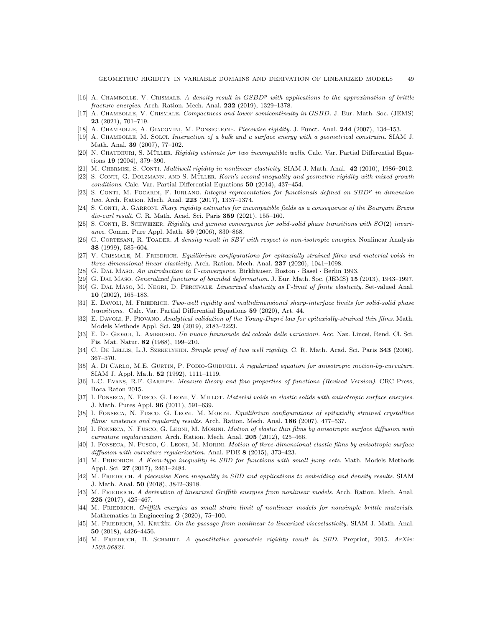- <span id="page-48-29"></span><span id="page-48-16"></span>[16] A. CHAMBOLLE, V. CRISMALE. A density result in  $GSBD^p$  with applications to the approximation of brittle fracture energies. Arch. Ration. Mech. Anal. 232 (2019), 1329–1378.
- [17] A. Chambolle, V. Crismale. Compactness and lower semicontinuity in GSBD. J. Eur. Math. Soc. (JEMS) 23 (2021), 701–719.
- <span id="page-48-23"></span><span id="page-48-12"></span>[18] A. CHAMBOLLE, A. GIACOMINI, M. PONSIGLIONE. Piecewise rigidity. J. Funct. Anal. 244 (2007), 134–153.
- [19] A. Chambolle, M. Solci. Interaction of a bulk and a surface energy with a geometrical constraint. SIAM J. Math. Anal. 39 (2007), 77–102.
- <span id="page-48-3"></span>[20] N. CHAUDHURI, S. MÜLLER. Rigidity estimate for two incompatible wells. Calc. Var. Partial Differential Equations 19 (2004), 379–390.
- <span id="page-48-4"></span><span id="page-48-1"></span>[21] M. Chermisi, S. Conti. Multiwell rigidity in nonlinear elasticity. SIAM J. Math. Anal. 42 (2010), 1986–2012.
- [22] S. CONTI, G. DOLZMANN, AND S. MÜLLER. Korn's second inequality and geometric rigidity with mixed growth conditions. Calc. Var. Partial Differential Equations 50 (2014), 437–454.
- <span id="page-48-9"></span>[23] S. CONTI, M. FOCARDI, F. IURLANO. Integral representation for functionals defined on  $SBD^p$  in dimension two. Arch. Ration. Mech. Anal. 223 (2017), 1337–1374.
- <span id="page-48-2"></span>[24] S. CONTI, A. GARRONI. Sharp rigidity estimates for incompatible fields as a consequence of the Bourgain Brezis div-curl result. C. R. Math. Acad. Sci. Paris 359 (2021), 155–160.
- <span id="page-48-5"></span>[25] S. CONTI, B. SCHWEIZER. Rigidity and gamma convergence for solid-solid phase transitions with  $SO(2)$  invariance. Comm. Pure Appl. Math. 59 (2006), 830–868.
- <span id="page-48-17"></span>[26] G. CORTESANI, R. TOADER. A density result in SBV with respect to non-isotropic energies. Nonlinear Analysis 38 (1999), 585–604.
- <span id="page-48-24"></span>[27] V. CRISMALE, M. FRIEDRICH. Equilibrium configurations for epitaxially strained films and material voids in three-dimensional linear elasticity. Arch. Ration. Mech. Anal. 237 (2020), 1041–1098.
- <span id="page-48-21"></span><span id="page-48-8"></span>[28] G. DAL MASO. An introduction to Γ-convergence. Birkhäuser, Boston · Basel · Berlin 1993.
- <span id="page-48-0"></span>[29] G. Dal Maso. Generalized functions of bounded deformation. J. Eur. Math. Soc. (JEMS) 15 (2013), 1943–1997.
- [30] G. Dal Maso, M. Negri, D. Percivale. Linearized elasticity as Γ-limit of finite elasticity. Set-valued Anal. 10 (2002), 165–183.
- <span id="page-48-6"></span>[31] E. DAVOLI, M. FRIEDRICH. Two-well rigidity and multidimensional sharp-interface limits for solid-solid phase transitions. Calc. Var. Partial Differential Equations 59 (2020), Art. 44.
- <span id="page-48-25"></span>[32] E. DAVOLI, P. PIOVANO. Analytical validation of the Young-Dupré law for epitaxially-strained thin films. Math. Models Methods Appl. Sci. 29 (2019), 2183–2223.
- <span id="page-48-7"></span>[33] E. De Giorgi, L. Ambrosio. Un nuovo funzionale del calcolo delle variazioni. Acc. Naz. Lincei, Rend. Cl. Sci. Fis. Mat. Natur. 82 (1988), 199–210.
- <span id="page-48-18"></span>[34] C. DE LELLIS, L.J. SZEKELYHIDI. Simple proof of two well rigidity. C. R. Math. Acad. Sci. Paris 343 (2006), 367–370.
- [35] A. DI CARLO, M.E. GURTIN, P. PODIO-GUIDUGLI. A regularized equation for anisotropic motion-by-curvature. SIAM J. Appl. Math. 52 (1992), 1111–1119.
- <span id="page-48-28"></span><span id="page-48-27"></span>[36] L.C. EVANS, R.F. GARIEPY. Measure theory and fine properties of functions (Revised Version). CRC Press, Boca Raton 2015.
- [37] I. FONSECA, N. FUSCO, G. LEONI, V. MILLOT. *Material voids in elastic solids with anisotropic surface energies.* J. Math. Pures Appl. 96 (2011), 591–639.
- <span id="page-48-26"></span>[38] I. FONSECA, N. FUSCO, G. LEONI, M. MORINI. Equilibrium configurations of epitaxially strained crystalline films: existence and regularity results. Arch. Ration. Mech. Anal. 186 (2007), 477–537.
- <span id="page-48-19"></span>[39] I. FONSECA, N. FUSCO, G. LEONI, M. MORINI. Motion of elastic thin films by anisotropic surface diffusion with curvature regularization. Arch. Ration. Mech. Anal. 205 (2012), 425–466.
- <span id="page-48-20"></span>[40] I. FONSECA, N. FUSCO, G. LEONI, M. MORINI. Motion of three-dimensional elastic films by anisotropic surface diffusion with curvature regularization. Anal. PDE 8 (2015), 373–423.
- <span id="page-48-10"></span>[41] M. FRIEDRICH. A Korn-type inequality in SBD for functions with small jump sets. Math. Models Methods Appl. Sci. 27 (2017), 2461–2484.
- <span id="page-48-11"></span>[42] M. FRIEDRICH. A piecewise Korn inequality in SBD and applications to embedding and density results. SIAM J. Math. Anal. 50 (2018), 3842–3918.
- <span id="page-48-15"></span>[43] M. FRIEDRICH. A derivation of linearized Griffith energies from nonlinear models. Arch. Ration. Mech. Anal. 225 (2017), 425–467.
- <span id="page-48-14"></span>[44] M. FRIEDRICH. Griffith energies as small strain limit of nonlinear models for nonsimple brittle materials. Mathematics in Engineering 2 (2020), 75–100.
- <span id="page-48-22"></span>[45] M. FRIEDRICH, M. KRUŽÍK. On the passage from nonlinear to linearized viscoelasticity. SIAM J. Math. Anal. 50 (2018), 4426–4456.
- <span id="page-48-13"></span>[46] M. FRIEDRICH, B. SCHMIDT. A quantitative geometric rigidity result in SBD. Preprint, 2015. ArXiv: 1503.06821.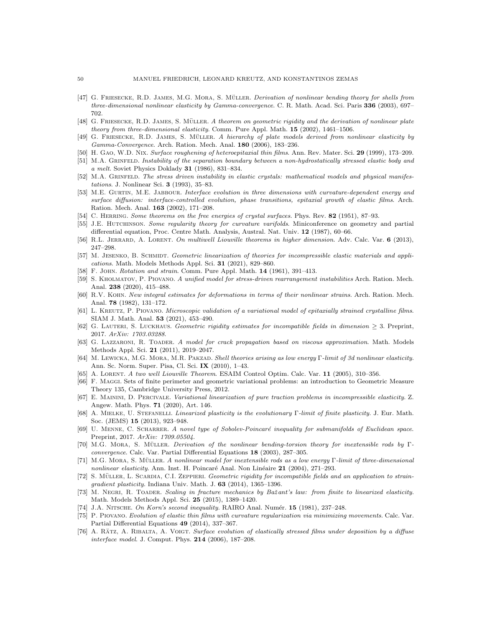- <span id="page-49-3"></span>[47] G. FRIESECKE, R.D. JAMES, M.G. MORA, S. MÜLLER. Derivation of nonlinear bending theory for shells from three-dimensional nonlinear elasticity by Gamma-convergence. C. R. Math. Acad. Sci. Paris 336 (2003), 697– 702.
- <span id="page-49-4"></span><span id="page-49-0"></span>[48] G. FRIESECKE, R.D. JAMES, S. MÜLLER. A theorem on geometric rigidity and the derivation of nonlinear plate theory from three-dimensional elasticity. Comm. Pure Appl. Math. 15 (2002), 1461–1506.
- <span id="page-49-12"></span>[49] G. FRIESECKE, R.D. JAMES, S. MÜLLER. A hierarchy of plate models derived from nonlinear elasticity by Gamma-Convergence. Arch. Ration. Mech. Anal. 180 (2006), 183–236.
- <span id="page-49-13"></span>[50] H. Gao, W.D. Nix. Surface roughening of heteroepitaxial thin films. Ann. Rev. Mater. Sci. 29 (1999), 173–209.
- [51] M.A. GRINFELD. Instability of the separation boundary between a non-hydrostatically stressed elastic body and a melt. Soviet Physics Doklady 31 (1986), 831–834.
- <span id="page-49-14"></span>[52] M.A. GRINFELD. The stress driven instability in elastic crystals: mathematical models and physical manifestations. J. Nonlinear Sci. 3 (1993), 35–83.
- <span id="page-49-18"></span>[53] M.E. GURTIN, M.E. JABBOUR. Interface evolution in three dimensions with curvature-dependent energy and surface diffusion: interface-controlled evolution, phase transitions, epitaxial growth of elastic films. Arch. Ration. Mech. Anal. 163 (2002), 171–208.
- <span id="page-49-27"></span><span id="page-49-19"></span>[54] C. HERRING. Some theorems on the free energies of crystal surfaces. Phys. Rev. 82 (1951), 87–93.
- [55] J.E. HUTCHINSON. Some regularity theory for curvature varifolds. Miniconference on geometry and partial differential equation, Proc. Centre Math. Analysis, Austral. Nat. Univ. 12 (1987), 60–66.
- <span id="page-49-22"></span><span id="page-49-10"></span>[56] R.L. JERRARD, A. LORENT. On multiwell Liouville theorems in higher dimension. Adv. Calc. Var. 6 (2013), 247–298.
- [57] M. JESENKO, B. SCHMIDT. Geometric linearization of theories for incompressible elastic materials and applications. Math. Models Methods Appl. Sci. 31 (2021), 829–860.
- <span id="page-49-15"></span><span id="page-49-1"></span>[58] F. JOHN. Rotation and strain. Comm. Pure Appl. Math. **14** (1961), 391-413.
- [59] S. KHOLMATOV, P. PIOVANO. A unified model for stress-driven rearrangement instabilities Arch. Ration. Mech. Anal. 238 (2020), 415–488.
- <span id="page-49-2"></span>[60] R.V. KOHN. New integral estimates for deformations in terms of their nonlinear strains. Arch. Ration. Mech. Anal. 78 (1982), 131–172.
- <span id="page-49-25"></span>[61] L. Kreutz, P. Piovano. Microscopic validation of a variational model of epitaxially strained crystalline films. SIAM J. Math. Anal. 53 (2021), 453–490.
- <span id="page-49-8"></span>[62] G. LAUTERI, S. LUCKHAUS. Geometric rigidity estimates for incompatible fields in dimension > 3. Preprint, 2017. ArXiv: 1703.03288.
- <span id="page-49-16"></span>[63] G. LAZZARONI, R. TOADER. A model for crack propagation based on viscous approximation. Math. Models Methods Appl. Sci. 21 (2011), 2019–2047.
- <span id="page-49-5"></span>[64] M. Lewicka, M.G. Mora, M.R. Pakzad. Shell theories arising as low energy Γ-limit of 3d nonlinear elasticity. Ann. Sc. Norm. Super. Pisa, Cl. Sci. IX (2010), 1–43.
- <span id="page-49-29"></span><span id="page-49-11"></span>[65] A. Lorent. A two well Liouville Theorem. ESAIM Control Optim. Calc. Var. 11 (2005), 310–356.
- [66] F. MAGGI. Sets of finite perimeter and geometric variational problems: an introduction to Geometric Measure Theory 135, Cambridge University Press, 2012.
- <span id="page-49-23"></span>[67] E. Mainini, D. Percivale. Variational linearization of pure traction problems in incompressible elasticity. Z. Angew. Math. Phys. 71 (2020), Art. 146.
- <span id="page-49-24"></span>[68] A. Mielke, U. Stefanelli. Linearized plasticity is the evolutionary Γ-limit of finite plasticity. J. Eur. Math. Soc. (JEMS) 15 (2013), 923–948.
- <span id="page-49-28"></span>[69] U. MENNE, C. SCHARRER. A novel type of Sobolev-Poincaré inequality for submanifolds of Euclidean space. Preprint, 2017. ArXiv: 1709.05504.
- <span id="page-49-6"></span>[70] M.G. MORA, S. MÜLLER. Derivation of the nonlinear bending-torsion theory for inextensible rods by Γconvergence. Calc. Var. Partial Differential Equations 18 (2003), 287–305.
- <span id="page-49-7"></span>[71] M.G. MORA, S. MÜLLER. A nonlinear model for inextensible rods as a low energy Γ-limit of three-dimensional nonlinear elasticity. Ann. Inst. H. Poincaré Anal. Non Linéaire  $21$  (2004), 271–293.
- <span id="page-49-9"></span>[72] S. MÜLLER, L. SCARDIA, C.I. ZEPPIERI. Geometric rigidity for incompatible fields and an application to straingradient plasticity. Indiana Univ. Math. J.  $63$  (2014), 1365-1396.
- <span id="page-49-17"></span>[73] M. NEGRI, R. TOADER. Scaling in fracture mechanics by Bažant's law: from finite to linearized elasticity. Math. Models Methods Appl. Sci. 25 (2015), 1389–1420.
- <span id="page-49-26"></span><span id="page-49-20"></span>[74] J.A. NITSCHE. On Korn's second inequality. RAIRO Anal. Numér. 15 (1981), 237-248.
- [75] P. Piovano. Evolution of elastic thin films with curvature regularization via minimizing movements. Calc. Var. Partial Differential Equations 49 (2014), 337–367.
- <span id="page-49-21"></span>[76] A. RÄTZ, A. RIBALTA, A. VOIGT. Surface evolution of elastically stressed films under deposition by a diffuse interface model. J. Comput. Phys. 214 (2006), 187–208.